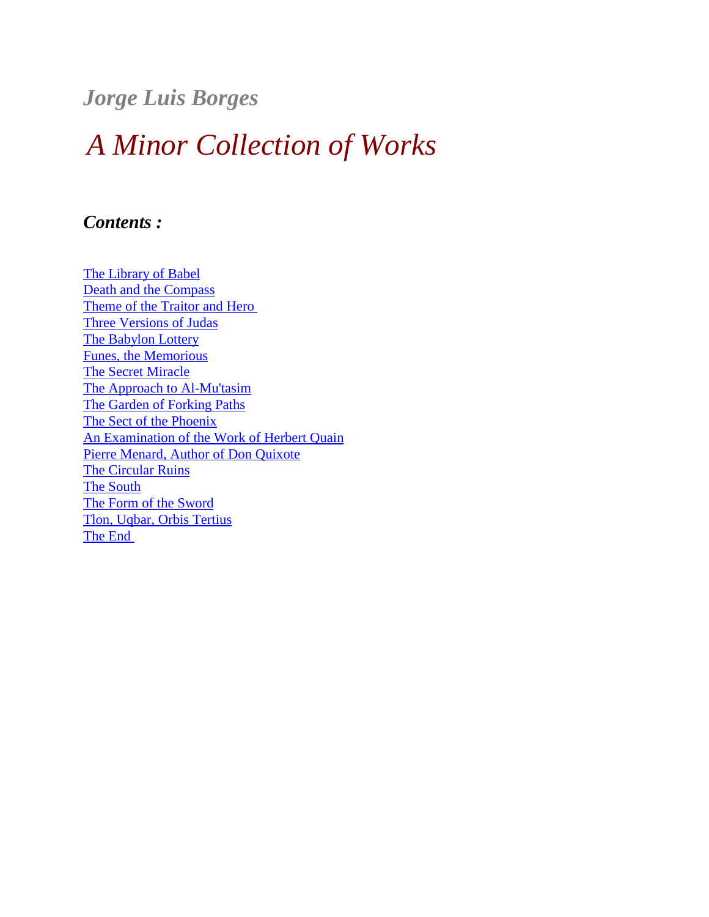# *Jorge Luis Borges*

# *A Minor Collection of Works*

# *Contents :*

The Library of Babel Death and the Compass Theme of the Traitor and Hero Three Versions of Judas The Babylon Lottery Funes, the Memorious The Secret Miracle The Approach to Al-Mu'tasim The Garden of Forking Paths The Sect of the Phoenix An Examination of the Work of Herbert Quain Pierre Menard, Author of Don Quixote The Circular Ruins The South The Form of the Sword Tlon, Uqbar, Orbis Tertius The End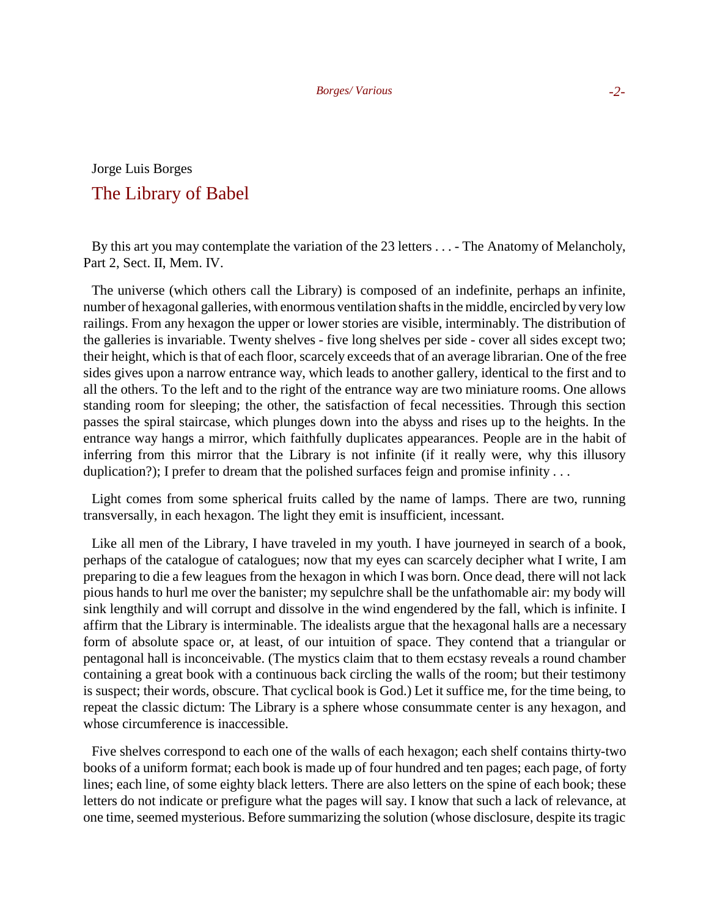# Jorge Luis Borges The Library of Babel

By this art you may contemplate the variation of the 23 letters . . . - The Anatomy of Melancholy, Part 2, Sect. II, Mem. IV.

The universe (which others call the Library) is composed of an indefinite, perhaps an infinite, number of hexagonal galleries, with enormous ventilation shafts in the middle, encircled by very low railings. From any hexagon the upper or lower stories are visible, interminably. The distribution of the galleries is invariable. Twenty shelves - five long shelves per side - cover all sides except two; their height, which is that of each floor, scarcely exceeds that of an average librarian. One of the free sides gives upon a narrow entrance way, which leads to another gallery, identical to the first and to all the others. To the left and to the right of the entrance way are two miniature rooms. One allows standing room for sleeping; the other, the satisfaction of fecal necessities. Through this section passes the spiral staircase, which plunges down into the abyss and rises up to the heights. In the entrance way hangs a mirror, which faithfully duplicates appearances. People are in the habit of inferring from this mirror that the Library is not infinite (if it really were, why this illusory duplication?); I prefer to dream that the polished surfaces feign and promise infinity . . .

Light comes from some spherical fruits called by the name of lamps. There are two, running transversally, in each hexagon. The light they emit is insufficient, incessant.

Like all men of the Library, I have traveled in my youth. I have journeyed in search of a book, perhaps of the catalogue of catalogues; now that my eyes can scarcely decipher what I write, I am preparing to die a few leagues from the hexagon in which I was born. Once dead, there will not lack pious hands to hurl me over the banister; my sepulchre shall be the unfathomable air: my body will sink lengthily and will corrupt and dissolve in the wind engendered by the fall, which is infinite. I affirm that the Library is interminable. The idealists argue that the hexagonal halls are a necessary form of absolute space or, at least, of our intuition of space. They contend that a triangular or pentagonal hall is inconceivable. (The mystics claim that to them ecstasy reveals a round chamber containing a great book with a continuous back circling the walls of the room; but their testimony is suspect; their words, obscure. That cyclical book is God.) Let it suffice me, for the time being, to repeat the classic dictum: The Library is a sphere whose consummate center is any hexagon, and whose circumference is inaccessible.

Five shelves correspond to each one of the walls of each hexagon; each shelf contains thirty-two books of a uniform format; each book is made up of four hundred and ten pages; each page, of forty lines; each line, of some eighty black letters. There are also letters on the spine of each book; these letters do not indicate or prefigure what the pages will say. I know that such a lack of relevance, at one time, seemed mysterious. Before summarizing the solution (whose disclosure, despite its tragic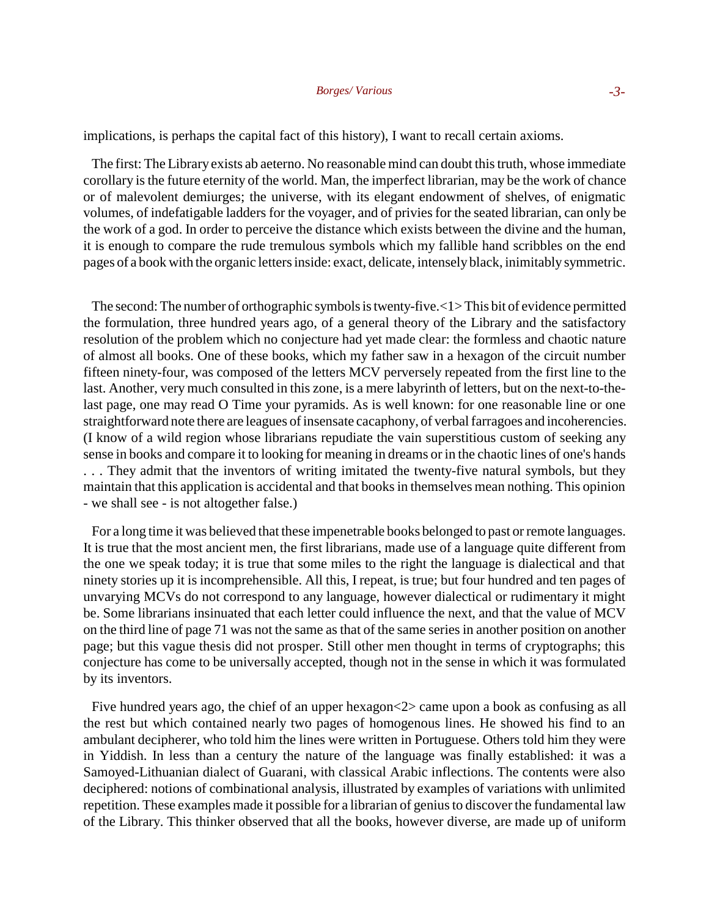implications, is perhaps the capital fact of this history), I want to recall certain axioms.

The first: The Library exists ab aeterno. No reasonable mind can doubt thistruth, whose immediate corollary is the future eternity of the world. Man, the imperfect librarian, may be the work of chance or of malevolent demiurges; the universe, with its elegant endowment of shelves, of enigmatic volumes, of indefatigable ladders for the voyager, and of privies for the seated librarian, can only be the work of a god. In order to perceive the distance which exists between the divine and the human, it is enough to compare the rude tremulous symbols which my fallible hand scribbles on the end pages of a book with the organic lettersinside: exact, delicate, intensely black, inimitably symmetric.

The second: The number of orthographic symbols is twenty-five. $\langle 1 \rangle$ This bit of evidence permitted the formulation, three hundred years ago, of a general theory of the Library and the satisfactory resolution of the problem which no conjecture had yet made clear: the formless and chaotic nature of almost all books. One of these books, which my father saw in a hexagon of the circuit number fifteen ninety-four, was composed of the letters MCV perversely repeated from the first line to the last. Another, very much consulted in this zone, is a mere labyrinth of letters, but on the next-to-thelast page, one may read O Time your pyramids. As is well known: for one reasonable line or one straightforward note there are leagues of insensate cacaphony, of verbal farragoes and incoherencies. (I know of a wild region whose librarians repudiate the vain superstitious custom of seeking any sense in books and compare it to looking for meaning in dreams or in the chaotic lines of one's hands . . . They admit that the inventors of writing imitated the twenty-five natural symbols, but they maintain that this application is accidental and that booksin themselves mean nothing. This opinion - we shall see - is not altogether false.)

For a long time it was believed that these impenetrable books belonged to past or remote languages. It is true that the most ancient men, the first librarians, made use of a language quite different from the one we speak today; it is true that some miles to the right the language is dialectical and that ninety stories up it is incomprehensible. All this, I repeat, is true; but four hundred and ten pages of unvarying MCVs do not correspond to any language, however dialectical or rudimentary it might be. Some librarians insinuated that each letter could influence the next, and that the value of MCV on the third line of page 71 was not the same asthat of the same seriesin another position on another page; but this vague thesis did not prosper. Still other men thought in terms of cryptographs; this conjecture has come to be universally accepted, though not in the sense in which it was formulated by its inventors.

Five hundred years ago, the chief of an upper hexagon<2> came upon a book as confusing as all the rest but which contained nearly two pages of homogenous lines. He showed his find to an ambulant decipherer, who told him the lines were written in Portuguese. Others told him they were in Yiddish. In less than a century the nature of the language was finally established: it was a Samoyed-Lithuanian dialect of Guarani, with classical Arabic inflections. The contents were also deciphered: notions of combinational analysis, illustrated by examples of variations with unlimited repetition. These examples made it possible for a librarian of genius to discover the fundamental law of the Library. This thinker observed that all the books, however diverse, are made up of uniform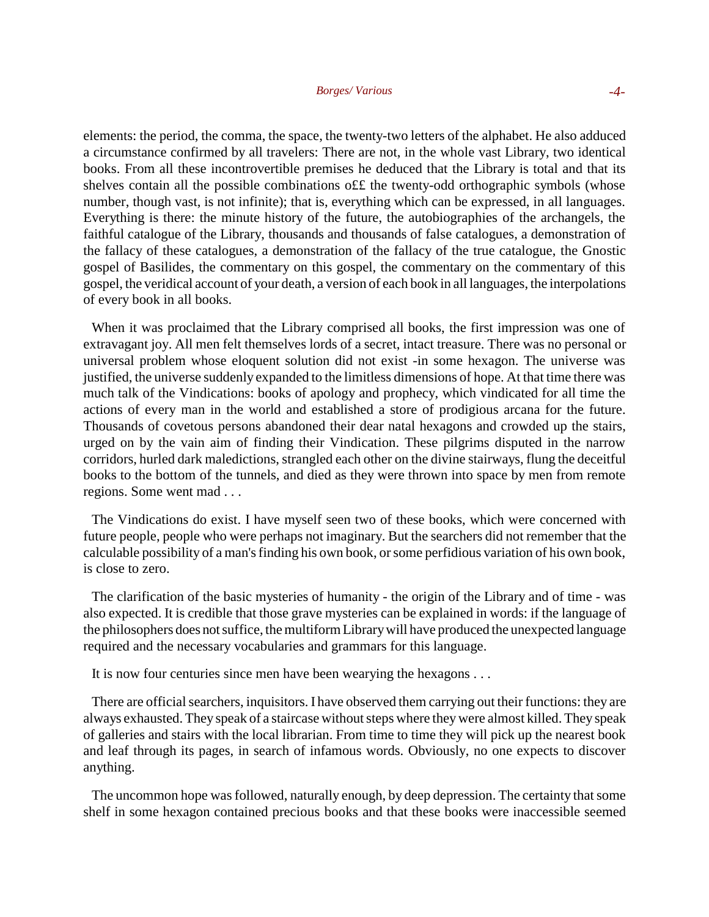#### *Borges/ Various -4-*

elements: the period, the comma, the space, the twenty-two letters of the alphabet. He also adduced a circumstance confirmed by all travelers: There are not, in the whole vast Library, two identical books. From all these incontrovertible premises he deduced that the Library is total and that its shelves contain all the possible combinations of  $f$  the twenty-odd orthographic symbols (whose number, though vast, is not infinite); that is, everything which can be expressed, in all languages. Everything is there: the minute history of the future, the autobiographies of the archangels, the faithful catalogue of the Library, thousands and thousands of false catalogues, a demonstration of the fallacy of these catalogues, a demonstration of the fallacy of the true catalogue, the Gnostic gospel of Basilides, the commentary on this gospel, the commentary on the commentary of this gospel, the veridical account of your death, a version of each book in all languages, the interpolations of every book in all books.

When it was proclaimed that the Library comprised all books, the first impression was one of extravagant joy. All men felt themselves lords of a secret, intact treasure. There was no personal or universal problem whose eloquent solution did not exist -in some hexagon. The universe was justified, the universe suddenly expanded to the limitless dimensions of hope. At that time there was much talk of the Vindications: books of apology and prophecy, which vindicated for all time the actions of every man in the world and established a store of prodigious arcana for the future. Thousands of covetous persons abandoned their dear natal hexagons and crowded up the stairs, urged on by the vain aim of finding their Vindication. These pilgrims disputed in the narrow corridors, hurled dark maledictions, strangled each other on the divine stairways, flung the deceitful books to the bottom of the tunnels, and died as they were thrown into space by men from remote regions. Some went mad . . .

The Vindications do exist. I have myself seen two of these books, which were concerned with future people, people who were perhaps not imaginary. But the searchers did not remember that the calculable possibility of a man's finding his own book, or some perfidious variation of his own book, is close to zero.

The clarification of the basic mysteries of humanity - the origin of the Library and of time - was also expected. It is credible that those grave mysteries can be explained in words: if the language of the philosophers does not suffice, the multiform Library will have produced the unexpected language required and the necessary vocabularies and grammars for this language.

It is now four centuries since men have been wearying the hexagons . . .

There are official searchers, inquisitors. I have observed them carrying out their functions: they are always exhausted. They speak of a staircase withoutsteps where theywere almost killed. They speak of galleries and stairs with the local librarian. From time to time they will pick up the nearest book and leaf through its pages, in search of infamous words. Obviously, no one expects to discover anything.

The uncommon hope was followed, naturally enough, by deep depression. The certainty that some shelf in some hexagon contained precious books and that these books were inaccessible seemed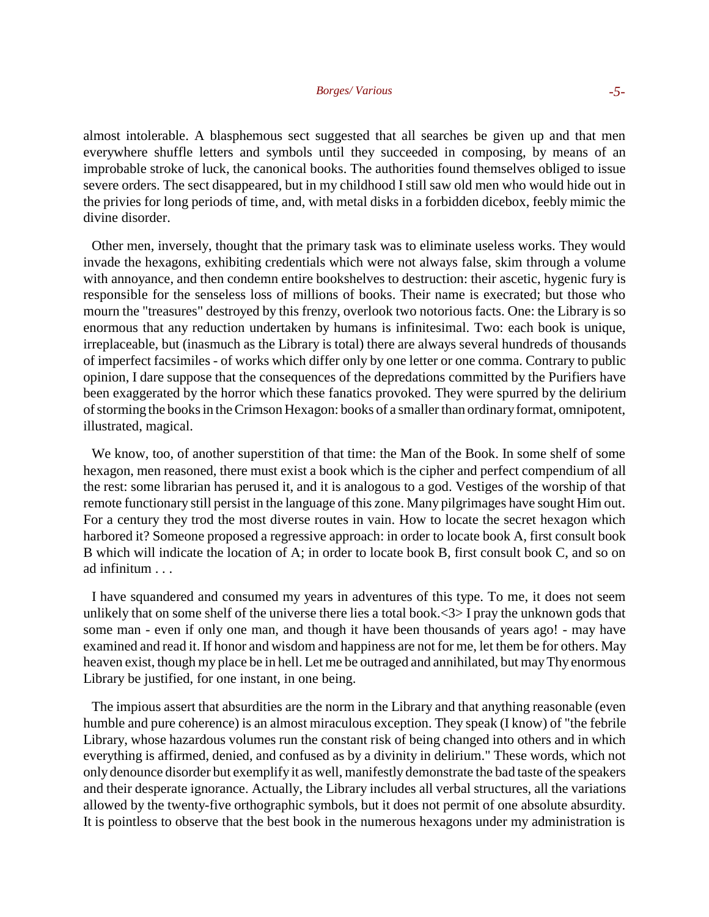#### *Borges/ Various -5-*

almost intolerable. A blasphemous sect suggested that all searches be given up and that men everywhere shuffle letters and symbols until they succeeded in composing, by means of an improbable stroke of luck, the canonical books. The authorities found themselves obliged to issue severe orders. The sect disappeared, but in my childhood I still saw old men who would hide out in the privies for long periods of time, and, with metal disks in a forbidden dicebox, feebly mimic the divine disorder.

Other men, inversely, thought that the primary task was to eliminate useless works. They would invade the hexagons, exhibiting credentials which were not always false, skim through a volume with annoyance, and then condemn entire bookshelves to destruction: their ascetic, hygenic fury is responsible for the senseless loss of millions of books. Their name is execrated; but those who mourn the "treasures" destroyed by this frenzy, overlook two notorious facts. One: the Library is so enormous that any reduction undertaken by humans is infinitesimal. Two: each book is unique, irreplaceable, but (inasmuch as the Library is total) there are always several hundreds of thousands of imperfect facsimiles - of works which differ only by one letter or one comma. Contrary to public opinion, I dare suppose that the consequences of the depredations committed by the Purifiers have been exaggerated by the horror which these fanatics provoked. They were spurred by the delirium of storming the books in the Crimson Hexagon: books of a smaller than ordinary format, omnipotent, illustrated, magical.

We know, too, of another superstition of that time: the Man of the Book. In some shelf of some hexagon, men reasoned, there must exist a book which is the cipher and perfect compendium of all the rest: some librarian has perused it, and it is analogous to a god. Vestiges of the worship of that remote functionary still persist in the language of this zone. Many pilgrimages have sought Him out. For a century they trod the most diverse routes in vain. How to locate the secret hexagon which harbored it? Someone proposed a regressive approach: in order to locate book A, first consult book B which will indicate the location of A; in order to locate book B, first consult book C, and so on ad infinitum . . .

I have squandered and consumed my years in adventures of this type. To me, it does not seem unlikely that on some shelf of the universe there lies a total book.<3> I pray the unknown gods that some man - even if only one man, and though it have been thousands of years ago! - may have examined and read it. If honor and wisdom and happiness are not for me, let them be for others. May heaven exist, though my place be in hell. Let me be outraged and annihilated, but mayThy enormous Library be justified, for one instant, in one being.

The impious assert that absurdities are the norm in the Library and that anything reasonable (even humble and pure coherence) is an almost miraculous exception. They speak (I know) of "the febrile Library, whose hazardous volumes run the constant risk of being changed into others and in which everything is affirmed, denied, and confused as by a divinity in delirium." These words, which not only denounce disorder but exemplify it as well, manifestly demonstrate the bad taste of the speakers and their desperate ignorance. Actually, the Library includes all verbal structures, all the variations allowed by the twenty-five orthographic symbols, but it does not permit of one absolute absurdity. It is pointless to observe that the best book in the numerous hexagons under my administration is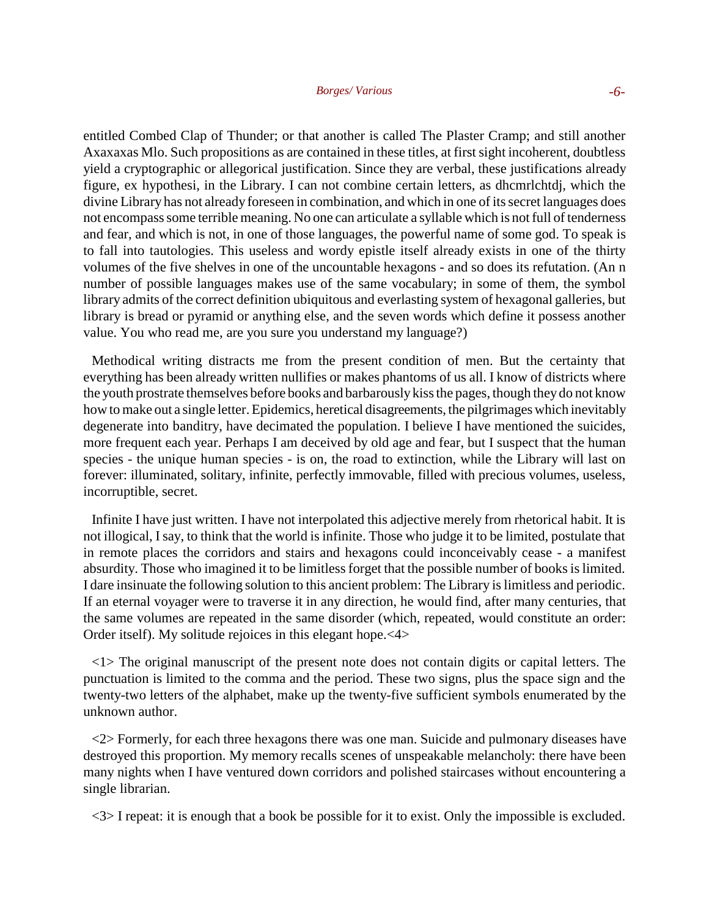#### *Borges/ Various -6-*

entitled Combed Clap of Thunder; or that another is called The Plaster Cramp; and still another Axaxaxas Mlo. Such propositions as are contained in these titles, at first sight incoherent, doubtless yield a cryptographic or allegorical justification. Since they are verbal, these justifications already figure, ex hypothesi, in the Library. I can not combine certain letters, as dhcmrlchtdj, which the divine Library has not already foreseen in combination, and which in one of its secret languages does not encompass some terrible meaning. No one can articulate a syllable which is not full of tenderness and fear, and which is not, in one of those languages, the powerful name of some god. To speak is to fall into tautologies. This useless and wordy epistle itself already exists in one of the thirty volumes of the five shelves in one of the uncountable hexagons - and so does its refutation. (An n number of possible languages makes use of the same vocabulary; in some of them, the symbol library admits of the correct definition ubiquitous and everlasting system of hexagonal galleries, but library is bread or pyramid or anything else, and the seven words which define it possess another value. You who read me, are you sure you understand my language?)

Methodical writing distracts me from the present condition of men. But the certainty that everything has been already written nullifies or makes phantoms of us all. I know of districts where the youth prostrate themselves before books and barbarouslykissthe pages, though they do not know how to make out a single letter. Epidemics, heretical disagreements, the pilgrimages which inevitably degenerate into banditry, have decimated the population. I believe I have mentioned the suicides, more frequent each year. Perhaps I am deceived by old age and fear, but I suspect that the human species - the unique human species - is on, the road to extinction, while the Library will last on forever: illuminated, solitary, infinite, perfectly immovable, filled with precious volumes, useless, incorruptible, secret.

Infinite I have just written. I have not interpolated this adjective merely from rhetorical habit. It is not illogical, Isay, to think that the world is infinite. Those who judge it to be limited, postulate that in remote places the corridors and stairs and hexagons could inconceivably cease - a manifest absurdity. Those who imagined it to be limitless forget that the possible number of books is limited. I dare insinuate the following solution to this ancient problem: The Library islimitless and periodic. If an eternal voyager were to traverse it in any direction, he would find, after many centuries, that the same volumes are repeated in the same disorder (which, repeated, would constitute an order: Order itself). My solitude rejoices in this elegant hope.<4>

<1> The original manuscript of the present note does not contain digits or capital letters. The punctuation is limited to the comma and the period. These two signs, plus the space sign and the twenty-two letters of the alphabet, make up the twenty-five sufficient symbols enumerated by the unknown author.

<2> Formerly, for each three hexagons there was one man. Suicide and pulmonary diseases have destroyed this proportion. My memory recalls scenes of unspeakable melancholy: there have been many nights when I have ventured down corridors and polished staircases without encountering a single librarian.

<3> I repeat: it is enough that a book be possible for it to exist. Only the impossible is excluded.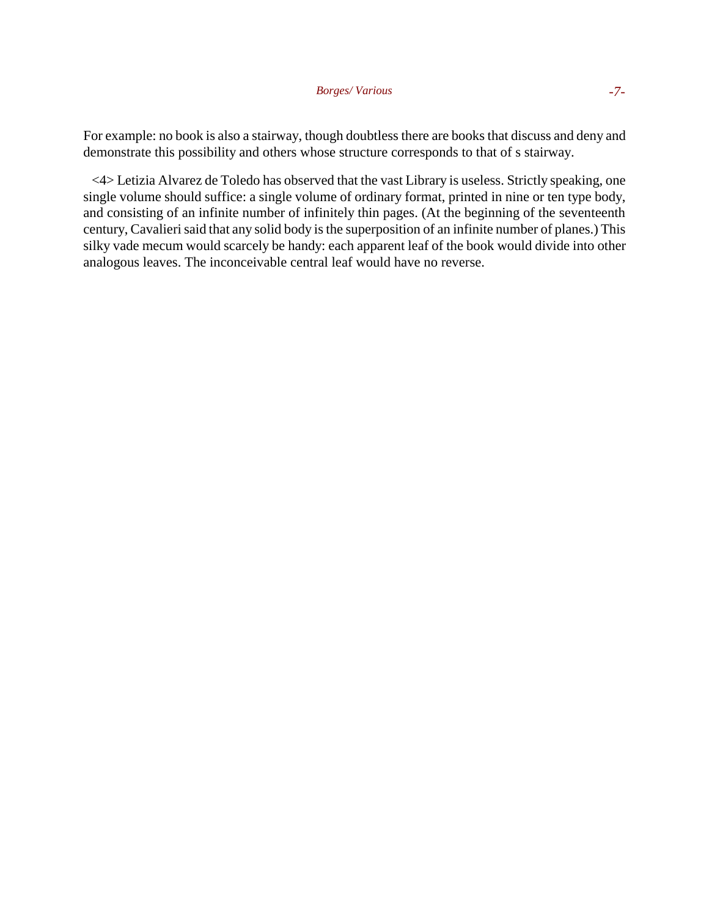For example: no book is also a stairway, though doubtless there are books that discuss and deny and demonstrate this possibility and others whose structure corresponds to that of s stairway.

<4> Letizia Alvarez de Toledo has observed that the vast Library is useless. Strictly speaking, one single volume should suffice: a single volume of ordinary format, printed in nine or ten type body, and consisting of an infinite number of infinitely thin pages. (At the beginning of the seventeenth century, Cavalieri said that any solid body is the superposition of an infinite number of planes.) This silky vade mecum would scarcely be handy: each apparent leaf of the book would divide into other analogous leaves. The inconceivable central leaf would have no reverse.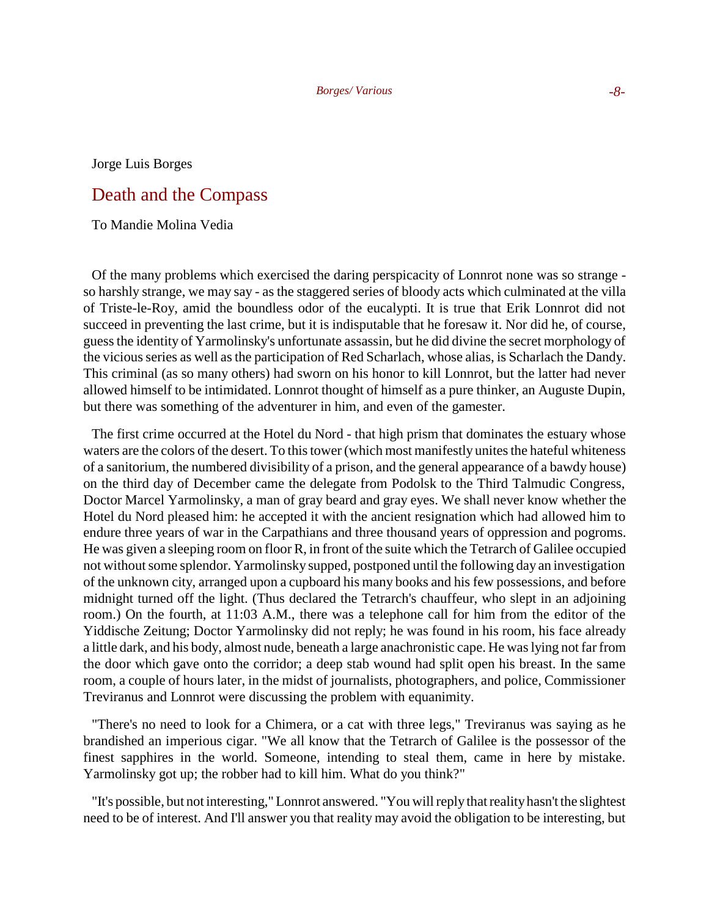Jorge Luis Borges

# Death and the Compass

To Mandie Molina Vedia

Of the many problems which exercised the daring perspicacity of Lonnrot none was so strange so harshly strange, we may say - as the staggered series of bloody acts which culminated at the villa of Triste-le-Roy, amid the boundless odor of the eucalypti. It is true that Erik Lonnrot did not succeed in preventing the last crime, but it is indisputable that he foresaw it. Nor did he, of course, guessthe identity of Yarmolinsky's unfortunate assassin, but he did divine the secret morphology of the vicious series as well as the participation of Red Scharlach, whose alias, is Scharlach the Dandy. This criminal (as so many others) had sworn on his honor to kill Lonnrot, but the latter had never allowed himself to be intimidated. Lonnrot thought of himself as a pure thinker, an Auguste Dupin, but there was something of the adventurer in him, and even of the gamester.

The first crime occurred at the Hotel du Nord - that high prism that dominates the estuary whose waters are the colors of the desert. To this tower (which most manifestly unites the hateful whiteness of a sanitorium, the numbered divisibility of a prison, and the general appearance of a bawdy house) on the third day of December came the delegate from Podolsk to the Third Talmudic Congress, Doctor Marcel Yarmolinsky, a man of gray beard and gray eyes. We shall never know whether the Hotel du Nord pleased him: he accepted it with the ancient resignation which had allowed him to endure three years of war in the Carpathians and three thousand years of oppression and pogroms. He was given a sleeping room on floor R, in front of the suite which the Tetrarch of Galilee occupied not without some splendor. Yarmolinsky supped, postponed until the following day an investigation of the unknown city, arranged upon a cupboard his many books and his few possessions, and before midnight turned off the light. (Thus declared the Tetrarch's chauffeur, who slept in an adjoining room.) On the fourth, at 11:03 A.M., there was a telephone call for him from the editor of the Yiddische Zeitung; Doctor Yarmolinsky did not reply; he was found in his room, his face already a little dark, and his body, almost nude, beneath a large anachronistic cape. He waslying not far from the door which gave onto the corridor; a deep stab wound had split open his breast. In the same room, a couple of hours later, in the midst of journalists, photographers, and police, Commissioner Treviranus and Lonnrot were discussing the problem with equanimity.

"There's no need to look for a Chimera, or a cat with three legs," Treviranus was saying as he brandished an imperious cigar. "We all know that the Tetrarch of Galilee is the possessor of the finest sapphires in the world. Someone, intending to steal them, came in here by mistake. Yarmolinsky got up; the robber had to kill him. What do you think?"

"It's possible, but not interesting,"Lonnrot answered. "You willreply thatrealityhasn't the slightest need to be of interest. And I'll answer you that reality may avoid the obligation to be interesting, but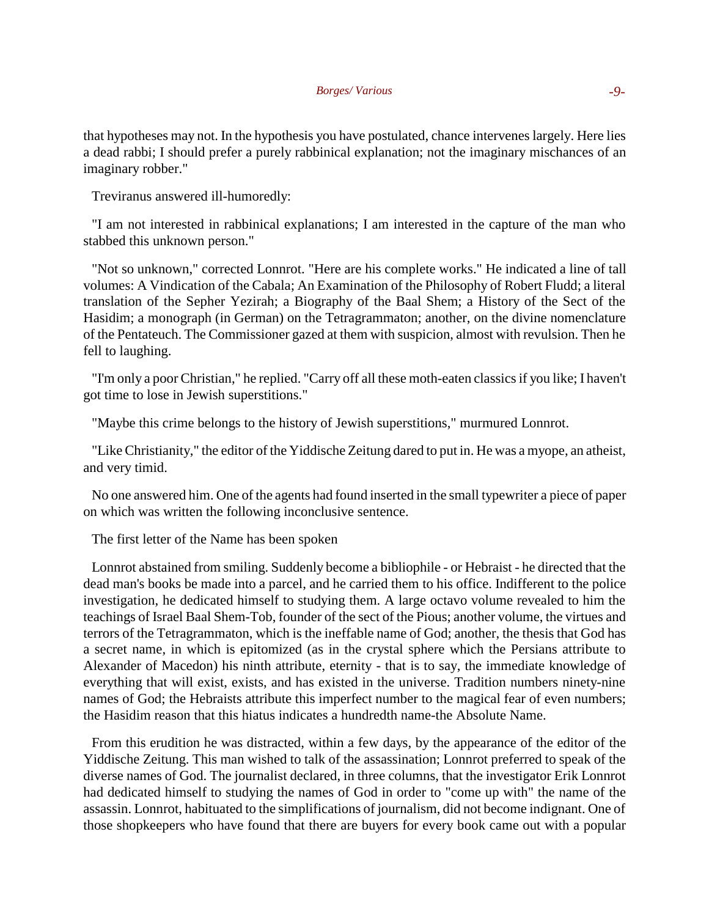that hypotheses may not. In the hypothesis you have postulated, chance intervenes largely. Here lies a dead rabbi; I should prefer a purely rabbinical explanation; not the imaginary mischances of an imaginary robber."

Treviranus answered ill-humoredly:

"I am not interested in rabbinical explanations; I am interested in the capture of the man who stabbed this unknown person."

"Not so unknown," corrected Lonnrot. "Here are his complete works." He indicated a line of tall volumes: A Vindication of the Cabala; An Examination of the Philosophy of Robert Fludd; a literal translation of the Sepher Yezirah; a Biography of the Baal Shem; a History of the Sect of the Hasidim; a monograph (in German) on the Tetragrammaton; another, on the divine nomenclature of the Pentateuch. The Commissioner gazed at them with suspicion, almost with revulsion. Then he fell to laughing.

"I'm only a poor Christian," he replied. "Carry off all these moth-eaten classicsif you like; I haven't got time to lose in Jewish superstitions."

"Maybe this crime belongs to the history of Jewish superstitions," murmured Lonnrot.

"Like Christianity," the editor of the Yiddische Zeitung dared to put in. He was a myope, an atheist, and very timid.

No one answered him. One of the agents had found inserted in the small typewriter a piece of paper on which was written the following inconclusive sentence.

The first letter of the Name has been spoken

Lonnrot abstained from smiling. Suddenly become a bibliophile - or Hebraist - he directed that the dead man's books be made into a parcel, and he carried them to his office. Indifferent to the police investigation, he dedicated himself to studying them. A large octavo volume revealed to him the teachings of Israel Baal Shem-Tob, founder of the sect of the Pious; another volume, the virtues and terrors of the Tetragrammaton, which is the ineffable name of God; another, the thesis that God has a secret name, in which is epitomized (as in the crystal sphere which the Persians attribute to Alexander of Macedon) his ninth attribute, eternity - that is to say, the immediate knowledge of everything that will exist, exists, and has existed in the universe. Tradition numbers ninety-nine names of God; the Hebraists attribute this imperfect number to the magical fear of even numbers; the Hasidim reason that this hiatus indicates a hundredth name-the Absolute Name.

From this erudition he was distracted, within a few days, by the appearance of the editor of the Yiddische Zeitung. This man wished to talk of the assassination; Lonnrot preferred to speak of the diverse names of God. The journalist declared, in three columns, that the investigator Erik Lonnrot had dedicated himself to studying the names of God in order to "come up with" the name of the assassin. Lonnrot, habituated to the simplifications of journalism, did not become indignant. One of those shopkeepers who have found that there are buyers for every book came out with a popular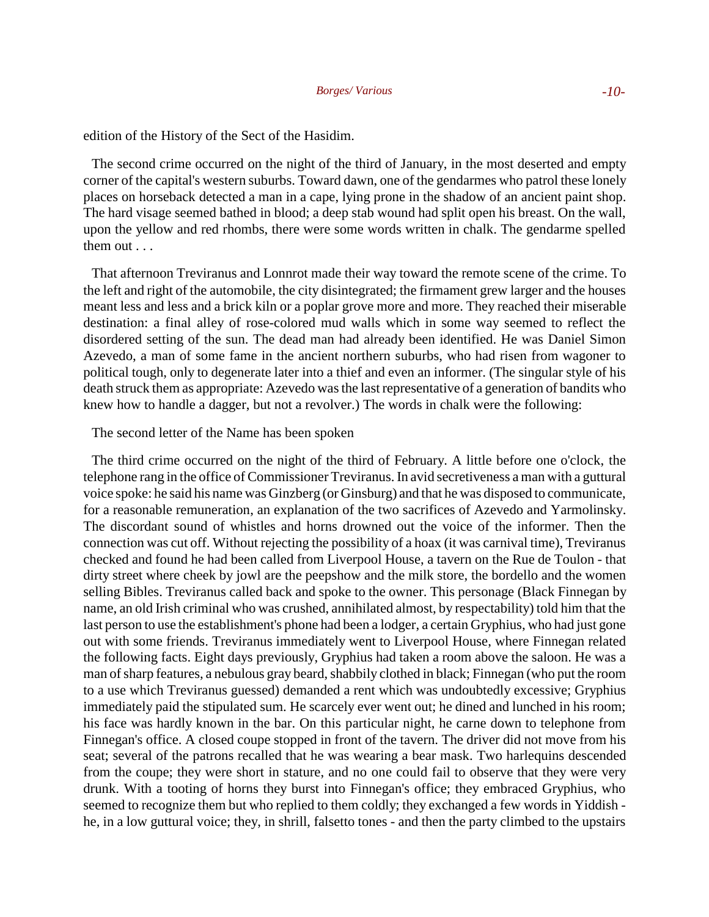edition of the History of the Sect of the Hasidim.

The second crime occurred on the night of the third of January, in the most deserted and empty corner of the capital's western suburbs. Toward dawn, one of the gendarmes who patrol these lonely places on horseback detected a man in a cape, lying prone in the shadow of an ancient paint shop. The hard visage seemed bathed in blood; a deep stab wound had split open his breast. On the wall, upon the yellow and red rhombs, there were some words written in chalk. The gendarme spelled them out ...

That afternoon Treviranus and Lonnrot made their way toward the remote scene of the crime. To the left and right of the automobile, the city disintegrated; the firmament grew larger and the houses meant less and less and a brick kiln or a poplar grove more and more. They reached their miserable destination: a final alley of rose-colored mud walls which in some way seemed to reflect the disordered setting of the sun. The dead man had already been identified. He was Daniel Simon Azevedo, a man of some fame in the ancient northern suburbs, who had risen from wagoner to political tough, only to degenerate later into a thief and even an informer. (The singular style of his death struck them as appropriate: Azevedo wasthe last representative of a generation of bandits who knew how to handle a dagger, but not a revolver.) The words in chalk were the following:

The second letter of the Name has been spoken

The third crime occurred on the night of the third of February. A little before one o'clock, the telephone rang in the office of Commissioner Treviranus. In avid secretiveness a man with a guttural voice spoke: he said his name was Ginzberg (or Ginsburg) and that he was disposed to communicate, for a reasonable remuneration, an explanation of the two sacrifices of Azevedo and Yarmolinsky. The discordant sound of whistles and horns drowned out the voice of the informer. Then the connection was cut off. Without rejecting the possibility of a hoax (it was carnival time), Treviranus checked and found he had been called from Liverpool House, a tavern on the Rue de Toulon - that dirty street where cheek by jowl are the peepshow and the milk store, the bordello and the women selling Bibles. Treviranus called back and spoke to the owner. This personage (Black Finnegan by name, an old Irish criminal who was crushed, annihilated almost, by respectability) told him that the last person to use the establishment's phone had been a lodger, a certain Gryphius, who had just gone out with some friends. Treviranus immediately went to Liverpool House, where Finnegan related the following facts. Eight days previously, Gryphius had taken a room above the saloon. He was a man of sharp features, a nebulous gray beard, shabbily clothed in black; Finnegan (who put the room to a use which Treviranus guessed) demanded a rent which was undoubtedly excessive; Gryphius immediately paid the stipulated sum. He scarcely ever went out; he dined and lunched in his room; his face was hardly known in the bar. On this particular night, he carne down to telephone from Finnegan's office. A closed coupe stopped in front of the tavern. The driver did not move from his seat; several of the patrons recalled that he was wearing a bear mask. Two harlequins descended from the coupe; they were short in stature, and no one could fail to observe that they were very drunk. With a tooting of horns they burst into Finnegan's office; they embraced Gryphius, who seemed to recognize them but who replied to them coldly; they exchanged a few words in Yiddish he, in a low guttural voice; they, in shrill, falsetto tones - and then the party climbed to the upstairs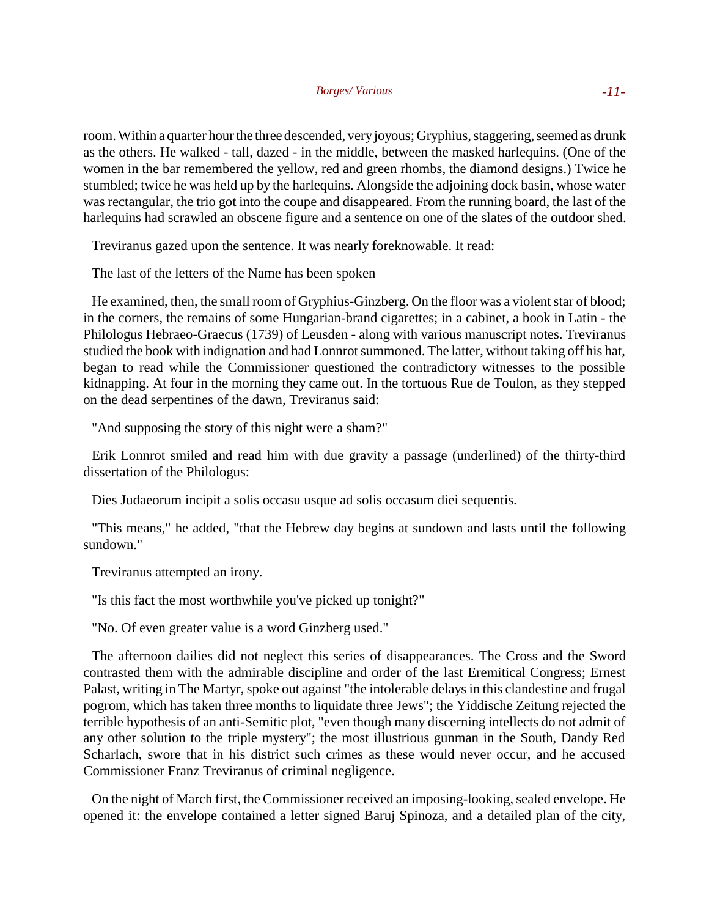room. Within a quarter hour the three descended, very joyous; Gryphius, staggering, seemed as drunk as the others. He walked - tall, dazed - in the middle, between the masked harlequins. (One of the women in the bar remembered the yellow, red and green rhombs, the diamond designs.) Twice he stumbled; twice he was held up by the harlequins. Alongside the adjoining dock basin, whose water was rectangular, the trio got into the coupe and disappeared. From the running board, the last of the harlequins had scrawled an obscene figure and a sentence on one of the slates of the outdoor shed.

Treviranus gazed upon the sentence. It was nearly foreknowable. It read:

The last of the letters of the Name has been spoken

He examined, then, the small room of Gryphius-Ginzberg. On the floor was a violent star of blood; in the corners, the remains of some Hungarian-brand cigarettes; in a cabinet, a book in Latin - the Philologus Hebraeo-Graecus (1739) of Leusden - along with various manuscript notes. Treviranus studied the book with indignation and had Lonnrot summoned. The latter, without taking off his hat, began to read while the Commissioner questioned the contradictory witnesses to the possible kidnapping. At four in the morning they came out. In the tortuous Rue de Toulon, as they stepped on the dead serpentines of the dawn, Treviranus said:

"And supposing the story of this night were a sham?"

Erik Lonnrot smiled and read him with due gravity a passage (underlined) of the thirty-third dissertation of the Philologus:

Dies Judaeorum incipit a solis occasu usque ad solis occasum diei sequentis.

"This means," he added, "that the Hebrew day begins at sundown and lasts until the following sundown."

Treviranus attempted an irony.

"Is this fact the most worthwhile you've picked up tonight?"

"No. Of even greater value is a word Ginzberg used."

The afternoon dailies did not neglect this series of disappearances. The Cross and the Sword contrasted them with the admirable discipline and order of the last Eremitical Congress; Ernest Palast, writing in The Martyr, spoke out against "the intolerable delays in this clandestine and frugal pogrom, which has taken three months to liquidate three Jews"; the Yiddische Zeitung rejected the terrible hypothesis of an anti-Semitic plot, "even though many discerning intellects do not admit of any other solution to the triple mystery"; the most illustrious gunman in the South, Dandy Red Scharlach, swore that in his district such crimes as these would never occur, and he accused Commissioner Franz Treviranus of criminal negligence.

On the night of March first, the Commissioner received an imposing-looking, sealed envelope. He opened it: the envelope contained a letter signed Baruj Spinoza, and a detailed plan of the city,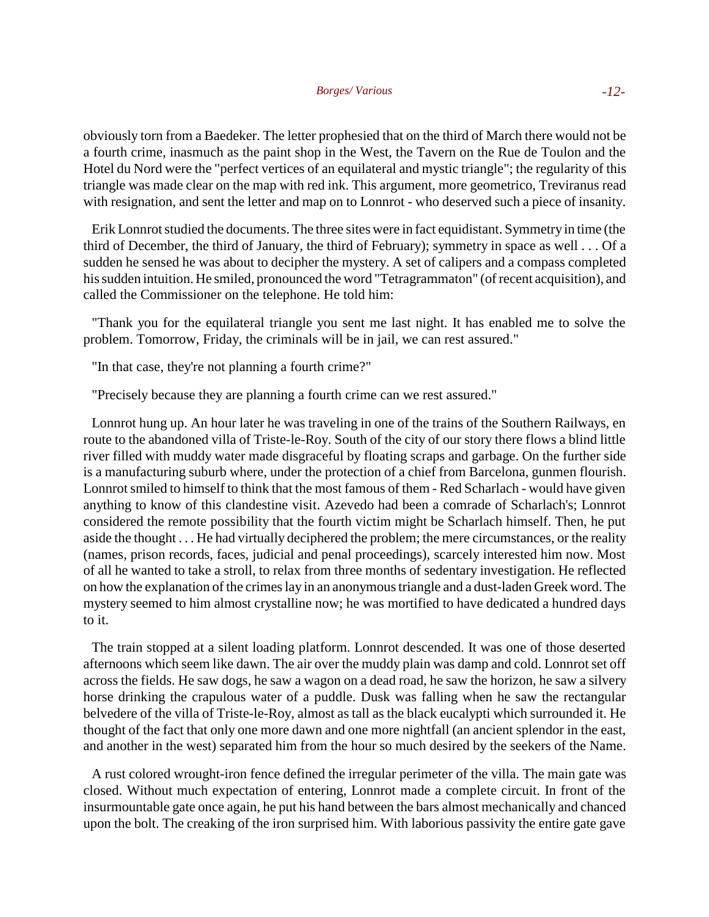obviously torn from a Baedeker. The letter prophesied that on the third of March there would not be a fourth crime, inasmuch as the paint shop in the West, the Tavern on the Rue de Toulon and the Hotel du Nord were the "perfect vertices of an equilateral and mystic triangle"; the regularity of this triangle was made clear on the map with red ink. This argument, more geometrico, Treviranus read with resignation, and sent the letter and map on to Lonnrot - who deserved such a piece of insanity.

Erik Lonnrot studied the documents. The three sites were in fact equidistant. Symmetry in time (the third of December, the third of January, the third of February); symmetry in space as well . . . Of a sudden he sensed he was about to decipher the mystery. A set of calipers and a compass completed his sudden intuition. He smiled, pronounced the word "Tetragrammaton" (of recent acquisition), and called the Commissioner on the telephone. He told him:

"Thank you for the equilateral triangle you sent me last night. It has enabled me to solve the problem. Tomorrow, Friday, the criminals will be in jail, we can rest assured."

"In that case, they're not planning a fourth crime?"

"Precisely because they are planning a fourth crime can we rest assured."

Lonnrot hung up. An hour later he was traveling in one of the trains of the Southern Railways, en route to the abandoned villa of Triste-le-Roy. South of the city of our story there flows a blind little river filled with muddy water made disgraceful by floating scraps and garbage. On the further side is a manufacturing suburb where, under the protection of a chief from Barcelona, gunmen flourish. Lonnrotsmiled to himself to think that the most famous of them - Red Scharlach - would have given anything to know of this clandestine visit. Azevedo had been a comrade of Scharlach's; Lonnrot considered the remote possibility that the fourth victim might be Scharlach himself. Then, he put aside the thought . . . He had virtually deciphered the problem; the mere circumstances, or the reality (names, prison records, faces, judicial and penal proceedings), scarcely interested him now. Most of all he wanted to take a stroll, to relax from three months of sedentary investigation. He reflected on how the explanation of the crimes lay in an anonymous triangle and a dust-laden Greek word. The mystery seemed to him almost crystalline now; he was mortified to have dedicated a hundred days to it.

The train stopped at a silent loading platform. Lonnrot descended. It was one of those deserted afternoons which seem like dawn. The air over the muddy plain was damp and cold. Lonnrot set off across the fields. He saw dogs, he saw a wagon on a dead road, he saw the horizon, he saw a silvery horse drinking the crapulous water of a puddle. Dusk was falling when he saw the rectangular belvedere of the villa of Triste-le-Roy, almost as tall as the black eucalypti which surrounded it. He thought of the fact that only one more dawn and one more nightfall (an ancient splendor in the east, and another in the west) separated him from the hour so much desired by the seekers of the Name.

A rust colored wrought-iron fence defined the irregular perimeter of the villa. The main gate was closed. Without much expectation of entering, Lonnrot made a complete circuit. In front of the insurmountable gate once again, he put his hand between the bars almost mechanically and chanced upon the bolt. The creaking of the iron surprised him. With laborious passivity the entire gate gave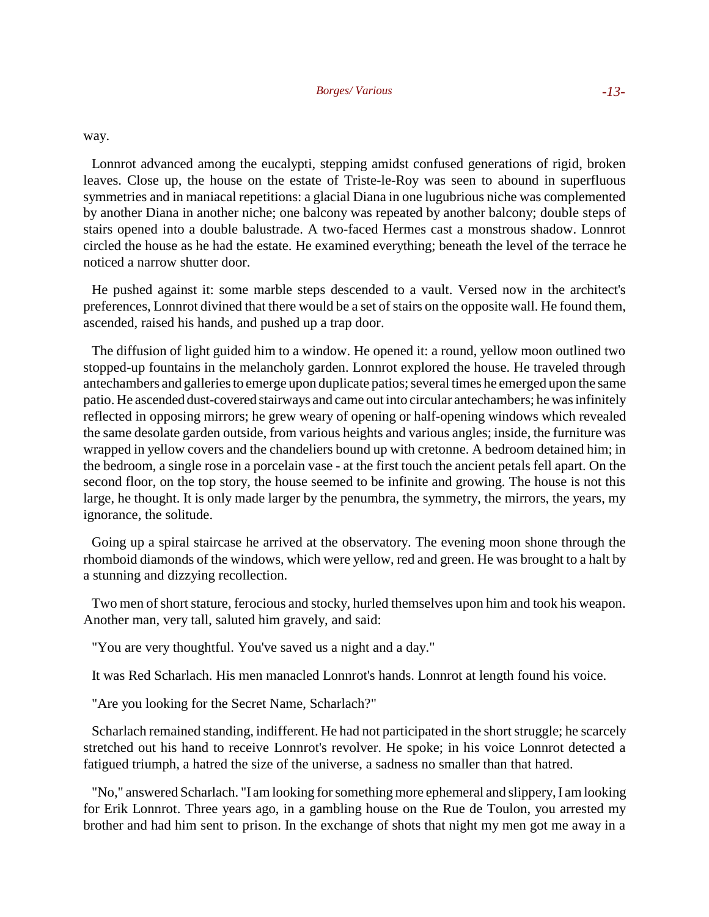#### way.

Lonnrot advanced among the eucalypti, stepping amidst confused generations of rigid, broken leaves. Close up, the house on the estate of Triste-le-Roy was seen to abound in superfluous symmetries and in maniacal repetitions: a glacial Diana in one lugubrious niche was complemented by another Diana in another niche; one balcony was repeated by another balcony; double steps of stairs opened into a double balustrade. A two-faced Hermes cast a monstrous shadow. Lonnrot circled the house as he had the estate. He examined everything; beneath the level of the terrace he noticed a narrow shutter door.

He pushed against it: some marble steps descended to a vault. Versed now in the architect's preferences, Lonnrot divined that there would be a set of stairs on the opposite wall. He found them, ascended, raised his hands, and pushed up a trap door.

The diffusion of light guided him to a window. He opened it: a round, yellow moon outlined two stopped-up fountains in the melancholy garden. Lonnrot explored the house. He traveled through antechambers and galleries to emerge upon duplicate patios; several times he emerged upon the same patio. He ascended dust-covered stairways and came out into circular antechambers; he was infinitely reflected in opposing mirrors; he grew weary of opening or half-opening windows which revealed the same desolate garden outside, from various heights and various angles; inside, the furniture was wrapped in yellow covers and the chandeliers bound up with cretonne. A bedroom detained him; in the bedroom, a single rose in a porcelain vase - at the first touch the ancient petals fell apart. On the second floor, on the top story, the house seemed to be infinite and growing. The house is not this large, he thought. It is only made larger by the penumbra, the symmetry, the mirrors, the years, my ignorance, the solitude.

Going up a spiral staircase he arrived at the observatory. The evening moon shone through the rhomboid diamonds of the windows, which were yellow, red and green. He was brought to a halt by a stunning and dizzying recollection.

Two men of short stature, ferocious and stocky, hurled themselves upon him and took his weapon. Another man, very tall, saluted him gravely, and said:

"You are very thoughtful. You've saved us a night and a day."

It was Red Scharlach. His men manacled Lonnrot's hands. Lonnrot at length found his voice.

"Are you looking for the Secret Name, Scharlach?"

Scharlach remained standing, indifferent. He had not participated in the short struggle; he scarcely stretched out his hand to receive Lonnrot's revolver. He spoke; in his voice Lonnrot detected a fatigued triumph, a hatred the size of the universe, a sadness no smaller than that hatred.

"No," answered Scharlach. "I am looking forsomethingmore ephemeral and slippery,I am looking for Erik Lonnrot. Three years ago, in a gambling house on the Rue de Toulon, you arrested my brother and had him sent to prison. In the exchange of shots that night my men got me away in a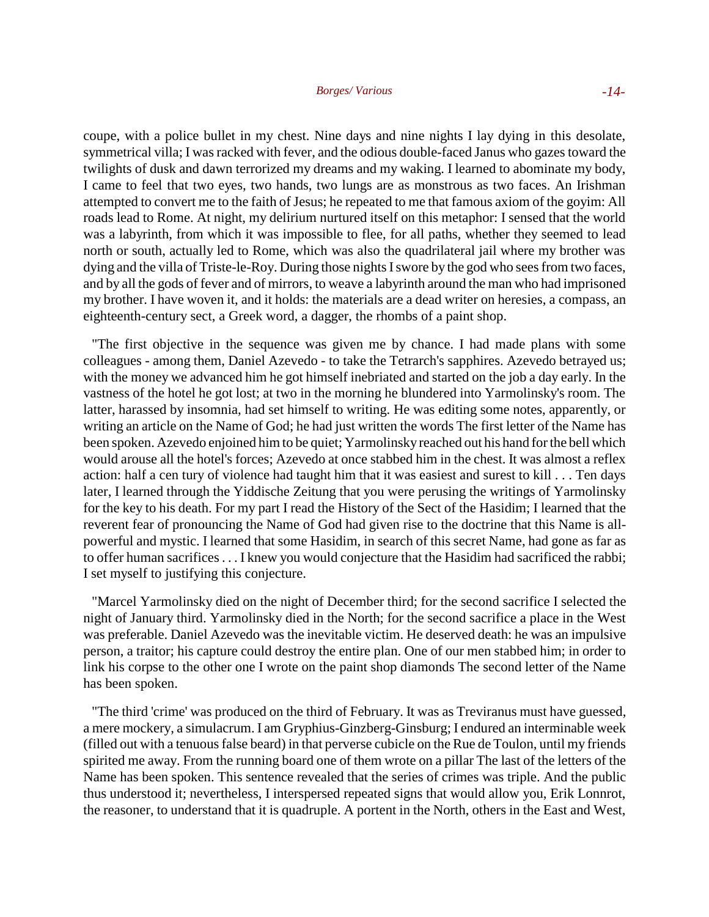#### *Borges/ Various -14-*

coupe, with a police bullet in my chest. Nine days and nine nights I lay dying in this desolate, symmetrical villa; I was racked with fever, and the odious double-faced Janus who gazes toward the twilights of dusk and dawn terrorized my dreams and my waking. I learned to abominate my body, I came to feel that two eyes, two hands, two lungs are as monstrous as two faces. An Irishman attempted to convert me to the faith of Jesus; he repeated to me that famous axiom of the goyim: All roads lead to Rome. At night, my delirium nurtured itself on this metaphor: I sensed that the world was a labyrinth, from which it was impossible to flee, for all paths, whether they seemed to lead north or south, actually led to Rome, which was also the quadrilateral jail where my brother was dying and the villa of Triste-le-Roy. During those nights I swore by the god who sees from two faces, and by all the gods of fever and of mirrors, to weave a labyrinth around the man who had imprisoned my brother. I have woven it, and it holds: the materials are a dead writer on heresies, a compass, an eighteenth-century sect, a Greek word, a dagger, the rhombs of a paint shop.

"The first objective in the sequence was given me by chance. I had made plans with some colleagues - among them, Daniel Azevedo - to take the Tetrarch's sapphires. Azevedo betrayed us; with the money we advanced him he got himself inebriated and started on the job a day early. In the vastness of the hotel he got lost; at two in the morning he blundered into Yarmolinsky's room. The latter, harassed by insomnia, had set himself to writing. He was editing some notes, apparently, or writing an article on the Name of God; he had just written the words The first letter of the Name has been spoken. Azevedo enjoined him to be quiet; Yarmolinsky reached out his hand forthe bell which would arouse all the hotel's forces; Azevedo at once stabbed him in the chest. It was almost a reflex action: half a cen tury of violence had taught him that it was easiest and surest to kill . . . Ten days later, I learned through the Yiddische Zeitung that you were perusing the writings of Yarmolinsky for the key to his death. For my part I read the History of the Sect of the Hasidim; I learned that the reverent fear of pronouncing the Name of God had given rise to the doctrine that this Name is allpowerful and mystic. I learned that some Hasidim, in search of this secret Name, had gone as far as to offer human sacrifices. . . I knew you would conjecture that the Hasidim had sacrificed the rabbi; I set myself to justifying this conjecture.

"Marcel Yarmolinsky died on the night of December third; for the second sacrifice I selected the night of January third. Yarmolinsky died in the North; for the second sacrifice a place in the West was preferable. Daniel Azevedo was the inevitable victim. He deserved death: he was an impulsive person, a traitor; his capture could destroy the entire plan. One of our men stabbed him; in order to link his corpse to the other one I wrote on the paint shop diamonds The second letter of the Name has been spoken.

"The third 'crime' was produced on the third of February. It was as Treviranus must have guessed, a mere mockery, a simulacrum. I am Gryphius-Ginzberg-Ginsburg; I endured an interminable week (filled out with a tenuousfalse beard) in that perverse cubicle on the Rue de Toulon, until my friends spirited me away. From the running board one of them wrote on a pillar The last of the letters of the Name has been spoken. This sentence revealed that the series of crimes was triple. And the public thus understood it; nevertheless, I interspersed repeated signs that would allow you, Erik Lonnrot, the reasoner, to understand that it is quadruple. A portent in the North, others in the East and West,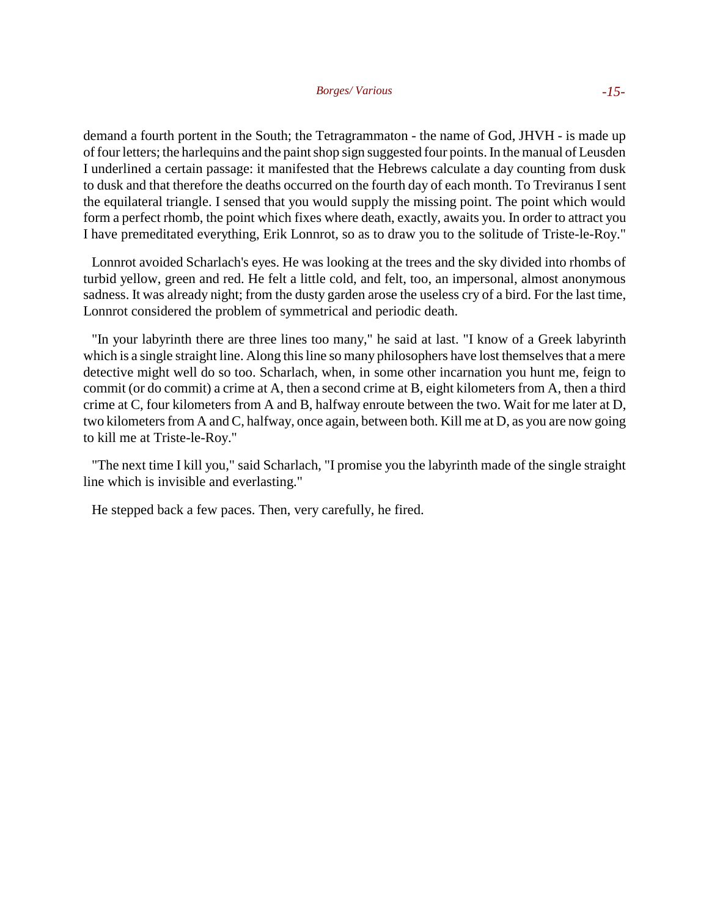demand a fourth portent in the South; the Tetragrammaton - the name of God, JHVH - is made up of four letters; the harlequins and the paint shop sign suggested four points. In the manual of Leusden I underlined a certain passage: it manifested that the Hebrews calculate a day counting from dusk to dusk and that therefore the deaths occurred on the fourth day of each month. To Treviranus I sent the equilateral triangle. I sensed that you would supply the missing point. The point which would form a perfect rhomb, the point which fixes where death, exactly, awaits you. In order to attract you I have premeditated everything, Erik Lonnrot, so as to draw you to the solitude of Triste-le-Roy."

Lonnrot avoided Scharlach's eyes. He was looking at the trees and the sky divided into rhombs of turbid yellow, green and red. He felt a little cold, and felt, too, an impersonal, almost anonymous sadness. It was already night; from the dusty garden arose the useless cry of a bird. For the last time, Lonnrot considered the problem of symmetrical and periodic death.

"In your labyrinth there are three lines too many," he said at last. "I know of a Greek labyrinth which is a single straight line. Along this line so many philosophers have lost themselves that a mere detective might well do so too. Scharlach, when, in some other incarnation you hunt me, feign to commit (or do commit) a crime at A, then a second crime at B, eight kilometers from A, then a third crime at C, four kilometers from A and B, halfway enroute between the two. Wait for me later at D, two kilometers from A and C, halfway, once again, between both. Kill me at D, as you are now going to kill me at Triste-le-Roy."

"The next time I kill you," said Scharlach, "I promise you the labyrinth made of the single straight line which is invisible and everlasting."

He stepped back a few paces. Then, very carefully, he fired.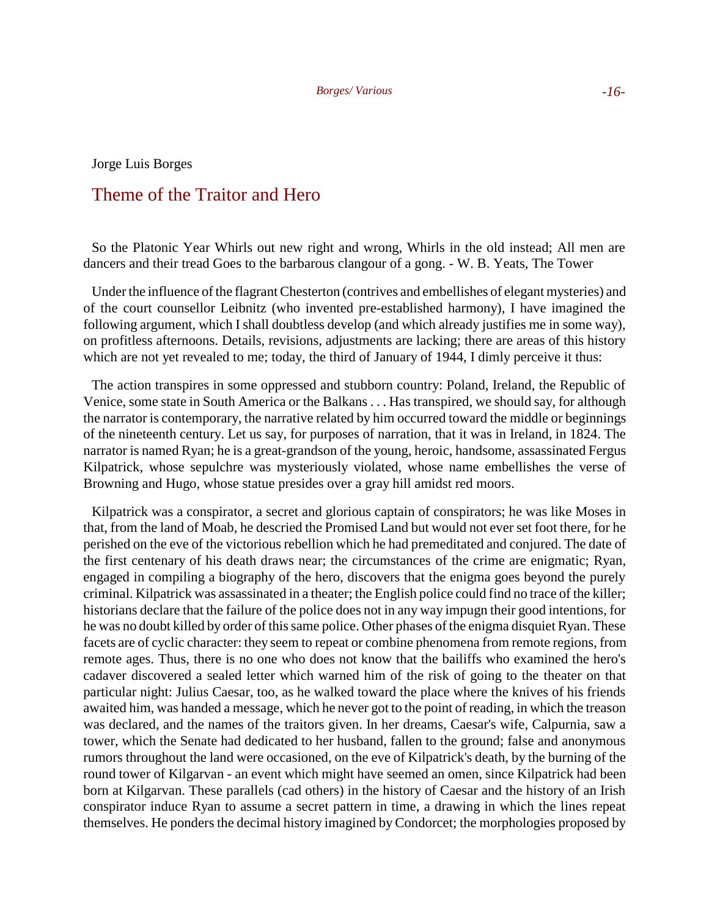Jorge Luis Borges

## Theme of the Traitor and Hero

So the Platonic Year Whirls out new right and wrong, Whirls in the old instead; All men are dancers and their tread Goes to the barbarous clangour of a gong. - W. B. Yeats, The Tower

Under the influence of the flagrant Chesterton (contrives and embellishes of elegant mysteries) and of the court counsellor Leibnitz (who invented pre-established harmony), I have imagined the following argument, which I shall doubtless develop (and which already justifies me in some way), on profitless afternoons. Details, revisions, adjustments are lacking; there are areas of this history which are not yet revealed to me; today, the third of January of 1944, I dimly perceive it thus:

The action transpires in some oppressed and stubborn country: Poland, Ireland, the Republic of Venice, some state in South America or the Balkans . . . Has transpired, we should say, for although the narrator is contemporary, the narrative related by him occurred toward the middle or beginnings of the nineteenth century. Let us say, for purposes of narration, that it was in Ireland, in 1824. The narrator is named Ryan; he is a great-grandson of the young, heroic, handsome, assassinated Fergus Kilpatrick, whose sepulchre was mysteriously violated, whose name embellishes the verse of Browning and Hugo, whose statue presides over a gray hill amidst red moors.

Kilpatrick was a conspirator, a secret and glorious captain of conspirators; he was like Moses in that, from the land of Moab, he descried the Promised Land but would not ever set foot there, for he perished on the eve of the victorious rebellion which he had premeditated and conjured. The date of the first centenary of his death draws near; the circumstances of the crime are enigmatic; Ryan, engaged in compiling a biography of the hero, discovers that the enigma goes beyond the purely criminal. Kilpatrick was assassinated in a theater; the English police could find no trace of the killer; historians declare that the failure of the police does not in any way impugn their good intentions, for he was no doubt killed by order of this same police. Other phases of the enigma disquiet Ryan. These facets are of cyclic character: they seem to repeat or combine phenomena from remote regions, from remote ages. Thus, there is no one who does not know that the bailiffs who examined the hero's cadaver discovered a sealed letter which warned him of the risk of going to the theater on that particular night: Julius Caesar, too, as he walked toward the place where the knives of his friends awaited him, was handed a message, which he never got to the point of reading, in which the treason was declared, and the names of the traitors given. In her dreams, Caesar's wife, Calpurnia, saw a tower, which the Senate had dedicated to her husband, fallen to the ground; false and anonymous rumors throughout the land were occasioned, on the eve of Kilpatrick's death, by the burning of the round tower of Kilgarvan - an event which might have seemed an omen, since Kilpatrick had been born at Kilgarvan. These parallels (cad others) in the history of Caesar and the history of an Irish conspirator induce Ryan to assume a secret pattern in time, a drawing in which the lines repeat themselves. He ponders the decimal history imagined by Condorcet; the morphologies proposed by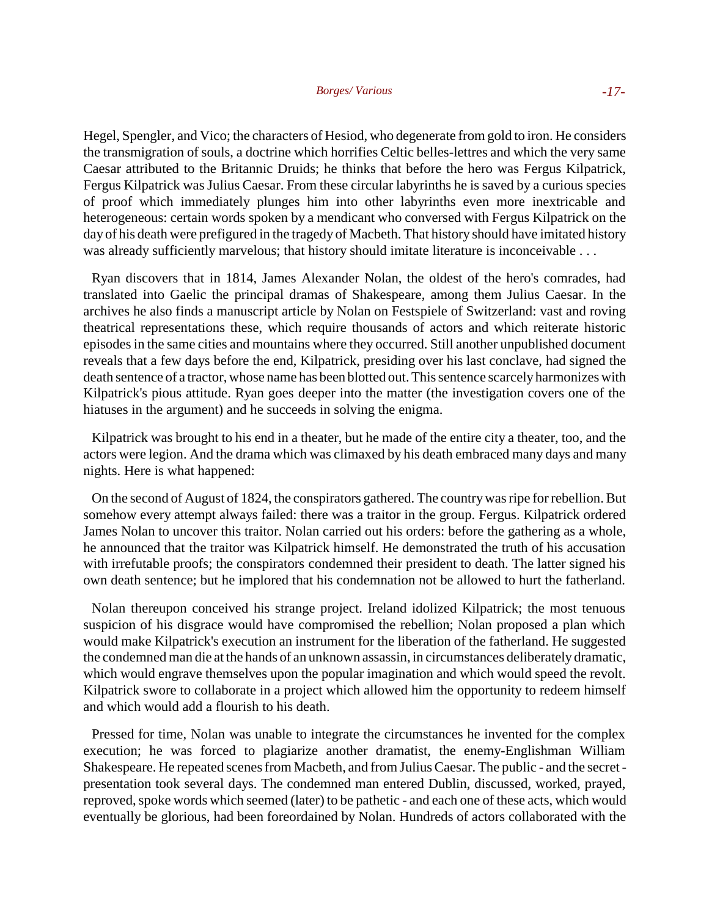#### *Borges/ Various -17-*

Hegel, Spengler, and Vico; the characters of Hesiod, who degenerate from gold to iron. He considers the transmigration of souls, a doctrine which horrifies Celtic belles-lettres and which the very same Caesar attributed to the Britannic Druids; he thinks that before the hero was Fergus Kilpatrick, Fergus Kilpatrick was Julius Caesar. From these circular labyrinths he is saved by a curious species of proof which immediately plunges him into other labyrinths even more inextricable and heterogeneous: certain words spoken by a mendicant who conversed with Fergus Kilpatrick on the day of his death were prefigured in the tragedy of Macbeth. That history should have imitated history was already sufficiently marvelous; that history should imitate literature is inconceivable . . .

Ryan discovers that in 1814, James Alexander Nolan, the oldest of the hero's comrades, had translated into Gaelic the principal dramas of Shakespeare, among them Julius Caesar. In the archives he also finds a manuscript article by Nolan on Festspiele of Switzerland: vast and roving theatrical representations these, which require thousands of actors and which reiterate historic episodes in the same cities and mountains where they occurred. Still another unpublished document reveals that a few days before the end, Kilpatrick, presiding over his last conclave, had signed the death sentence of a tractor, whose name has been blotted out. This sentence scarcely harmonizes with Kilpatrick's pious attitude. Ryan goes deeper into the matter (the investigation covers one of the hiatuses in the argument) and he succeeds in solving the enigma.

Kilpatrick was brought to his end in a theater, but he made of the entire city a theater, too, and the actors were legion. And the drama which was climaxed by his death embraced many days and many nights. Here is what happened:

On the second of August of 1824, the conspirators gathered. The countrywasripe forrebellion.But somehow every attempt always failed: there was a traitor in the group. Fergus. Kilpatrick ordered James Nolan to uncover this traitor. Nolan carried out his orders: before the gathering as a whole, he announced that the traitor was Kilpatrick himself. He demonstrated the truth of his accusation with irrefutable proofs; the conspirators condemned their president to death. The latter signed his own death sentence; but he implored that his condemnation not be allowed to hurt the fatherland.

Nolan thereupon conceived his strange project. Ireland idolized Kilpatrick; the most tenuous suspicion of his disgrace would have compromised the rebellion; Nolan proposed a plan which would make Kilpatrick's execution an instrument for the liberation of the fatherland. He suggested the condemned man die at the hands of an unknown assassin, in circumstances deliberately dramatic, which would engrave themselves upon the popular imagination and which would speed the revolt. Kilpatrick swore to collaborate in a project which allowed him the opportunity to redeem himself and which would add a flourish to his death.

Pressed for time, Nolan was unable to integrate the circumstances he invented for the complex execution; he was forced to plagiarize another dramatist, the enemy-Englishman William Shakespeare. He repeated scenes from Macbeth, and from Julius Caesar. The public - and the secret presentation took several days. The condemned man entered Dublin, discussed, worked, prayed, reproved, spoke words which seemed (later) to be pathetic - and each one of these acts, which would eventually be glorious, had been foreordained by Nolan. Hundreds of actors collaborated with the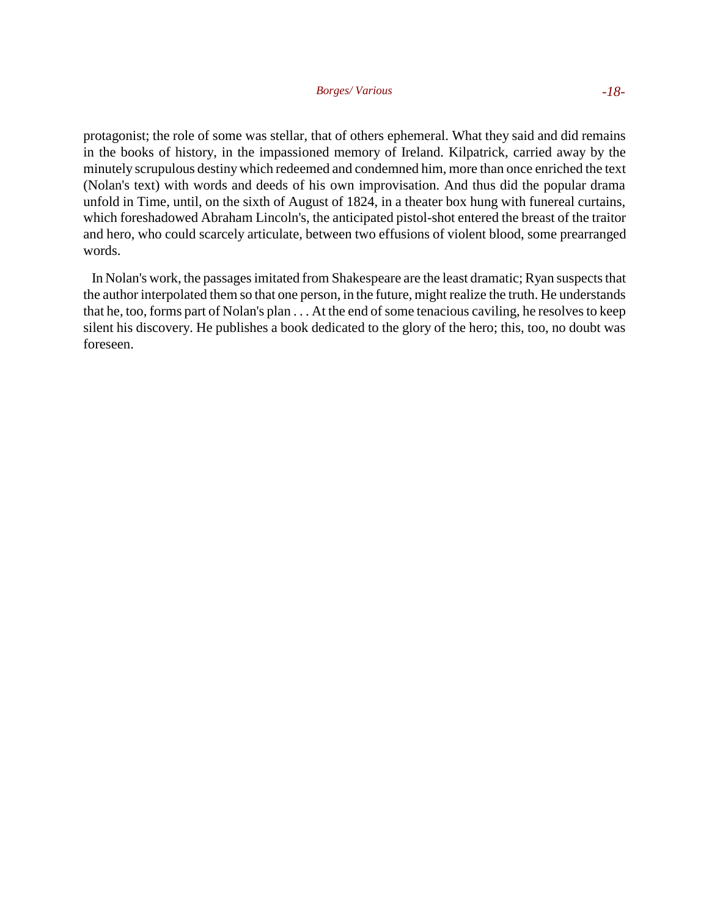protagonist; the role of some was stellar, that of others ephemeral. What they said and did remains in the books of history, in the impassioned memory of Ireland. Kilpatrick, carried away by the minutely scrupulous destinywhich redeemed and condemned him, more than once enriched the text (Nolan's text) with words and deeds of his own improvisation. And thus did the popular drama unfold in Time, until, on the sixth of August of 1824, in a theater box hung with funereal curtains, which foreshadowed Abraham Lincoln's, the anticipated pistol-shot entered the breast of the traitor and hero, who could scarcely articulate, between two effusions of violent blood, some prearranged words.

In Nolan's work, the passages imitated from Shakespeare are the least dramatic; Ryan suspects that the author interpolated them so that one person, in the future, might realize the truth. He understands that he, too, forms part of Nolan's plan ... At the end of some tenacious caviling, he resolves to keep silent his discovery. He publishes a book dedicated to the glory of the hero; this, too, no doubt was foreseen.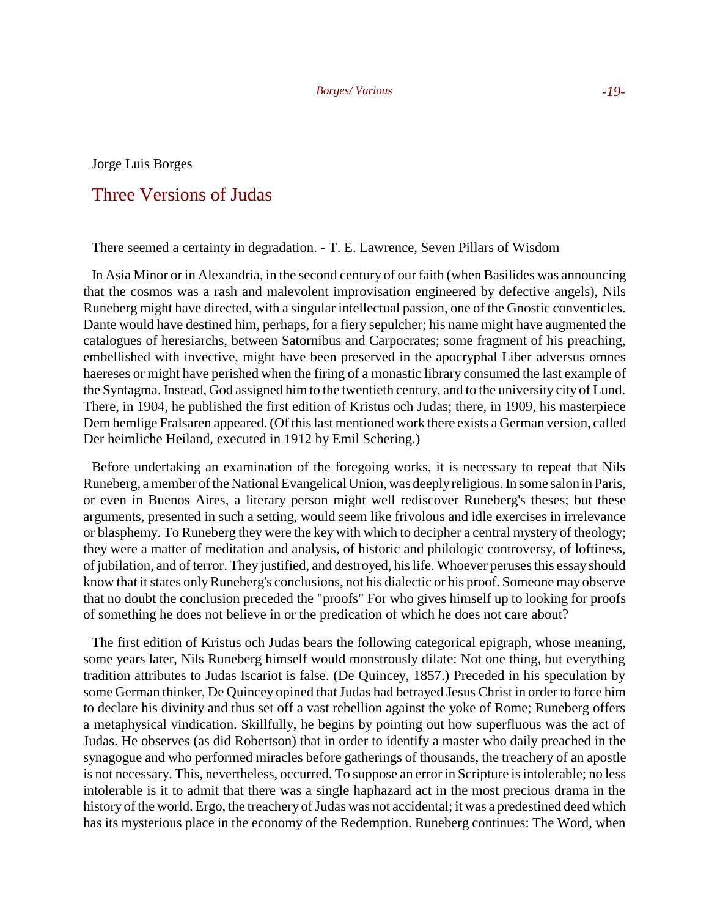Jorge Luis Borges

# Three Versions of Judas

There seemed a certainty in degradation. - T. E. Lawrence, Seven Pillars of Wisdom

In Asia Minor or in Alexandria, in the second century of our faith (when Basilides was announcing that the cosmos was a rash and malevolent improvisation engineered by defective angels), Nils Runeberg might have directed, with a singular intellectual passion, one of the Gnostic conventicles. Dante would have destined him, perhaps, for a fiery sepulcher; his name might have augmented the catalogues of heresiarchs, between Satornibus and Carpocrates; some fragment of his preaching, embellished with invective, might have been preserved in the apocryphal Liber adversus omnes haereses or might have perished when the firing of a monastic library consumed the last example of the Syntagma. Instead, God assigned him to the twentieth century, and to the university city of Lund. There, in 1904, he published the first edition of Kristus och Judas; there, in 1909, his masterpiece Dem hemlige Fralsaren appeared. (Of this last mentioned work there exists a German version, called Der heimliche Heiland, executed in 1912 by Emil Schering.)

Before undertaking an examination of the foregoing works, it is necessary to repeat that Nils Runeberg, a member of the National Evangelical Union, was deeply religious. In some salon in Paris, or even in Buenos Aires, a literary person might well rediscover Runeberg's theses; but these arguments, presented in such a setting, would seem like frivolous and idle exercises in irrelevance or blasphemy. To Runeberg they were the key with which to decipher a central mystery of theology; they were a matter of meditation and analysis, of historic and philologic controversy, of loftiness, of jubilation, and of terror. They justified, and destroyed, hislife. Whoever perusesthis essay should know that it states only Runeberg's conclusions, not his dialectic or his proof. Someone may observe that no doubt the conclusion preceded the "proofs" For who gives himself up to looking for proofs of something he does not believe in or the predication of which he does not care about?

The first edition of Kristus och Judas bears the following categorical epigraph, whose meaning, some years later, Nils Runeberg himself would monstrously dilate: Not one thing, but everything tradition attributes to Judas Iscariot is false. (De Quincey, 1857.) Preceded in his speculation by some German thinker, De Quincey opined that Judas had betrayed Jesus Christ in order to force him to declare his divinity and thus set off a vast rebellion against the yoke of Rome; Runeberg offers a metaphysical vindication. Skillfully, he begins by pointing out how superfluous was the act of Judas. He observes (as did Robertson) that in order to identify a master who daily preached in the synagogue and who performed miracles before gatherings of thousands, the treachery of an apostle is not necessary. This, nevertheless, occurred. To suppose an error in Scripture is intolerable; no less intolerable is it to admit that there was a single haphazard act in the most precious drama in the history of the world. Ergo, the treachery of Judas was not accidental; it was a predestined deed which has its mysterious place in the economy of the Redemption. Runeberg continues: The Word, when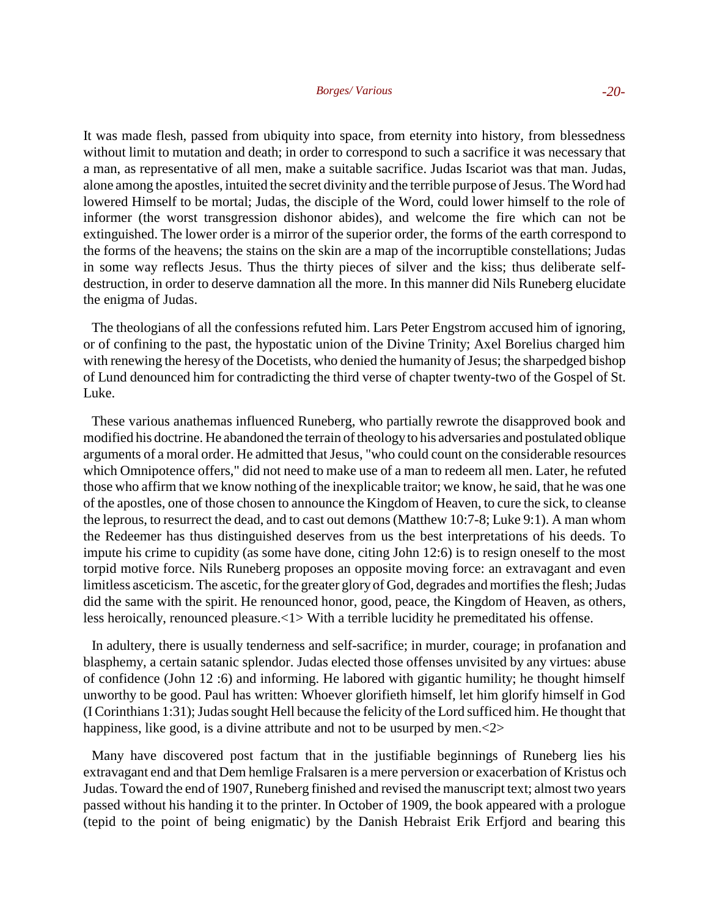#### *Borges/ Various -20-*

It was made flesh, passed from ubiquity into space, from eternity into history, from blessedness without limit to mutation and death; in order to correspond to such a sacrifice it was necessary that a man, as representative of all men, make a suitable sacrifice. Judas Iscariot was that man. Judas, alone among the apostles, intuited the secret divinity and the terrible purpose of Jesus. The Word had lowered Himself to be mortal; Judas, the disciple of the Word, could lower himself to the role of informer (the worst transgression dishonor abides), and welcome the fire which can not be extinguished. The lower order is a mirror of the superior order, the forms of the earth correspond to the forms of the heavens; the stains on the skin are a map of the incorruptible constellations; Judas in some way reflects Jesus. Thus the thirty pieces of silver and the kiss; thus deliberate selfdestruction, in order to deserve damnation all the more. In this manner did Nils Runeberg elucidate the enigma of Judas.

The theologians of all the confessions refuted him. Lars Peter Engstrom accused him of ignoring, or of confining to the past, the hypostatic union of the Divine Trinity; Axel Borelius charged him with renewing the heresy of the Docetists, who denied the humanity of Jesus; the sharpedged bishop of Lund denounced him for contradicting the third verse of chapter twenty-two of the Gospel of St. Luke.

These various anathemas influenced Runeberg, who partially rewrote the disapproved book and modified his doctrine. He abandoned the terrain of theology to his adversaries and postulated oblique arguments of a moral order. He admitted that Jesus, "who could count on the considerable resources which Omnipotence offers," did not need to make use of a man to redeem all men. Later, he refuted those who affirm that we know nothing of the inexplicable traitor; we know, he said, that he was one of the apostles, one of those chosen to announce the Kingdom of Heaven, to cure the sick, to cleanse the leprous, to resurrect the dead, and to cast out demons(Matthew 10:7-8; Luke 9:1). A man whom the Redeemer has thus distinguished deserves from us the best interpretations of his deeds. To impute his crime to cupidity (as some have done, citing John 12:6) is to resign oneself to the most torpid motive force. Nils Runeberg proposes an opposite moving force: an extravagant and even limitless asceticism. The ascetic, for the greater glory of God, degrades and mortifies the flesh; Judas did the same with the spirit. He renounced honor, good, peace, the Kingdom of Heaven, as others, less heroically, renounced pleasure.<1> With a terrible lucidity he premeditated his offense.

In adultery, there is usually tenderness and self-sacrifice; in murder, courage; in profanation and blasphemy, a certain satanic splendor. Judas elected those offenses unvisited by any virtues: abuse of confidence (John 12 :6) and informing. He labored with gigantic humility; he thought himself unworthy to be good. Paul has written: Whoever glorifieth himself, let him glorify himself in God (I Corinthians 1:31); Judas sought Hell because the felicity of the Lord sufficed him. He thought that happiness, like good, is a divine attribute and not to be usurped by men. < 2>

Many have discovered post factum that in the justifiable beginnings of Runeberg lies his extravagant end and that Dem hemlige Fralsaren is a mere perversion or exacerbation of Kristus och Judas. Toward the end of 1907, Runeberg finished and revised the manuscript text; almost two years passed without his handing it to the printer. In October of 1909, the book appeared with a prologue (tepid to the point of being enigmatic) by the Danish Hebraist Erik Erfjord and bearing this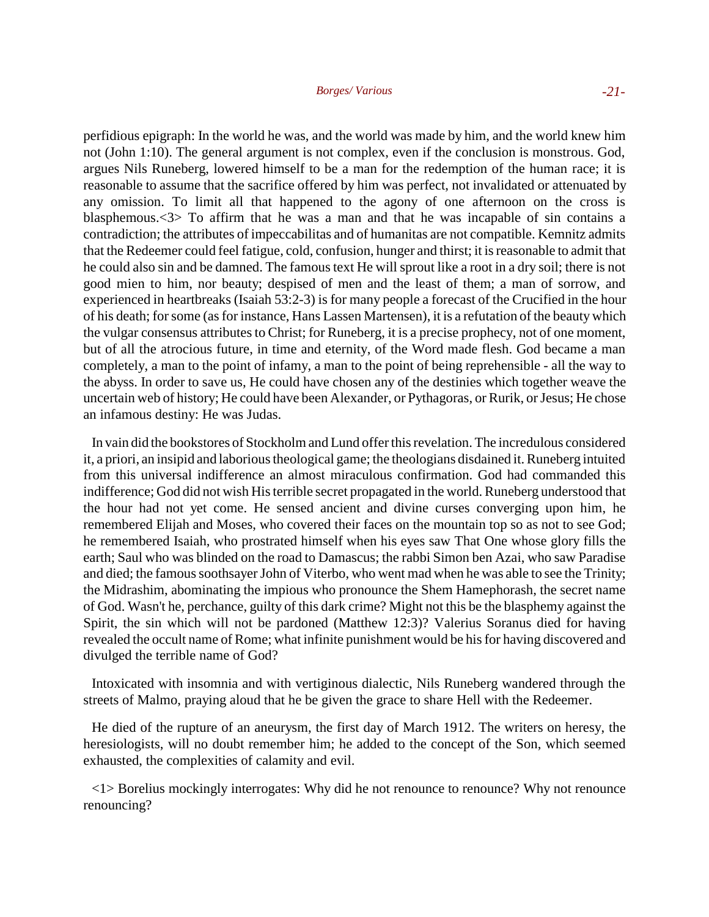#### *Borges/ Various -21-*

perfidious epigraph: In the world he was, and the world was made by him, and the world knew him not (John 1:10). The general argument is not complex, even if the conclusion is monstrous. God, argues Nils Runeberg, lowered himself to be a man for the redemption of the human race; it is reasonable to assume that the sacrifice offered by him was perfect, not invalidated or attenuated by any omission. To limit all that happened to the agony of one afternoon on the cross is blasphemous.<3> To affirm that he was a man and that he was incapable of sin contains a contradiction; the attributes of impeccabilitas and of humanitas are not compatible. Kemnitz admits that the Redeemer could feel fatigue, cold, confusion, hunger and thirst; it isreasonable to admit that he could also sin and be damned. The famous text He will sprout like a root in a dry soil; there is not good mien to him, nor beauty; despised of men and the least of them; a man of sorrow, and experienced in heartbreaks (Isaiah 53:2-3) is for many people a forecast of the Crucified in the hour of his death; forsome (asfor instance, Hans Lassen Martensen), it is a refutation of the beauty which the vulgar consensus attributes to Christ; for Runeberg, it is a precise prophecy, not of one moment, but of all the atrocious future, in time and eternity, of the Word made flesh. God became a man completely, a man to the point of infamy, a man to the point of being reprehensible - all the way to the abyss. In order to save us, He could have chosen any of the destinies which together weave the uncertain web of history; He could have been Alexander, or Pythagoras, or Rurik, orJesus; He chose an infamous destiny: He was Judas.

In vain did the bookstores of Stockholm and Lund offer this revelation. The incredulous considered it, a priori, an insipid and laborious theological game; the theologians disdained it. Runeberg intuited from this universal indifference an almost miraculous confirmation. God had commanded this indifference; God did not wish Histerrible secret propagated in the world. Runeberg understood that the hour had not yet come. He sensed ancient and divine curses converging upon him, he remembered Elijah and Moses, who covered their faces on the mountain top so as not to see God; he remembered Isaiah, who prostrated himself when his eyes saw That One whose glory fills the earth; Saul who was blinded on the road to Damascus; the rabbi Simon ben Azai, who saw Paradise and died; the famous soothsayer John of Viterbo, who went mad when he was able to see the Trinity; the Midrashim, abominating the impious who pronounce the Shem Hamephorash, the secret name of God. Wasn't he, perchance, guilty of this dark crime? Might not this be the blasphemy against the Spirit, the sin which will not be pardoned (Matthew 12:3)? Valerius Soranus died for having revealed the occult name of Rome; what infinite punishment would be his for having discovered and divulged the terrible name of God?

Intoxicated with insomnia and with vertiginous dialectic, Nils Runeberg wandered through the streets of Malmo, praying aloud that he be given the grace to share Hell with the Redeemer.

He died of the rupture of an aneurysm, the first day of March 1912. The writers on heresy, the heresiologists, will no doubt remember him; he added to the concept of the Son, which seemed exhausted, the complexities of calamity and evil.

<1> Borelius mockingly interrogates: Why did he not renounce to renounce? Why not renounce renouncing?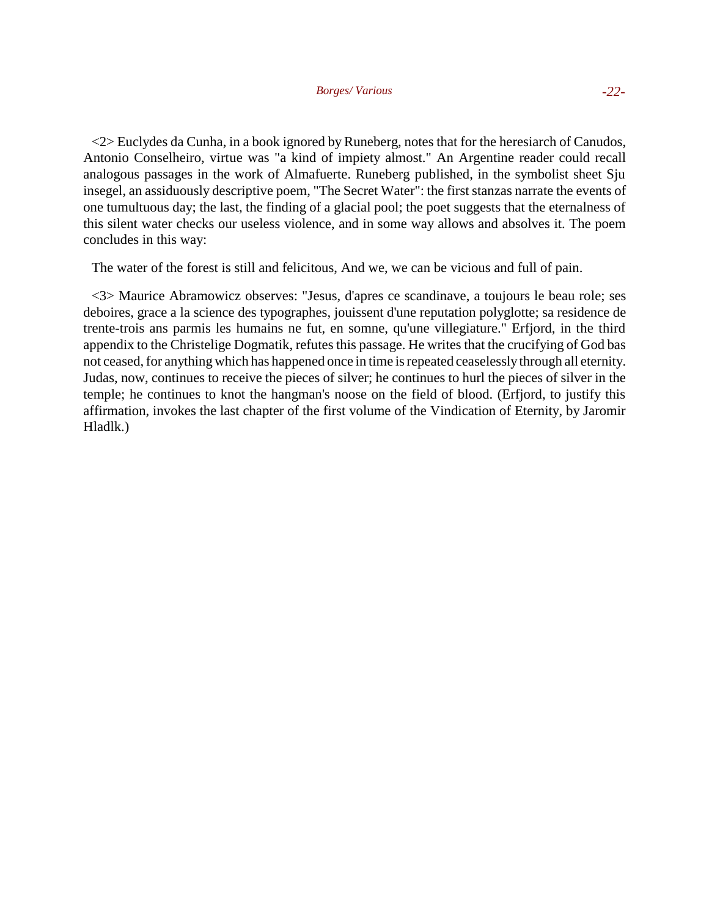#### *Borges/ Various -22-*

<2> Euclydes da Cunha, in a book ignored by Runeberg, notes that for the heresiarch of Canudos, Antonio Conselheiro, virtue was "a kind of impiety almost." An Argentine reader could recall analogous passages in the work of Almafuerte. Runeberg published, in the symbolist sheet Sju insegel, an assiduously descriptive poem, "The Secret Water": the first stanzas narrate the events of one tumultuous day; the last, the finding of a glacial pool; the poet suggests that the eternalness of this silent water checks our useless violence, and in some way allows and absolves it. The poem concludes in this way:

The water of the forest is still and felicitous, And we, we can be vicious and full of pain.

<3> Maurice Abramowicz observes: "Jesus, d'apres ce scandinave, a toujours le beau role; ses deboires, grace a la science des typographes, jouissent d'une reputation polyglotte; sa residence de trente-trois ans parmis les humains ne fut, en somne, qu'une villegiature." Erfjord, in the third appendix to the Christelige Dogmatik, refutes this passage. He writes that the crucifying of God bas not ceased, for anything which has happened once in time is repeated ceaselessly through all eternity. Judas, now, continues to receive the pieces of silver; he continues to hurl the pieces of silver in the temple; he continues to knot the hangman's noose on the field of blood. (Erfjord, to justify this affirmation, invokes the last chapter of the first volume of the Vindication of Eternity, by Jaromir Hladlk.)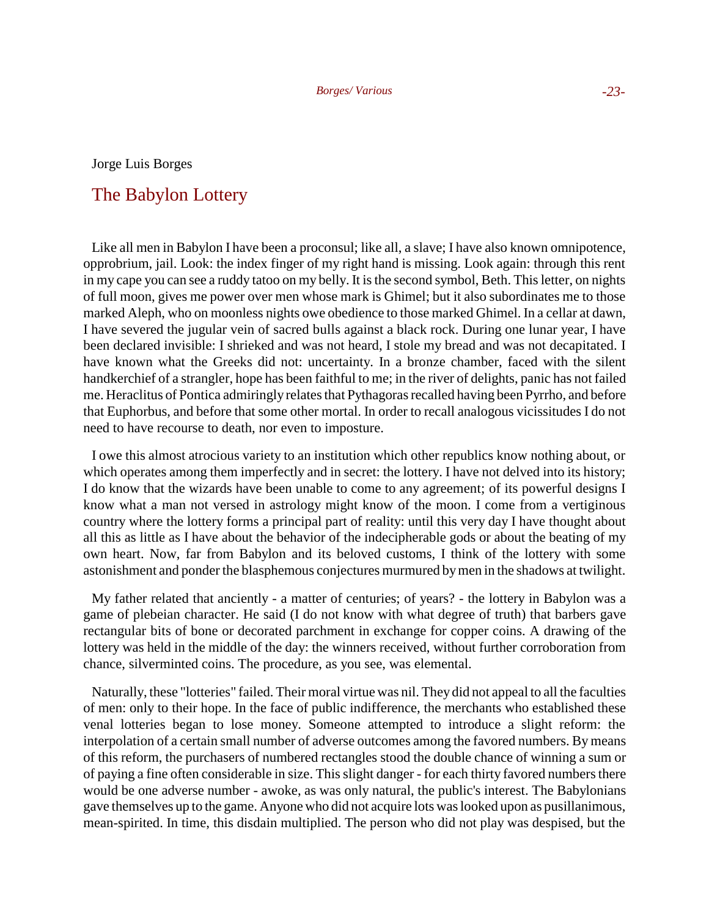Jorge Luis Borges

# The Babylon Lottery

Like all men in Babylon I have been a proconsul; like all, a slave; I have also known omnipotence, opprobrium, jail. Look: the index finger of my right hand is missing. Look again: through this rent in my cape you can see a ruddy tatoo on my belly. It is the second symbol, Beth. This letter, on nights of full moon, gives me power over men whose mark is Ghimel; but it also subordinates me to those marked Aleph, who on moonless nights owe obedience to those marked Ghimel. In a cellar at dawn, I have severed the jugular vein of sacred bulls against a black rock. During one lunar year, I have been declared invisible: I shrieked and was not heard, I stole my bread and was not decapitated. I have known what the Greeks did not: uncertainty. In a bronze chamber, faced with the silent handkerchief of a strangler, hope has been faithful to me; in the river of delights, panic has not failed me. Heraclitus of Pontica admiringly relates that Pythagoras recalled having been Pyrrho, and before that Euphorbus, and before that some other mortal. In order to recall analogous vicissitudes I do not need to have recourse to death, nor even to imposture.

I owe this almost atrocious variety to an institution which other republics know nothing about, or which operates among them imperfectly and in secret: the lottery. I have not delved into its history; I do know that the wizards have been unable to come to any agreement; of its powerful designs I know what a man not versed in astrology might know of the moon. I come from a vertiginous country where the lottery forms a principal part of reality: until this very day I have thought about all this as little as I have about the behavior of the indecipherable gods or about the beating of my own heart. Now, far from Babylon and its beloved customs, I think of the lottery with some astonishment and ponder the blasphemous conjectures murmured bymen in the shadows at twilight.

My father related that anciently - a matter of centuries; of years? - the lottery in Babylon was a game of plebeian character. He said (I do not know with what degree of truth) that barbers gave rectangular bits of bone or decorated parchment in exchange for copper coins. A drawing of the lottery was held in the middle of the day: the winners received, without further corroboration from chance, silverminted coins. The procedure, as you see, was elemental.

Naturally, these "lotteries" failed. Their moral virtue was nil. They did not appeal to all the faculties of men: only to their hope. In the face of public indifference, the merchants who established these venal lotteries began to lose money. Someone attempted to introduce a slight reform: the interpolation of a certain small number of adverse outcomes among the favored numbers. By means of this reform, the purchasers of numbered rectangles stood the double chance of winning a sum or of paying a fine often considerable in size. This slight danger - for each thirty favored numbers there would be one adverse number - awoke, as was only natural, the public's interest. The Babylonians gave themselves up to the game. Anyone who did not acquire lots waslooked upon as pusillanimous, mean-spirited. In time, this disdain multiplied. The person who did not play was despised, but the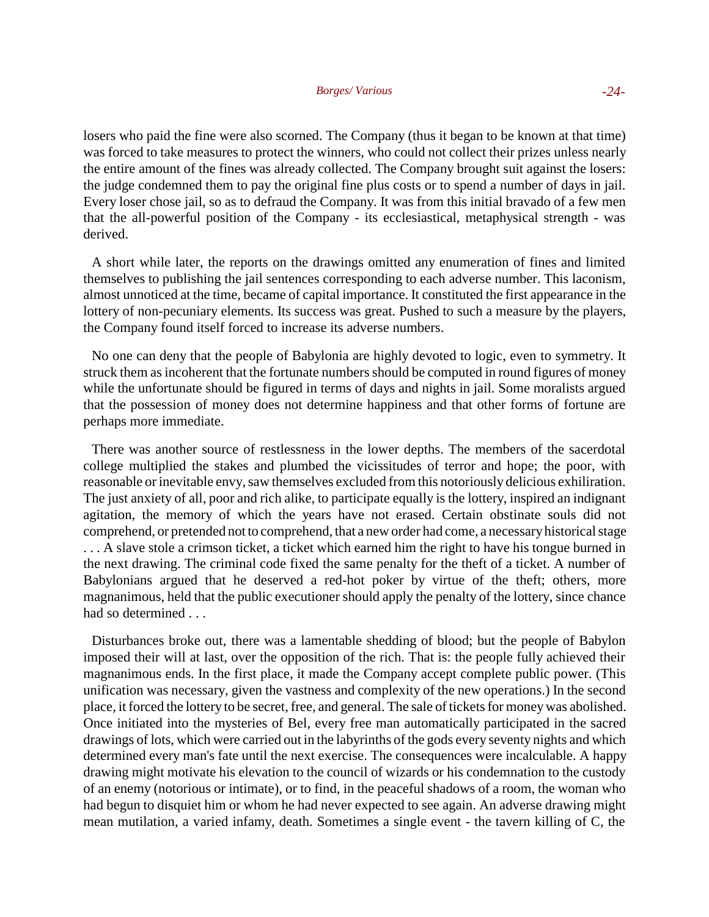#### *Borges/ Various -24-*

losers who paid the fine were also scorned. The Company (thus it began to be known at that time) was forced to take measures to protect the winners, who could not collect their prizes unless nearly the entire amount of the fines was already collected. The Company brought suit against the losers: the judge condemned them to pay the original fine plus costs or to spend a number of days in jail. Every loser chose jail, so as to defraud the Company. It was from this initial bravado of a few men that the all-powerful position of the Company - its ecclesiastical, metaphysical strength - was derived.

A short while later, the reports on the drawings omitted any enumeration of fines and limited themselves to publishing the jail sentences corresponding to each adverse number. This laconism, almost unnoticed at the time, became of capital importance. It constituted the first appearance in the lottery of non-pecuniary elements. Its success was great. Pushed to such a measure by the players, the Company found itself forced to increase its adverse numbers.

No one can deny that the people of Babylonia are highly devoted to logic, even to symmetry. It struck them as incoherent that the fortunate numbers should be computed in round figures of money while the unfortunate should be figured in terms of days and nights in jail. Some moralists argued that the possession of money does not determine happiness and that other forms of fortune are perhaps more immediate.

There was another source of restlessness in the lower depths. The members of the sacerdotal college multiplied the stakes and plumbed the vicissitudes of terror and hope; the poor, with reasonable or inevitable envy, saw themselves excluded from this notoriously delicious exhiliration. The just anxiety of all, poor and rich alike, to participate equally is the lottery, inspired an indignant agitation, the memory of which the years have not erased. Certain obstinate souls did not comprehend, or pretended not to comprehend, that a new order had come, a necessary historical stage . . . A slave stole a crimson ticket, a ticket which earned him the right to have his tongue burned in the next drawing. The criminal code fixed the same penalty for the theft of a ticket. A number of Babylonians argued that he deserved a red-hot poker by virtue of the theft; others, more magnanimous, held that the public executioner should apply the penalty of the lottery, since chance had so determined . . .

Disturbances broke out, there was a lamentable shedding of blood; but the people of Babylon imposed their will at last, over the opposition of the rich. That is: the people fully achieved their magnanimous ends. In the first place, it made the Company accept complete public power. (This unification was necessary, given the vastness and complexity of the new operations.) In the second place, it forced the lottery to be secret, free, and general. The sale of tickets for money was abolished. Once initiated into the mysteries of Bel, every free man automatically participated in the sacred drawings of lots, which were carried out in the labyrinths of the gods every seventy nights and which determined every man's fate until the next exercise. The consequences were incalculable. A happy drawing might motivate his elevation to the council of wizards or his condemnation to the custody of an enemy (notorious or intimate), or to find, in the peaceful shadows of a room, the woman who had begun to disquiet him or whom he had never expected to see again. An adverse drawing might mean mutilation, a varied infamy, death. Sometimes a single event - the tavern killing of C, the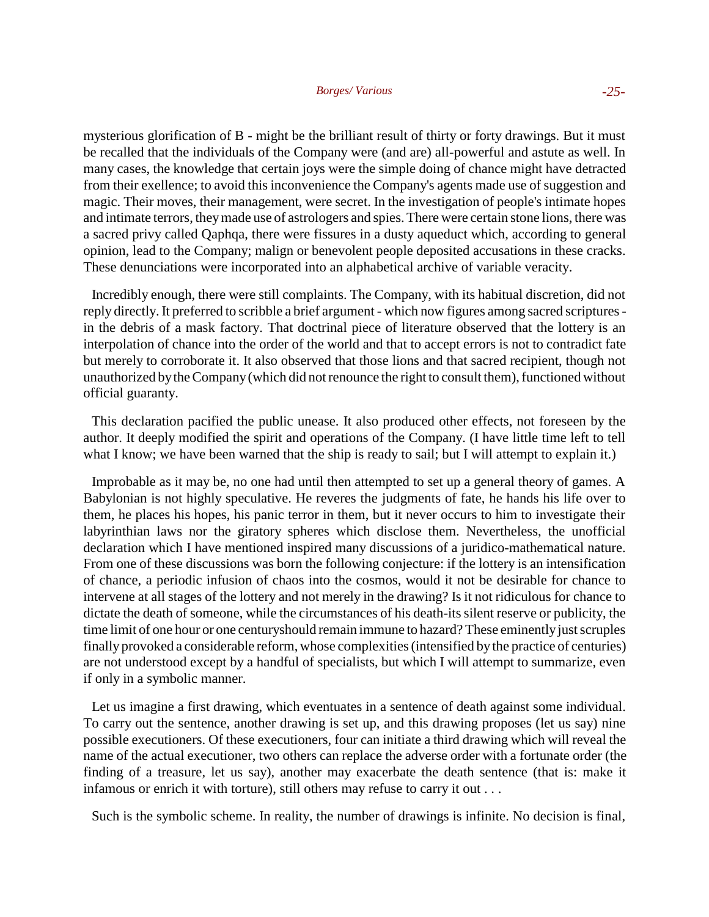#### *Borges/ Various -25-*

mysterious glorification of B - might be the brilliant result of thirty or forty drawings. But it must be recalled that the individuals of the Company were (and are) all-powerful and astute as well. In many cases, the knowledge that certain joys were the simple doing of chance might have detracted from their exellence; to avoid this inconvenience the Company's agents made use of suggestion and magic. Their moves, their management, were secret. In the investigation of people's intimate hopes and intimate terrors, theymade use of astrologers and spies.There were certain stone lions, there was a sacred privy called Qaphqa, there were fissures in a dusty aqueduct which, according to general opinion, lead to the Company; malign or benevolent people deposited accusations in these cracks. These denunciations were incorporated into an alphabetical archive of variable veracity.

Incredibly enough, there were still complaints. The Company, with its habitual discretion, did not reply directly. It preferred to scribble a brief argument - which now figures among sacred scriptures in the debris of a mask factory. That doctrinal piece of literature observed that the lottery is an interpolation of chance into the order of the world and that to accept errors is not to contradict fate but merely to corroborate it. It also observed that those lions and that sacred recipient, though not unauthorized by the Company (which did not renounce the right to consult them), functioned without official guaranty.

This declaration pacified the public unease. It also produced other effects, not foreseen by the author. It deeply modified the spirit and operations of the Company. (I have little time left to tell what I know; we have been warned that the ship is ready to sail; but I will attempt to explain it.)

Improbable as it may be, no one had until then attempted to set up a general theory of games. A Babylonian is not highly speculative. He reveres the judgments of fate, he hands his life over to them, he places his hopes, his panic terror in them, but it never occurs to him to investigate their labyrinthian laws nor the giratory spheres which disclose them. Nevertheless, the unofficial declaration which I have mentioned inspired many discussions of a juridico-mathematical nature. From one of these discussions was born the following conjecture: if the lottery is an intensification of chance, a periodic infusion of chaos into the cosmos, would it not be desirable for chance to intervene at all stages of the lottery and not merely in the drawing? Is it not ridiculous for chance to dictate the death of someone, while the circumstances of his death-its silent reserve or publicity, the time limit of one hour or one centuryshould remain immune to hazard? These eminently just scruples finally provoked a considerable reform, whose complexities(intensified by the practice of centuries) are not understood except by a handful of specialists, but which I will attempt to summarize, even if only in a symbolic manner.

Let us imagine a first drawing, which eventuates in a sentence of death against some individual. To carry out the sentence, another drawing is set up, and this drawing proposes (let us say) nine possible executioners. Of these executioners, four can initiate a third drawing which will reveal the name of the actual executioner, two others can replace the adverse order with a fortunate order (the finding of a treasure, let us say), another may exacerbate the death sentence (that is: make it infamous or enrich it with torture), still others may refuse to carry it out . . .

Such is the symbolic scheme. In reality, the number of drawings is infinite. No decision is final,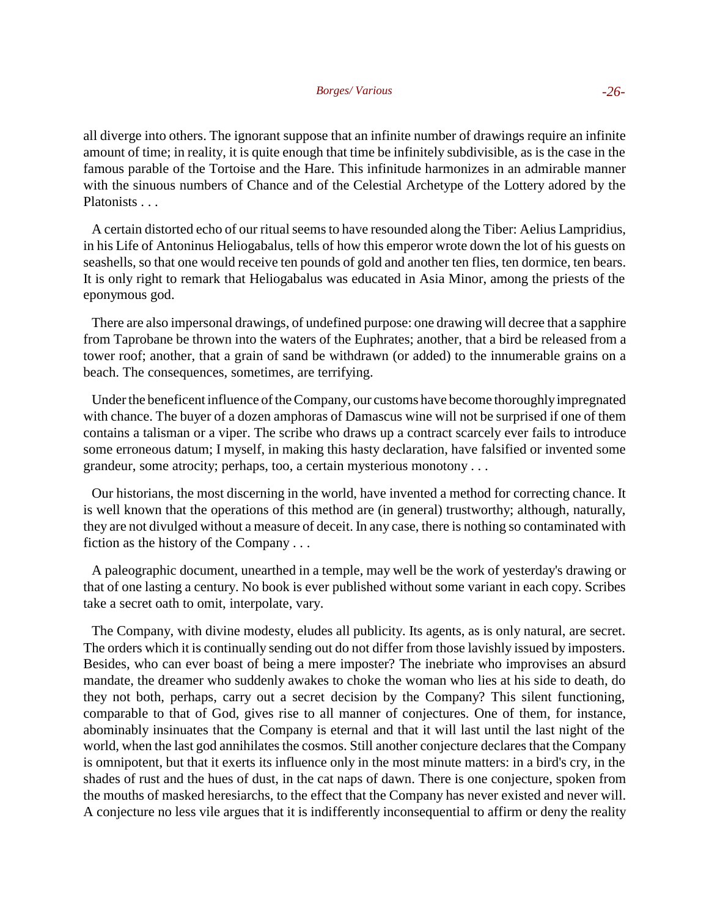all diverge into others. The ignorant suppose that an infinite number of drawings require an infinite amount of time; in reality, it is quite enough that time be infinitely subdivisible, as is the case in the famous parable of the Tortoise and the Hare. This infinitude harmonizes in an admirable manner with the sinuous numbers of Chance and of the Celestial Archetype of the Lottery adored by the Platonists ...

A certain distorted echo of our ritual seems to have resounded along the Tiber: Aelius Lampridius, in his Life of Antoninus Heliogabalus, tells of how this emperor wrote down the lot of his guests on seashells, so that one would receive ten pounds of gold and another ten flies, ten dormice, ten bears. It is only right to remark that Heliogabalus was educated in Asia Minor, among the priests of the eponymous god.

There are also impersonal drawings, of undefined purpose: one drawing will decree that a sapphire from Taprobane be thrown into the waters of the Euphrates; another, that a bird be released from a tower roof; another, that a grain of sand be withdrawn (or added) to the innumerable grains on a beach. The consequences, sometimes, are terrifying.

Under the beneficent influence of the Company, our customs have become thoroughly impregnated with chance. The buyer of a dozen amphoras of Damascus wine will not be surprised if one of them contains a talisman or a viper. The scribe who draws up a contract scarcely ever fails to introduce some erroneous datum; I myself, in making this hasty declaration, have falsified or invented some grandeur, some atrocity; perhaps, too, a certain mysterious monotony . . .

Our historians, the most discerning in the world, have invented a method for correcting chance. It is well known that the operations of this method are (in general) trustworthy; although, naturally, they are not divulged without a measure of deceit. In any case, there is nothing so contaminated with fiction as the history of the Company . . .

A paleographic document, unearthed in a temple, may well be the work of yesterday's drawing or that of one lasting a century. No book is ever published without some variant in each copy. Scribes take a secret oath to omit, interpolate, vary.

The Company, with divine modesty, eludes all publicity. Its agents, as is only natural, are secret. The orders which it is continually sending out do not differ from those lavishly issued by imposters. Besides, who can ever boast of being a mere imposter? The inebriate who improvises an absurd mandate, the dreamer who suddenly awakes to choke the woman who lies at his side to death, do they not both, perhaps, carry out a secret decision by the Company? This silent functioning, comparable to that of God, gives rise to all manner of conjectures. One of them, for instance, abominably insinuates that the Company is eternal and that it will last until the last night of the world, when the last god annihilates the cosmos. Still another conjecture declares that the Company is omnipotent, but that it exerts its influence only in the most minute matters: in a bird's cry, in the shades of rust and the hues of dust, in the cat naps of dawn. There is one conjecture, spoken from the mouths of masked heresiarchs, to the effect that the Company has never existed and never will. A conjecture no less vile argues that it is indifferently inconsequential to affirm or deny the reality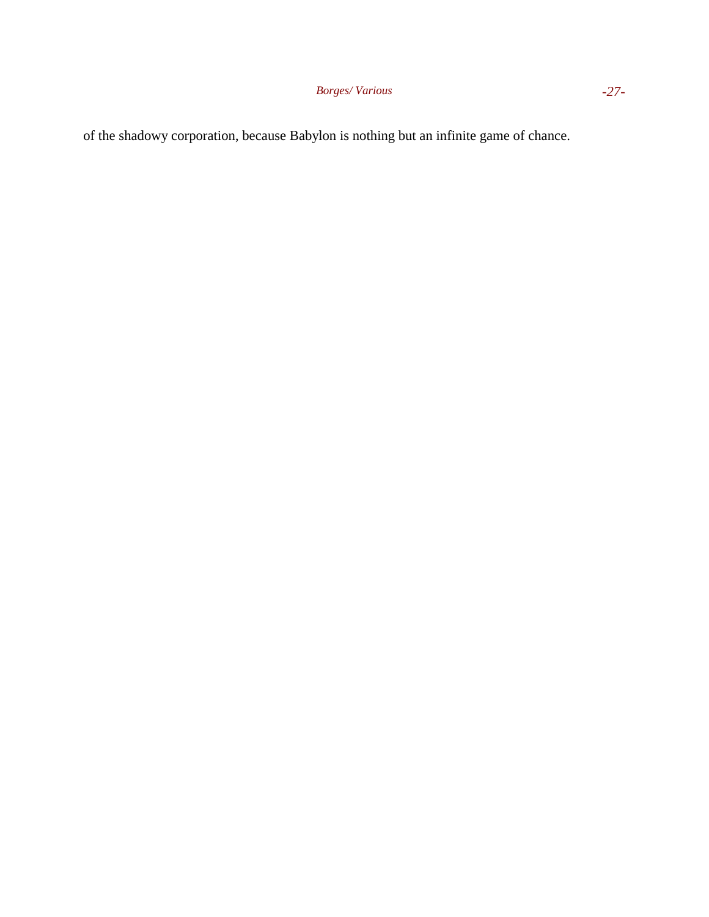of the shadowy corporation, because Babylon is nothing but an infinite game of chance.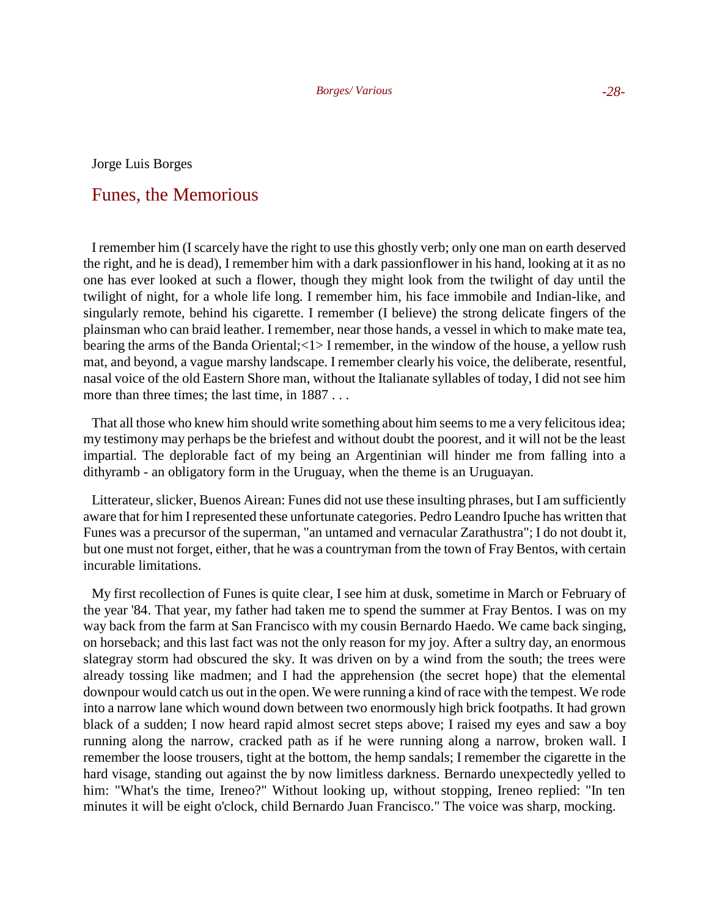Jorge Luis Borges

## Funes, the Memorious

I remember him (Iscarcely have the right to use this ghostly verb; only one man on earth deserved the right, and he is dead), I remember him with a dark passionflower in his hand, looking at it as no one has ever looked at such a flower, though they might look from the twilight of day until the twilight of night, for a whole life long. I remember him, his face immobile and Indian-like, and singularly remote, behind his cigarette. I remember (I believe) the strong delicate fingers of the plainsman who can braid leather. I remember, near those hands, a vessel in which to make mate tea, bearing the arms of the Banda Oriental;<1> I remember, in the window of the house, a yellow rush mat, and beyond, a vague marshy landscape. I remember clearly his voice, the deliberate, resentful, nasal voice of the old Eastern Shore man, without the Italianate syllables of today, I did not see him more than three times; the last time, in 1887...

That all those who knew him should write something about him seems to me a very felicitous idea; my testimony may perhaps be the briefest and without doubt the poorest, and it will not be the least impartial. The deplorable fact of my being an Argentinian will hinder me from falling into a dithyramb - an obligatory form in the Uruguay, when the theme is an Uruguayan.

Litterateur, slicker, Buenos Airean: Funes did not use these insulting phrases, but I am sufficiently aware that for him I represented these unfortunate categories. Pedro Leandro Ipuche has written that Funes was a precursor of the superman, "an untamed and vernacular Zarathustra"; I do not doubt it, but one must not forget, either, that he was a countryman from the town of Fray Bentos, with certain incurable limitations.

My first recollection of Funes is quite clear, I see him at dusk, sometime in March or February of the year '84. That year, my father had taken me to spend the summer at Fray Bentos. I was on my way back from the farm at San Francisco with my cousin Bernardo Haedo. We came back singing, on horseback; and this last fact was not the only reason for my joy. After a sultry day, an enormous slategray storm had obscured the sky. It was driven on by a wind from the south; the trees were already tossing like madmen; and I had the apprehension (the secret hope) that the elemental downpour would catch us out in the open. We were running a kind of race with the tempest. We rode into a narrow lane which wound down between two enormously high brick footpaths. It had grown black of a sudden; I now heard rapid almost secret steps above; I raised my eyes and saw a boy running along the narrow, cracked path as if he were running along a narrow, broken wall. I remember the loose trousers, tight at the bottom, the hemp sandals; I remember the cigarette in the hard visage, standing out against the by now limitless darkness. Bernardo unexpectedly yelled to him: "What's the time, Ireneo?" Without looking up, without stopping, Ireneo replied: "In ten minutes it will be eight o'clock, child Bernardo Juan Francisco." The voice was sharp, mocking.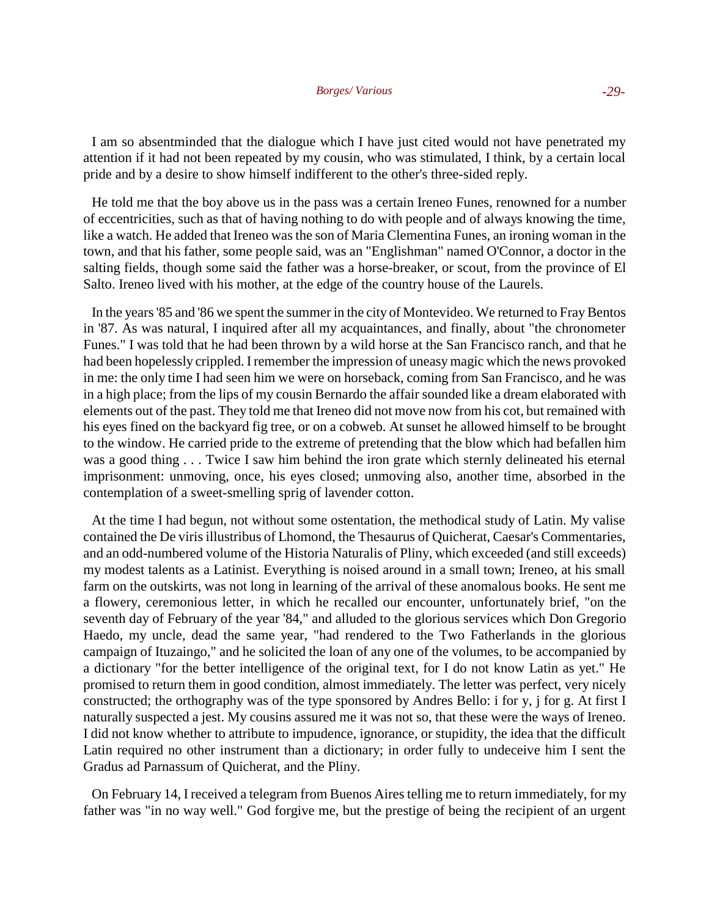I am so absentminded that the dialogue which I have just cited would not have penetrated my attention if it had not been repeated by my cousin, who was stimulated, I think, by a certain local pride and by a desire to show himself indifferent to the other's three-sided reply.

He told me that the boy above us in the pass was a certain Ireneo Funes, renowned for a number of eccentricities, such as that of having nothing to do with people and of always knowing the time, like a watch. He added that Ireneo was the son of Maria Clementina Funes, an ironing woman in the town, and that his father, some people said, was an "Englishman" named O'Connor, a doctor in the salting fields, though some said the father was a horse-breaker, or scout, from the province of El Salto. Ireneo lived with his mother, at the edge of the country house of the Laurels.

In the years '85 and '86 we spent the summer in the city of Montevideo. We returned to Fray Bentos in '87. As was natural, I inquired after all my acquaintances, and finally, about "the chronometer Funes." I was told that he had been thrown by a wild horse at the San Francisco ranch, and that he had been hopelessly crippled. Iremember the impression of uneasymagic which the news provoked in me: the only time I had seen him we were on horseback, coming from San Francisco, and he was in a high place; from the lips of my cousin Bernardo the affair sounded like a dream elaborated with elements out of the past. They told me that Ireneo did not move now from his cot, but remained with his eyes fined on the backyard fig tree, or on a cobweb. At sunset he allowed himself to be brought to the window. He carried pride to the extreme of pretending that the blow which had befallen him was a good thing . . . Twice I saw him behind the iron grate which sternly delineated his eternal imprisonment: unmoving, once, his eyes closed; unmoving also, another time, absorbed in the contemplation of a sweet-smelling sprig of lavender cotton.

At the time I had begun, not without some ostentation, the methodical study of Latin. My valise contained the De viris illustribus of Lhomond, the Thesaurus of Quicherat, Caesar's Commentaries, and an odd-numbered volume of the Historia Naturalis of Pliny, which exceeded (and still exceeds) my modest talents as a Latinist. Everything is noised around in a small town; Ireneo, at his small farm on the outskirts, was not long in learning of the arrival of these anomalous books. He sent me a flowery, ceremonious letter, in which he recalled our encounter, unfortunately brief, "on the seventh day of February of the year '84," and alluded to the glorious services which Don Gregorio Haedo, my uncle, dead the same year, "had rendered to the Two Fatherlands in the glorious campaign of Ituzaingo," and he solicited the loan of any one of the volumes, to be accompanied by a dictionary "for the better intelligence of the original text, for I do not know Latin as yet." He promised to return them in good condition, almost immediately. The letter was perfect, very nicely constructed; the orthography was of the type sponsored by Andres Bello: i for y, j for g. At first I naturally suspected a jest. My cousins assured me it was not so, that these were the ways of Ireneo. I did not know whether to attribute to impudence, ignorance, or stupidity, the idea that the difficult Latin required no other instrument than a dictionary; in order fully to undeceive him I sent the Gradus ad Parnassum of Quicherat, and the Pliny.

On February 14, I received a telegram from Buenos Aires telling me to return immediately, for my father was "in no way well." God forgive me, but the prestige of being the recipient of an urgent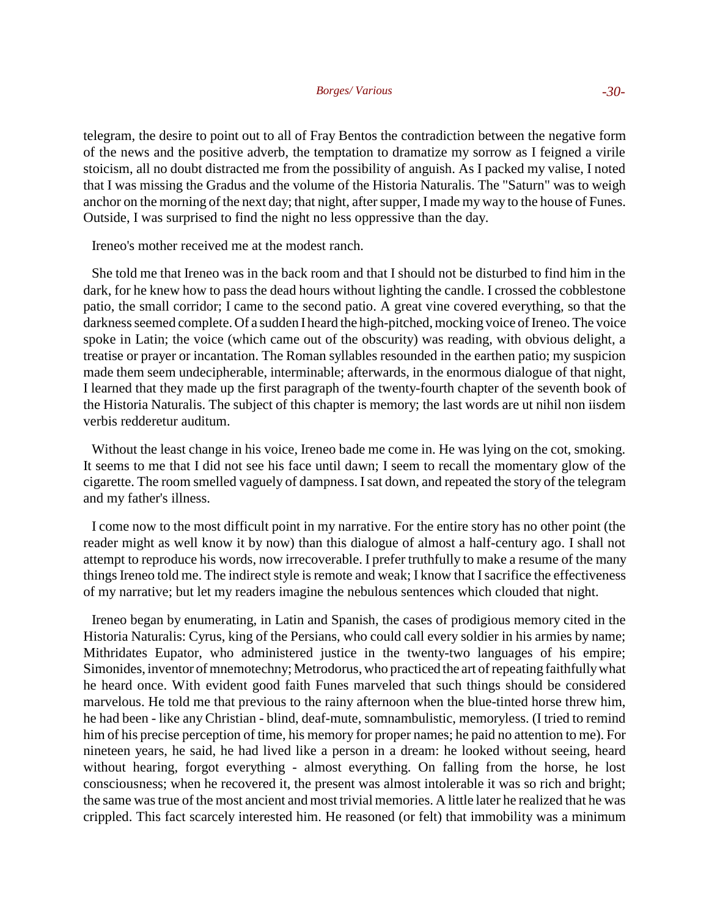#### *Borges/ Various -30-*

telegram, the desire to point out to all of Fray Bentos the contradiction between the negative form of the news and the positive adverb, the temptation to dramatize my sorrow as I feigned a virile stoicism, all no doubt distracted me from the possibility of anguish. As I packed my valise, I noted that I was missing the Gradus and the volume of the Historia Naturalis. The "Saturn" was to weigh anchor on the morning of the next day; that night, after supper, I made my way to the house of Funes. Outside, I was surprised to find the night no less oppressive than the day.

Ireneo's mother received me at the modest ranch.

She told me that Ireneo was in the back room and that I should not be disturbed to find him in the dark, for he knew how to pass the dead hours without lighting the candle. I crossed the cobblestone patio, the small corridor; I came to the second patio. A great vine covered everything, so that the darkness seemed complete. Of a sudden I heard the high-pitched, mocking voice of Ireneo. The voice spoke in Latin; the voice (which came out of the obscurity) was reading, with obvious delight, a treatise or prayer or incantation. The Roman syllables resounded in the earthen patio; my suspicion made them seem undecipherable, interminable; afterwards, in the enormous dialogue of that night, I learned that they made up the first paragraph of the twenty-fourth chapter of the seventh book of the Historia Naturalis. The subject of this chapter is memory; the last words are ut nihil non iisdem verbis redderetur auditum.

Without the least change in his voice, Ireneo bade me come in. He was lying on the cot, smoking. It seems to me that I did not see his face until dawn; I seem to recall the momentary glow of the cigarette. The room smelled vaguely of dampness. Isat down, and repeated the story of the telegram and my father's illness.

I come now to the most difficult point in my narrative. For the entire story has no other point (the reader might as well know it by now) than this dialogue of almost a half-century ago. I shall not attempt to reproduce his words, now irrecoverable. I prefer truthfully to make a resume of the many things Ireneo told me. The indirect style is remote and weak; I know that I sacrifice the effectiveness of my narrative; but let my readers imagine the nebulous sentences which clouded that night.

Ireneo began by enumerating, in Latin and Spanish, the cases of prodigious memory cited in the Historia Naturalis: Cyrus, king of the Persians, who could call every soldier in his armies by name; Mithridates Eupator, who administered justice in the twenty-two languages of his empire; Simonides, inventor of mnemotechny; Metrodorus, who practiced the art of repeating faithfully what he heard once. With evident good faith Funes marveled that such things should be considered marvelous. He told me that previous to the rainy afternoon when the blue-tinted horse threw him, he had been - like any Christian - blind, deaf-mute, somnambulistic, memoryless. (I tried to remind him of his precise perception of time, his memory for proper names; he paid no attention to me). For nineteen years, he said, he had lived like a person in a dream: he looked without seeing, heard without hearing, forgot everything - almost everything. On falling from the horse, he lost consciousness; when he recovered it, the present was almost intolerable it was so rich and bright; the same wastrue of the most ancient and most trivial memories. A little later he realized that he was crippled. This fact scarcely interested him. He reasoned (or felt) that immobility was a minimum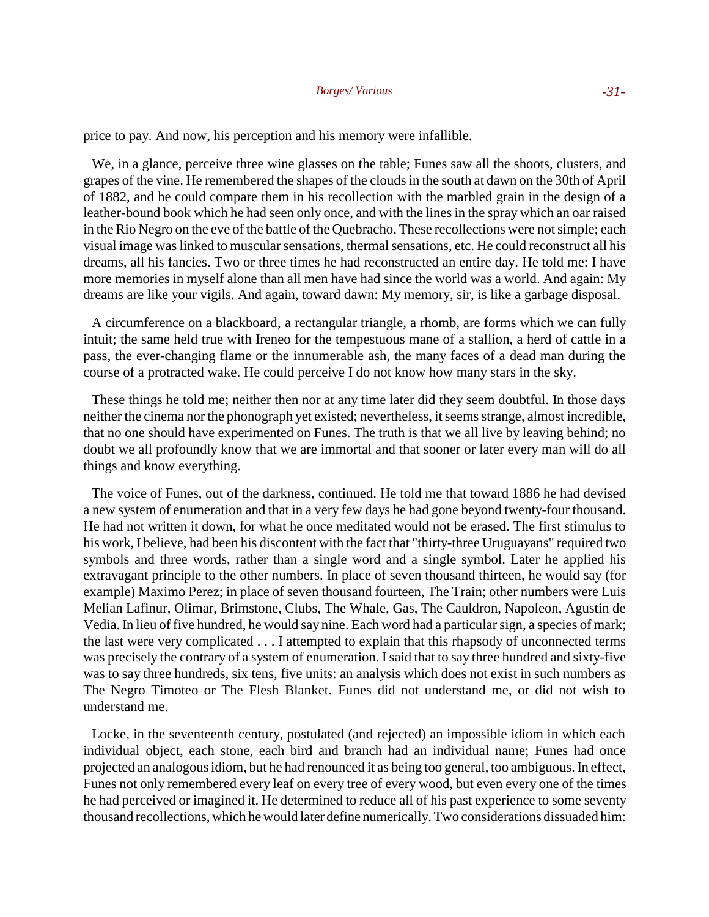#### *Borges/ Various -31-*

price to pay. And now, his perception and his memory were infallible.

We, in a glance, perceive three wine glasses on the table; Funes saw all the shoots, clusters, and grapes of the vine. He remembered the shapes of the cloudsin the south at dawn on the 30th of April of 1882, and he could compare them in his recollection with the marbled grain in the design of a leather-bound book which he had seen only once, and with the linesin the spray which an oar raised in the Rio Negro on the eve of the battle of the Quebracho. These recollections were notsimple; each visual image was linked to muscular sensations, thermal sensations, etc. He could reconstruct all his dreams, all his fancies. Two or three times he had reconstructed an entire day. He told me: I have more memories in myself alone than all men have had since the world was a world. And again: My dreams are like your vigils. And again, toward dawn: My memory, sir, is like a garbage disposal.

A circumference on a blackboard, a rectangular triangle, a rhomb, are forms which we can fully intuit; the same held true with Ireneo for the tempestuous mane of a stallion, a herd of cattle in a pass, the ever-changing flame or the innumerable ash, the many faces of a dead man during the course of a protracted wake. He could perceive I do not know how many stars in the sky.

These things he told me; neither then nor at any time later did they seem doubtful. In those days neither the cinema nor the phonograph yet existed; nevertheless, it seems strange, almost incredible, that no one should have experimented on Funes. The truth is that we all live by leaving behind; no doubt we all profoundly know that we are immortal and that sooner or later every man will do all things and know everything.

The voice of Funes, out of the darkness, continued. He told me that toward 1886 he had devised a new system of enumeration and that in a very few days he had gone beyond twenty-four thousand. He had not written it down, for what he once meditated would not be erased. The first stimulus to his work, I believe, had been his discontent with the fact that "thirty-three Uruguayans" required two symbols and three words, rather than a single word and a single symbol. Later he applied his extravagant principle to the other numbers. In place of seven thousand thirteen, he would say (for example) Maximo Perez; in place of seven thousand fourteen, The Train; other numbers were Luis Melian Lafinur, Olimar, Brimstone, Clubs, The Whale, Gas, The Cauldron, Napoleon, Agustin de Vedia. In lieu of five hundred, he would say nine. Each word had a particularsign, a species of mark; the last were very complicated . . . I attempted to explain that this rhapsody of unconnected terms was precisely the contrary of a system of enumeration. Isaid that to say three hundred and sixty-five was to say three hundreds, six tens, five units: an analysis which does not exist in such numbers as The Negro Timoteo or The Flesh Blanket. Funes did not understand me, or did not wish to understand me.

Locke, in the seventeenth century, postulated (and rejected) an impossible idiom in which each individual object, each stone, each bird and branch had an individual name; Funes had once projected an analogous idiom, but he had renounced it as being too general, too ambiguous. In effect, Funes not only remembered every leaf on every tree of every wood, but even every one of the times he had perceived or imagined it. He determined to reduce all of his past experience to some seventy thousand recollections, which he would later define numerically.Two considerations dissuaded him: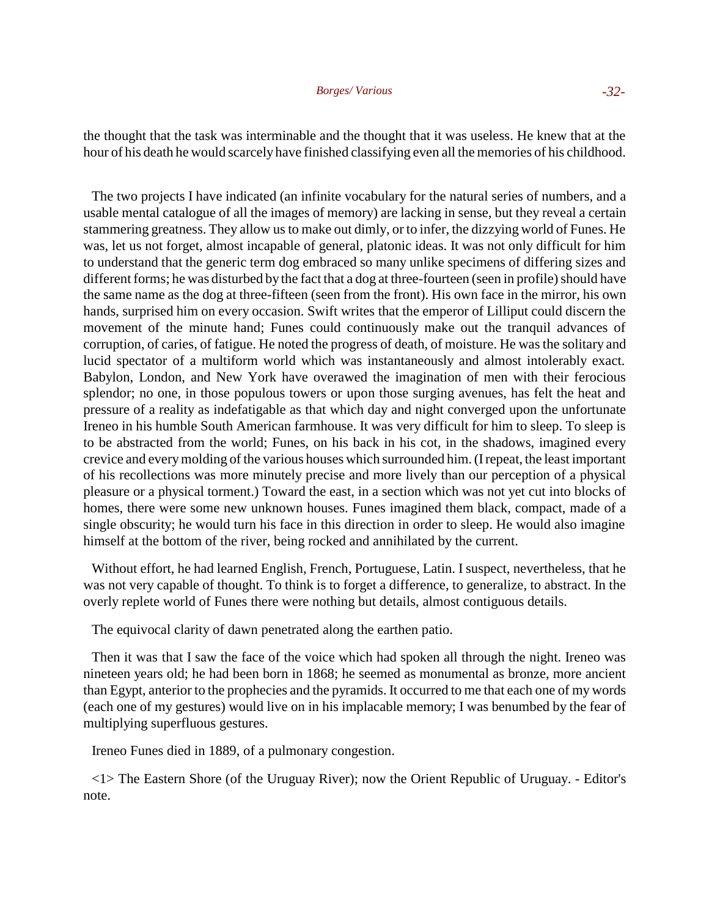the thought that the task was interminable and the thought that it was useless. He knew that at the hour of his death he would scarcely have finished classifying even all the memories of his childhood.

The two projects I have indicated (an infinite vocabulary for the natural series of numbers, and a usable mental catalogue of all the images of memory) are lacking in sense, but they reveal a certain stammering greatness. They allow usto make out dimly, or to infer, the dizzying world of Funes. He was, let us not forget, almost incapable of general, platonic ideas. It was not only difficult for him to understand that the generic term dog embraced so many unlike specimens of differing sizes and different forms; he was disturbed by the fact that a dog at three-fourteen (seen in profile) should have the same name as the dog at three-fifteen (seen from the front). His own face in the mirror, his own hands, surprised him on every occasion. Swift writes that the emperor of Lilliput could discern the movement of the minute hand; Funes could continuously make out the tranquil advances of corruption, of caries, of fatigue. He noted the progress of death, of moisture. He was the solitary and lucid spectator of a multiform world which was instantaneously and almost intolerably exact. Babylon, London, and New York have overawed the imagination of men with their ferocious splendor; no one, in those populous towers or upon those surging avenues, has felt the heat and pressure of a reality as indefatigable as that which day and night converged upon the unfortunate Ireneo in his humble South American farmhouse. It was very difficult for him to sleep. To sleep is to be abstracted from the world; Funes, on his back in his cot, in the shadows, imagined every crevice and everymolding of the various houses which surrounded him.(Irepeat, the least important of his recollections was more minutely precise and more lively than our perception of a physical pleasure or a physical torment.) Toward the east, in a section which was not yet cut into blocks of homes, there were some new unknown houses. Funes imagined them black, compact, made of a single obscurity; he would turn his face in this direction in order to sleep. He would also imagine himself at the bottom of the river, being rocked and annihilated by the current.

Without effort, he had learned English, French, Portuguese, Latin. I suspect, nevertheless, that he was not very capable of thought. To think is to forget a difference, to generalize, to abstract. In the overly replete world of Funes there were nothing but details, almost contiguous details.

The equivocal clarity of dawn penetrated along the earthen patio.

Then it was that I saw the face of the voice which had spoken all through the night. Ireneo was nineteen years old; he had been born in 1868; he seemed as monumental as bronze, more ancient than Egypt, anterior to the prophecies and the pyramids. It occurred to me that each one of my words (each one of my gestures) would live on in his implacable memory; I was benumbed by the fear of multiplying superfluous gestures.

Ireneo Funes died in 1889, of a pulmonary congestion.

<1> The Eastern Shore (of the Uruguay River); now the Orient Republic of Uruguay. - Editor's note.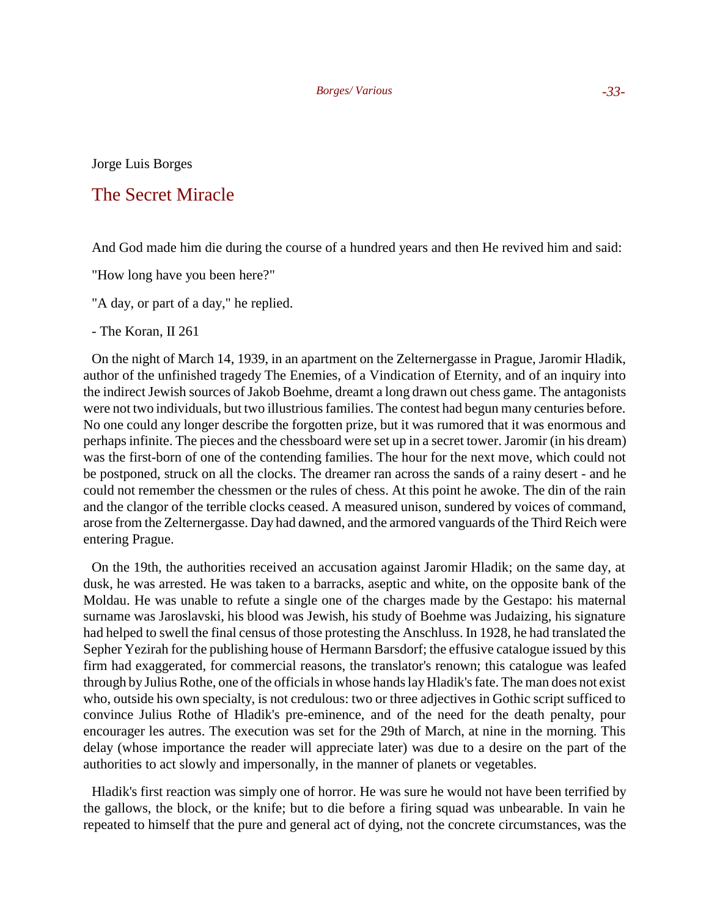Jorge Luis Borges

## The Secret Miracle

And God made him die during the course of a hundred years and then He revived him and said:

"How long have you been here?"

"A day, or part of a day," he replied.

- The Koran, II 261

On the night of March 14, 1939, in an apartment on the Zelternergasse in Prague, Jaromir Hladik, author of the unfinished tragedy The Enemies, of a Vindication of Eternity, and of an inquiry into the indirect Jewish sources of Jakob Boehme, dreamt a long drawn out chess game. The antagonists were not two individuals, but two illustrious families. The contest had begun many centuries before. No one could any longer describe the forgotten prize, but it was rumored that it was enormous and perhapsinfinite. The pieces and the chessboard were set up in a secret tower. Jaromir (in his dream) was the first-born of one of the contending families. The hour for the next move, which could not be postponed, struck on all the clocks. The dreamer ran across the sands of a rainy desert - and he could not remember the chessmen or the rules of chess. At this point he awoke. The din of the rain and the clangor of the terrible clocks ceased. A measured unison, sundered by voices of command, arose from the Zelternergasse. Day had dawned, and the armored vanguards of the Third Reich were entering Prague.

On the 19th, the authorities received an accusation against Jaromir Hladik; on the same day, at dusk, he was arrested. He was taken to a barracks, aseptic and white, on the opposite bank of the Moldau. He was unable to refute a single one of the charges made by the Gestapo: his maternal surname was Jaroslavski, his blood was Jewish, his study of Boehme was Judaizing, his signature had helped to swell the final census of those protesting the Anschluss. In 1928, he had translated the Sepher Yezirah for the publishing house of Hermann Barsdorf; the effusive catalogue issued by this firm had exaggerated, for commercial reasons, the translator's renown; this catalogue was leafed through by Julius Rothe, one of the officials in whose hands lay Hladik's fate. The man does not exist who, outside his own specialty, is not credulous: two or three adjectives in Gothic script sufficed to convince Julius Rothe of Hladik's pre-eminence, and of the need for the death penalty, pour encourager les autres. The execution was set for the 29th of March, at nine in the morning. This delay (whose importance the reader will appreciate later) was due to a desire on the part of the authorities to act slowly and impersonally, in the manner of planets or vegetables.

Hladik's first reaction was simply one of horror. He was sure he would not have been terrified by the gallows, the block, or the knife; but to die before a firing squad was unbearable. In vain he repeated to himself that the pure and general act of dying, not the concrete circumstances, was the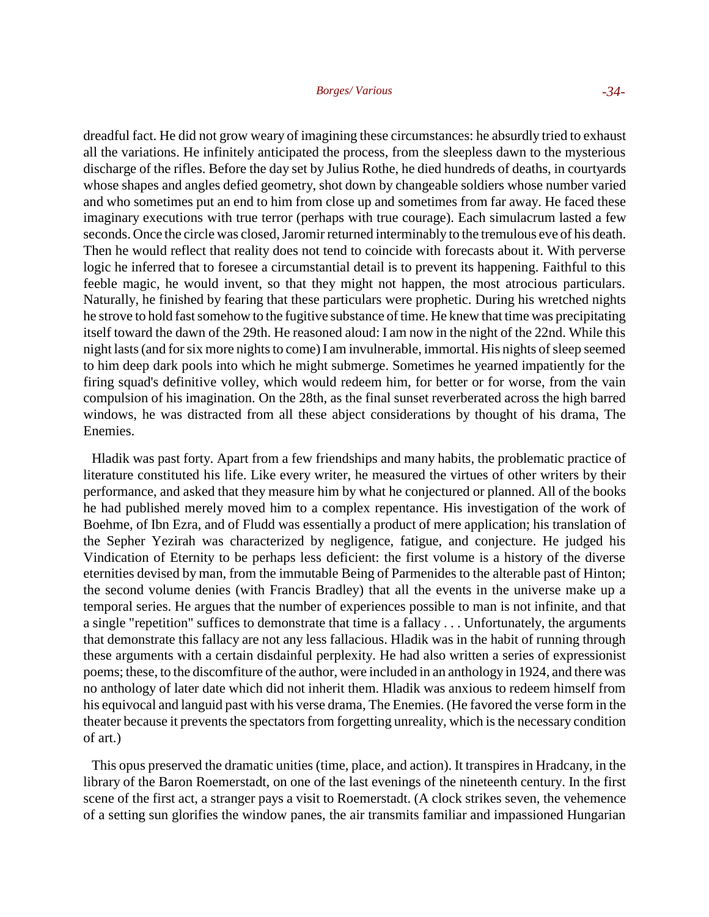#### *Borges/ Various -34-*

dreadful fact. He did not grow weary of imagining these circumstances: he absurdly tried to exhaust all the variations. He infinitely anticipated the process, from the sleepless dawn to the mysterious discharge of the rifles. Before the day set by Julius Rothe, he died hundreds of deaths, in courtyards whose shapes and angles defied geometry, shot down by changeable soldiers whose number varied and who sometimes put an end to him from close up and sometimes from far away. He faced these imaginary executions with true terror (perhaps with true courage). Each simulacrum lasted a few seconds. Once the circle was closed, Jaromir returned interminably to the tremulous eve of his death. Then he would reflect that reality does not tend to coincide with forecasts about it. With perverse logic he inferred that to foresee a circumstantial detail is to prevent its happening. Faithful to this feeble magic, he would invent, so that they might not happen, the most atrocious particulars. Naturally, he finished by fearing that these particulars were prophetic. During his wretched nights he strove to hold fast somehow to the fugitive substance of time. He knew that time was precipitating

itself toward the dawn of the 29th. He reasoned aloud: I am now in the night of the 22nd. While this night lasts (and for six more nights to come) I am invulnerable, immortal. His nights of sleep seemed to him deep dark pools into which he might submerge. Sometimes he yearned impatiently for the firing squad's definitive volley, which would redeem him, for better or for worse, from the vain compulsion of his imagination. On the 28th, as the final sunset reverberated across the high barred windows, he was distracted from all these abject considerations by thought of his drama, The Enemies.

Hladik was past forty. Apart from a few friendships and many habits, the problematic practice of literature constituted his life. Like every writer, he measured the virtues of other writers by their performance, and asked that they measure him by what he conjectured or planned. All of the books he had published merely moved him to a complex repentance. His investigation of the work of Boehme, of Ibn Ezra, and of Fludd was essentially a product of mere application; his translation of the Sepher Yezirah was characterized by negligence, fatigue, and conjecture. He judged his Vindication of Eternity to be perhaps less deficient: the first volume is a history of the diverse eternities devised by man, from the immutable Being of Parmenides to the alterable past of Hinton; the second volume denies (with Francis Bradley) that all the events in the universe make up a temporal series. He argues that the number of experiences possible to man is not infinite, and that a single "repetition" suffices to demonstrate that time is a fallacy . . . Unfortunately, the arguments that demonstrate this fallacy are not any less fallacious. Hladik was in the habit of running through these arguments with a certain disdainful perplexity. He had also written a series of expressionist poems; these, to the discomfiture of the author, were included in an anthology in 1924, and there was no anthology of later date which did not inherit them. Hladik was anxious to redeem himself from his equivocal and languid past with his verse drama, The Enemies. (He favored the verse form in the theater because it prevents the spectators from forgetting unreality, which is the necessary condition of art.)

This opus preserved the dramatic unities (time, place, and action). It transpiresin Hradcany, in the library of the Baron Roemerstadt, on one of the last evenings of the nineteenth century. In the first scene of the first act, a stranger pays a visit to Roemerstadt. (A clock strikes seven, the vehemence of a setting sun glorifies the window panes, the air transmits familiar and impassioned Hungarian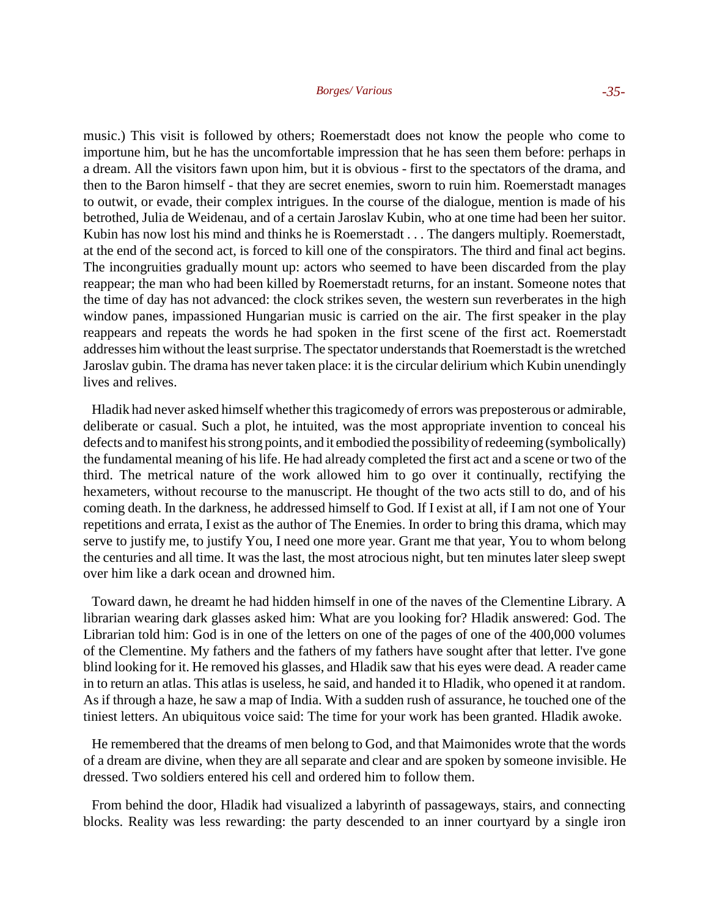#### *Borges/ Various -35-*

importune him, but he has the uncomfortable impression that he has seen them before: perhaps in a dream. All the visitors fawn upon him, but it is obvious - first to the spectators of the drama, and then to the Baron himself - that they are secret enemies, sworn to ruin him. Roemerstadt manages to outwit, or evade, their complex intrigues. In the course of the dialogue, mention is made of his betrothed, Julia de Weidenau, and of a certain Jaroslav Kubin, who at one time had been her suitor. Kubin has now lost his mind and thinks he is Roemerstadt . . . The dangers multiply. Roemerstadt, at the end of the second act, is forced to kill one of the conspirators. The third and final act begins. The incongruities gradually mount up: actors who seemed to have been discarded from the play reappear; the man who had been killed by Roemerstadt returns, for an instant. Someone notes that the time of day has not advanced: the clock strikes seven, the western sun reverberates in the high window panes, impassioned Hungarian music is carried on the air. The first speaker in the play reappears and repeats the words he had spoken in the first scene of the first act. Roemerstadt addresses him without the least surprise. The spectator understands that Roemerstadt is the wretched Jaroslav gubin. The drama has never taken place: it isthe circular delirium which Kubin unendingly lives and relives.

Hladik had never asked himself whether this tragicomedy of errors was preposterous or admirable, deliberate or casual. Such a plot, he intuited, was the most appropriate invention to conceal his defects and to manifest his strong points, and it embodied the possibility of redeeming (symbolically) the fundamental meaning of hislife. He had already completed the first act and a scene or two of the third. The metrical nature of the work allowed him to go over it continually, rectifying the hexameters, without recourse to the manuscript. He thought of the two acts still to do, and of his coming death. In the darkness, he addressed himself to God. If I exist at all, if I am not one of Your repetitions and errata, I exist as the author of The Enemies. In order to bring this drama, which may serve to justify me, to justify You, I need one more year. Grant me that year, You to whom belong the centuries and all time. It was the last, the most atrocious night, but ten minutes later sleep swept over him like a dark ocean and drowned him.

Toward dawn, he dreamt he had hidden himself in one of the naves of the Clementine Library. A librarian wearing dark glasses asked him: What are you looking for? Hladik answered: God. The Librarian told him: God is in one of the letters on one of the pages of one of the 400,000 volumes of the Clementine. My fathers and the fathers of my fathers have sought after that letter. I've gone blind looking for it. He removed his glasses, and Hladik saw that his eyes were dead. A reader came in to return an atlas. This atlas is useless, he said, and handed it to Hladik, who opened it at random. As if through a haze, he saw a map of India. With a sudden rush of assurance, he touched one of the tiniest letters. An ubiquitous voice said: The time for your work has been granted. Hladik awoke.

He remembered that the dreams of men belong to God, and that Maimonides wrote that the words of a dream are divine, when they are all separate and clear and are spoken by someone invisible. He dressed. Two soldiers entered his cell and ordered him to follow them.

From behind the door, Hladik had visualized a labyrinth of passageways, stairs, and connecting blocks. Reality was less rewarding: the party descended to an inner courtyard by a single iron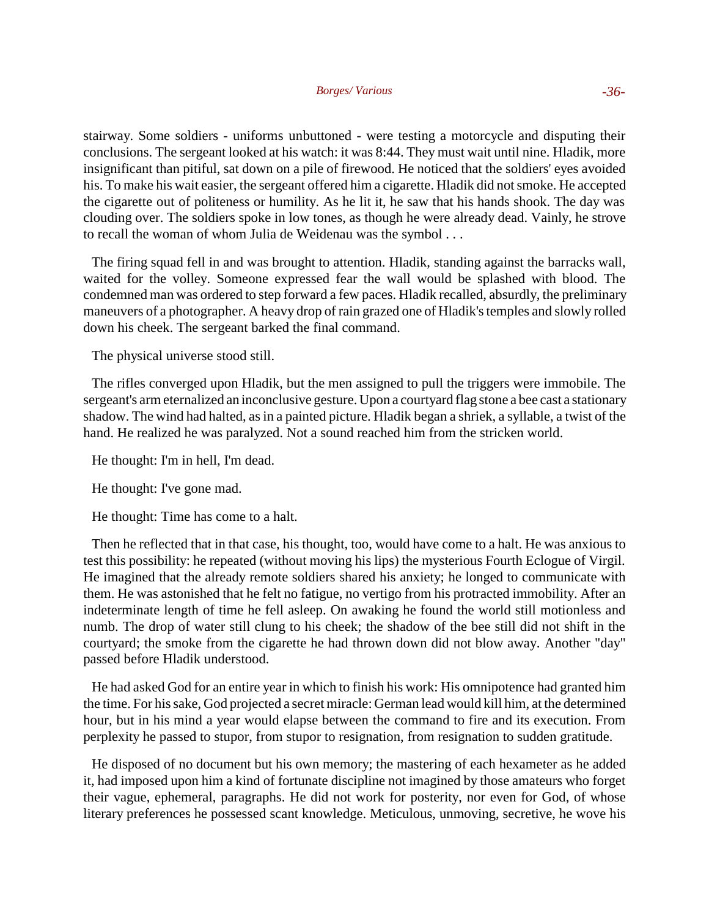stairway. Some soldiers - uniforms unbuttoned - were testing a motorcycle and disputing their conclusions. The sergeant looked at his watch: it was 8:44. They must wait until nine. Hladik, more insignificant than pitiful, sat down on a pile of firewood. He noticed that the soldiers' eyes avoided his. To make his wait easier, the sergeant offered him a cigarette. Hladik did notsmoke. He accepted the cigarette out of politeness or humility. As he lit it, he saw that his hands shook. The day was clouding over. The soldiers spoke in low tones, as though he were already dead. Vainly, he strove to recall the woman of whom Julia de Weidenau was the symbol . . .

The firing squad fell in and was brought to attention. Hladik, standing against the barracks wall, waited for the volley. Someone expressed fear the wall would be splashed with blood. The condemned man was ordered to step forward a few paces. Hladik recalled, absurdly, the preliminary maneuvers of a photographer. A heavy drop of rain grazed one of Hladik'stemples and slowly rolled down his cheek. The sergeant barked the final command.

The physical universe stood still.

The rifles converged upon Hladik, but the men assigned to pull the triggers were immobile. The sergeant's arm eternalized an inconclusive gesture. Upon a courtyard flag stone a bee cast a stationary shadow. The wind had halted, as in a painted picture. Hladik began a shriek, a syllable, a twist of the hand. He realized he was paralyzed. Not a sound reached him from the stricken world.

He thought: I'm in hell, I'm dead.

He thought: I've gone mad.

He thought: Time has come to a halt.

Then he reflected that in that case, his thought, too, would have come to a halt. He was anxious to test this possibility: he repeated (without moving his lips) the mysterious Fourth Eclogue of Virgil. He imagined that the already remote soldiers shared his anxiety; he longed to communicate with them. He was astonished that he felt no fatigue, no vertigo from his protracted immobility. After an indeterminate length of time he fell asleep. On awaking he found the world still motionless and numb. The drop of water still clung to his cheek; the shadow of the bee still did not shift in the courtyard; the smoke from the cigarette he had thrown down did not blow away. Another "day" passed before Hladik understood.

He had asked God for an entire year in which to finish his work: His omnipotence had granted him the time. For hissake, God projected a secret miracle: German lead would kill him, at the determined hour, but in his mind a year would elapse between the command to fire and its execution. From perplexity he passed to stupor, from stupor to resignation, from resignation to sudden gratitude.

He disposed of no document but his own memory; the mastering of each hexameter as he added it, had imposed upon him a kind of fortunate discipline not imagined by those amateurs who forget their vague, ephemeral, paragraphs. He did not work for posterity, nor even for God, of whose literary preferences he possessed scant knowledge. Meticulous, unmoving, secretive, he wove his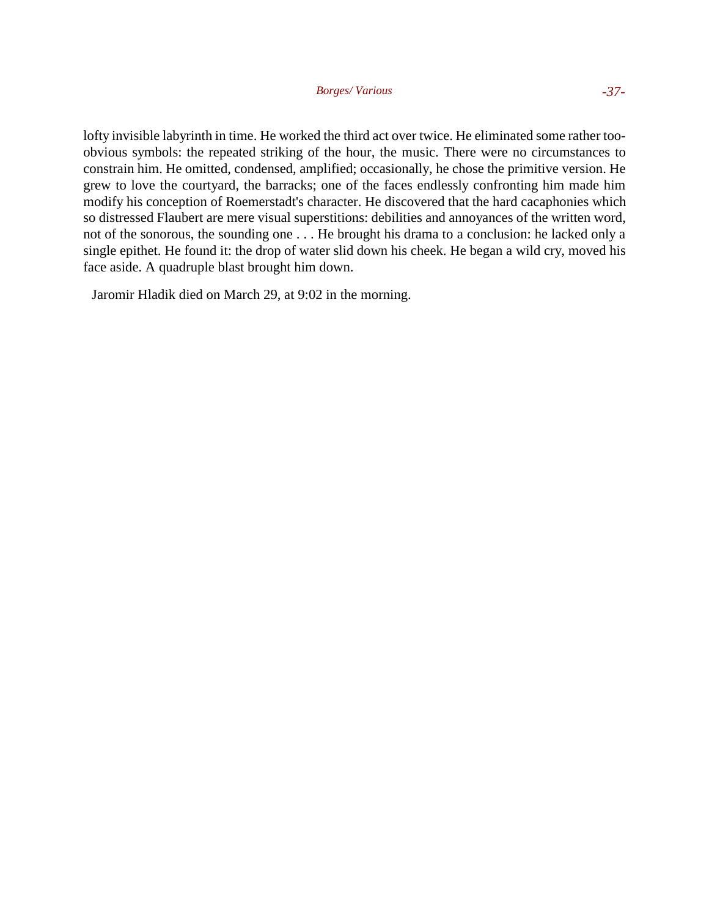### *Borges/ Various -37-*

lofty invisible labyrinth in time. He worked the third act over twice. He eliminated some rather tooobvious symbols: the repeated striking of the hour, the music. There were no circumstances to constrain him. He omitted, condensed, amplified; occasionally, he chose the primitive version. He grew to love the courtyard, the barracks; one of the faces endlessly confronting him made him modify his conception of Roemerstadt's character. He discovered that the hard cacaphonies which so distressed Flaubert are mere visual superstitions: debilities and annoyances of the written word, not of the sonorous, the sounding one . . . He brought his drama to a conclusion: he lacked only a single epithet. He found it: the drop of water slid down his cheek. He began a wild cry, moved his face aside. A quadruple blast brought him down.

Jaromir Hladik died on March 29, at 9:02 in the morning.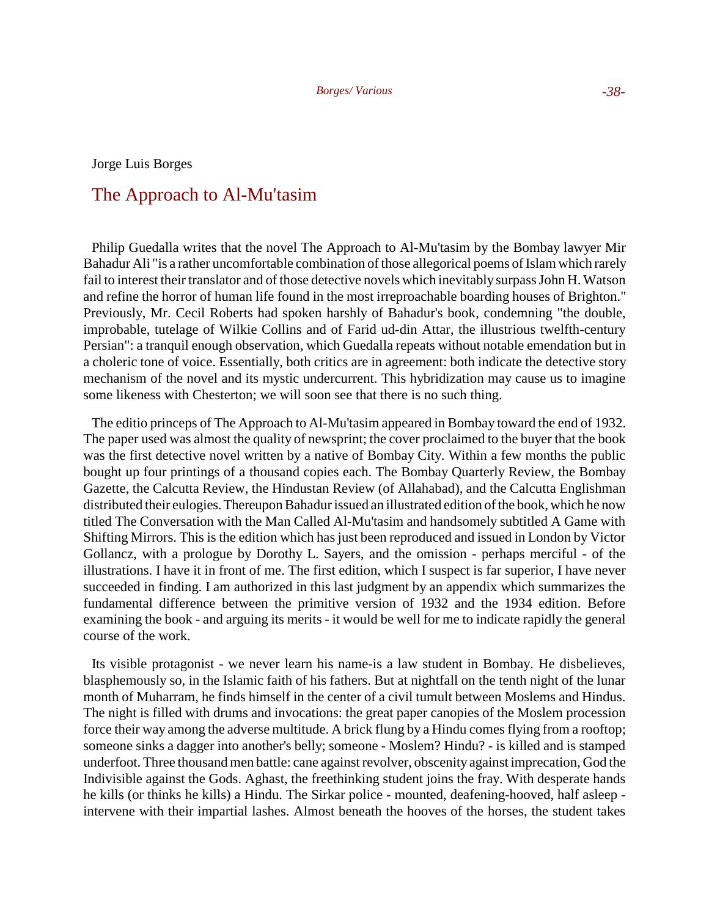Jorge Luis Borges

# The Approach to Al-Mu'tasim

Philip Guedalla writes that the novel The Approach to Al-Mu'tasim by the Bombay lawyer Mir Bahadur Ali "is a rather uncomfortable combination of those allegorical poems of Islam which rarely fail to interest their translator and of those detective novels which inevitably surpass John H. Watson and refine the horror of human life found in the most irreproachable boarding houses of Brighton." Previously, Mr. Cecil Roberts had spoken harshly of Bahadur's book, condemning "the double, improbable, tutelage of Wilkie Collins and of Farid ud-din Attar, the illustrious twelfth-century Persian": a tranquil enough observation, which Guedalla repeats without notable emendation but in a choleric tone of voice. Essentially, both critics are in agreement: both indicate the detective story mechanism of the novel and its mystic undercurrent. This hybridization may cause us to imagine some likeness with Chesterton; we will soon see that there is no such thing.

The editio princeps of The Approach to Al-Mu'tasim appeared in Bombay toward the end of 1932. The paper used was almost the quality of newsprint; the cover proclaimed to the buyer that the book was the first detective novel written by a native of Bombay City. Within a few months the public bought up four printings of a thousand copies each. The Bombay Quarterly Review, the Bombay Gazette, the Calcutta Review, the Hindustan Review (of Allahabad), and the Calcutta Englishman distributed their eulogies. Thereupon Bahadur issued an illustrated edition of the book, which he now titled The Conversation with the Man Called Al-Mu'tasim and handsomely subtitled A Game with Shifting Mirrors. This is the edition which has just been reproduced and issued in London by Victor Gollancz, with a prologue by Dorothy L. Sayers, and the omission - perhaps merciful - of the illustrations. I have it in front of me. The first edition, which I suspect is far superior, I have never succeeded in finding. I am authorized in this last judgment by an appendix which summarizes the fundamental difference between the primitive version of 1932 and the 1934 edition. Before examining the book - and arguing its merits - it would be well for me to indicate rapidly the general course of the work.

Its visible protagonist - we never learn his name-is a law student in Bombay. He disbelieves, blasphemously so, in the Islamic faith of his fathers. But at nightfall on the tenth night of the lunar month of Muharram, he finds himself in the center of a civil tumult between Moslems and Hindus. The night is filled with drums and invocations: the great paper canopies of the Moslem procession force their way among the adverse multitude. A brick flung by a Hindu comes flying from a rooftop; someone sinks a dagger into another's belly; someone - Moslem? Hindu? - is killed and is stamped underfoot. Three thousand men battle: cane against revolver, obscenity against imprecation, God the Indivisible against the Gods. Aghast, the freethinking student joins the fray. With desperate hands he kills (or thinks he kills) a Hindu. The Sirkar police - mounted, deafening-hooved, half asleep intervene with their impartial lashes. Almost beneath the hooves of the horses, the student takes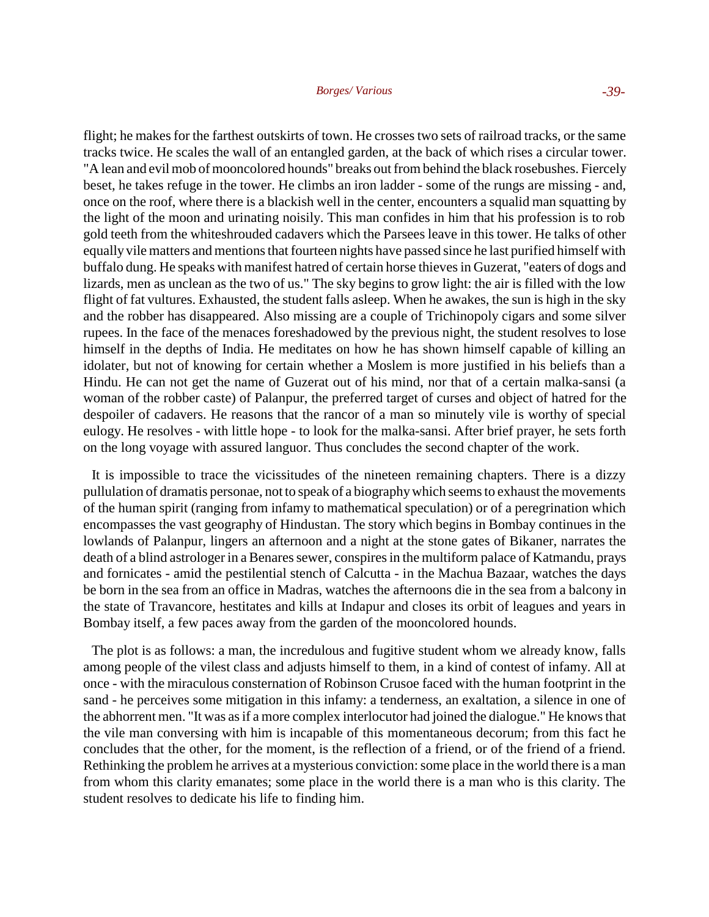#### *Borges/ Various -39-*

flight; he makes for the farthest outskirts of town. He crosses two sets of railroad tracks, or the same tracks twice. He scales the wall of an entangled garden, at the back of which rises a circular tower. "A lean and evil mob of mooncolored hounds" breaks out from behind the black rosebushes. Fiercely beset, he takes refuge in the tower. He climbs an iron ladder - some of the rungs are missing - and, once on the roof, where there is a blackish well in the center, encounters a squalid man squatting by the light of the moon and urinating noisily. This man confides in him that his profession is to rob gold teeth from the whiteshrouded cadavers which the Parsees leave in this tower. He talks of other equally vile matters and mentions that fourteen nights have passed since he last purified himself with buffalo dung. He speaks with manifest hatred of certain horse thieves in Guzerat, "eaters of dogs and lizards, men as unclean as the two of us." The sky begins to grow light: the air is filled with the low flight of fat vultures. Exhausted, the student falls asleep. When he awakes, the sun is high in the sky and the robber has disappeared. Also missing are a couple of Trichinopoly cigars and some silver rupees. In the face of the menaces foreshadowed by the previous night, the student resolves to lose himself in the depths of India. He meditates on how he has shown himself capable of killing an idolater, but not of knowing for certain whether a Moslem is more justified in his beliefs than a Hindu. He can not get the name of Guzerat out of his mind, nor that of a certain malka-sansi (a woman of the robber caste) of Palanpur, the preferred target of curses and object of hatred for the despoiler of cadavers. He reasons that the rancor of a man so minutely vile is worthy of special eulogy. He resolves - with little hope - to look for the malka-sansi. After brief prayer, he sets forth on the long voyage with assured languor. Thus concludes the second chapter of the work.

It is impossible to trace the vicissitudes of the nineteen remaining chapters. There is a dizzy pullulation of dramatis personae, not to speak of a biographywhich seemsto exhaust the movements of the human spirit (ranging from infamy to mathematical speculation) or of a peregrination which encompasses the vast geography of Hindustan. The story which begins in Bombay continues in the lowlands of Palanpur, lingers an afternoon and a night at the stone gates of Bikaner, narrates the death of a blind astrologer in a Benares sewer, conspires in the multiform palace of Katmandu, prays and fornicates - amid the pestilential stench of Calcutta - in the Machua Bazaar, watches the days be born in the sea from an office in Madras, watches the afternoons die in the sea from a balcony in the state of Travancore, hestitates and kills at Indapur and closes its orbit of leagues and years in Bombay itself, a few paces away from the garden of the mooncolored hounds.

The plot is as follows: a man, the incredulous and fugitive student whom we already know, falls among people of the vilest class and adjusts himself to them, in a kind of contest of infamy. All at once - with the miraculous consternation of Robinson Crusoe faced with the human footprint in the sand - he perceives some mitigation in this infamy: a tenderness, an exaltation, a silence in one of the abhorrent men. "It was as if a more complex interlocutor had joined the dialogue." He knows that the vile man conversing with him is incapable of this momentaneous decorum; from this fact he concludes that the other, for the moment, is the reflection of a friend, or of the friend of a friend. Rethinking the problem he arrives at a mysterious conviction: some place in the world there is a man from whom this clarity emanates; some place in the world there is a man who is this clarity. The student resolves to dedicate his life to finding him.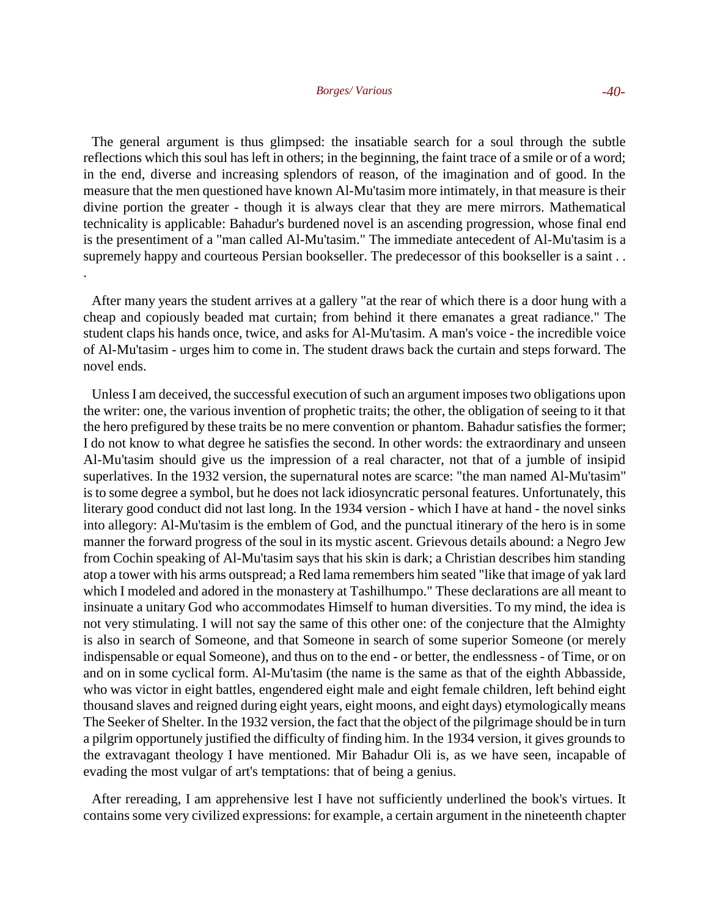### *Borges/ Various -40-*

The general argument is thus glimpsed: the insatiable search for a soul through the subtle reflections which this soul has left in others; in the beginning, the faint trace of a smile or of a word; in the end, diverse and increasing splendors of reason, of the imagination and of good. In the measure that the men questioned have known Al-Mu'tasim more intimately, in that measure is their divine portion the greater - though it is always clear that they are mere mirrors. Mathematical technicality is applicable: Bahadur's burdened novel is an ascending progression, whose final end is the presentiment of a "man called Al-Mu'tasim." The immediate antecedent of Al-Mu'tasim is a supremely happy and courteous Persian bookseller. The predecessor of this bookseller is a saint... .

After many years the student arrives at a gallery "at the rear of which there is a door hung with a cheap and copiously beaded mat curtain; from behind it there emanates a great radiance." The student claps his hands once, twice, and asks for Al-Mu'tasim. A man's voice - the incredible voice of Al-Mu'tasim - urges him to come in. The student draws back the curtain and steps forward. The novel ends.

Unless I am deceived, the successful execution of such an argument imposes two obligations upon the writer: one, the various invention of prophetic traits; the other, the obligation of seeing to it that the hero prefigured by these traits be no mere convention or phantom. Bahadur satisfies the former; I do not know to what degree he satisfies the second. In other words: the extraordinary and unseen Al-Mu'tasim should give us the impression of a real character, not that of a jumble of insipid superlatives. In the 1932 version, the supernatural notes are scarce: "the man named Al-Mu'tasim" is to some degree a symbol, but he does not lack idiosyncratic personal features. Unfortunately, this literary good conduct did not last long. In the 1934 version - which I have at hand - the novel sinks into allegory: Al-Mu'tasim is the emblem of God, and the punctual itinerary of the hero is in some manner the forward progress of the soul in its mystic ascent. Grievous details abound: a Negro Jew from Cochin speaking of Al-Mu'tasim says that his skin is dark; a Christian describes him standing atop a tower with his arms outspread; a Red lama remembers him seated "like that image of yak lard which I modeled and adored in the monastery at Tashilhumpo." These declarations are all meant to insinuate a unitary God who accommodates Himself to human diversities. To my mind, the idea is not very stimulating. I will not say the same of this other one: of the conjecture that the Almighty is also in search of Someone, and that Someone in search of some superior Someone (or merely indispensable or equal Someone), and thus on to the end - or better, the endlessness - of Time, or on and on in some cyclical form. Al-Mu'tasim (the name is the same as that of the eighth Abbasside, who was victor in eight battles, engendered eight male and eight female children, left behind eight thousand slaves and reigned during eight years, eight moons, and eight days) etymologically means The Seeker of Shelter. In the 1932 version, the fact that the object of the pilgrimage should be in turn a pilgrim opportunely justified the difficulty of finding him. In the 1934 version, it gives grounds to the extravagant theology I have mentioned. Mir Bahadur Oli is, as we have seen, incapable of evading the most vulgar of art's temptations: that of being a genius.

After rereading, I am apprehensive lest I have not sufficiently underlined the book's virtues. It contains some very civilized expressions: for example, a certain argument in the nineteenth chapter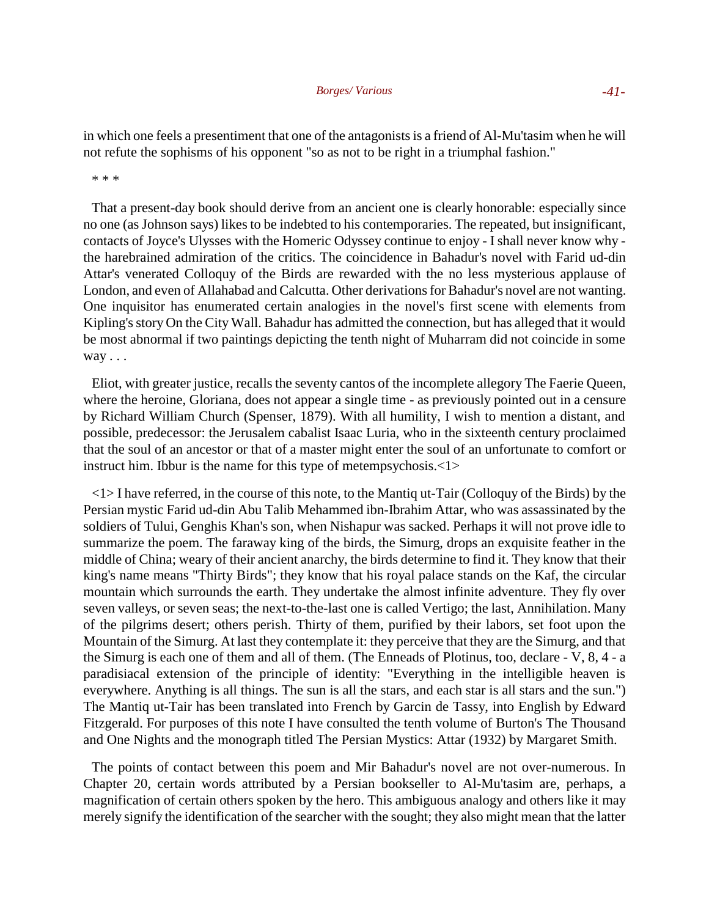in which one feels a presentiment that one of the antagonistsis a friend of Al-Mu'tasim when he will not refute the sophisms of his opponent "so as not to be right in a triumphal fashion."

\* \* \*

That a present-day book should derive from an ancient one is clearly honorable: especially since no one (as Johnson says) likes to be indebted to his contemporaries. The repeated, but insignificant, contacts of Joyce's Ulysses with the Homeric Odyssey continue to enjoy - I shall never know why the harebrained admiration of the critics. The coincidence in Bahadur's novel with Farid ud-din Attar's venerated Colloquy of the Birds are rewarded with the no less mysterious applause of London, and even of Allahabad and Calcutta. Other derivations for Bahadur's novel are not wanting. One inquisitor has enumerated certain analogies in the novel's first scene with elements from Kipling's story On the City Wall. Bahadur has admitted the connection, but has alleged that it would be most abnormal if two paintings depicting the tenth night of Muharram did not coincide in some way . . .

Eliot, with greater justice, recalls the seventy cantos of the incomplete allegory The Faerie Queen, where the heroine, Gloriana, does not appear a single time - as previously pointed out in a censure by Richard William Church (Spenser, 1879). With all humility, I wish to mention a distant, and possible, predecessor: the Jerusalem cabalist Isaac Luria, who in the sixteenth century proclaimed that the soul of an ancestor or that of a master might enter the soul of an unfortunate to comfort or instruct him. Ibbur is the name for this type of metempsychosis.<1>

<1> I have referred, in the course of this note, to the Mantiq ut-Tair (Colloquy of the Birds) by the Persian mystic Farid ud-din Abu Talib Mehammed ibn-Ibrahim Attar, who was assassinated by the soldiers of Tului, Genghis Khan's son, when Nishapur was sacked. Perhaps it will not prove idle to summarize the poem. The faraway king of the birds, the Simurg, drops an exquisite feather in the middle of China; weary of their ancient anarchy, the birds determine to find it. They know that their king's name means "Thirty Birds"; they know that his royal palace stands on the Kaf, the circular mountain which surrounds the earth. They undertake the almost infinite adventure. They fly over seven valleys, or seven seas; the next-to-the-last one is called Vertigo; the last, Annihilation. Many of the pilgrims desert; others perish. Thirty of them, purified by their labors, set foot upon the Mountain of the Simurg. At last they contemplate it: they perceive that they are the Simurg, and that the Simurg is each one of them and all of them. (The Enneads of Plotinus, too, declare - V, 8, 4 - a paradisiacal extension of the principle of identity: "Everything in the intelligible heaven is everywhere. Anything is all things. The sun is all the stars, and each star is all stars and the sun.") The Mantiq ut-Tair has been translated into French by Garcin de Tassy, into English by Edward Fitzgerald. For purposes of this note I have consulted the tenth volume of Burton's The Thousand and One Nights and the monograph titled The Persian Mystics: Attar (1932) by Margaret Smith.

The points of contact between this poem and Mir Bahadur's novel are not over-numerous. In Chapter 20, certain words attributed by a Persian bookseller to Al-Mu'tasim are, perhaps, a magnification of certain others spoken by the hero. This ambiguous analogy and others like it may merely signify the identification of the searcher with the sought; they also might mean that the latter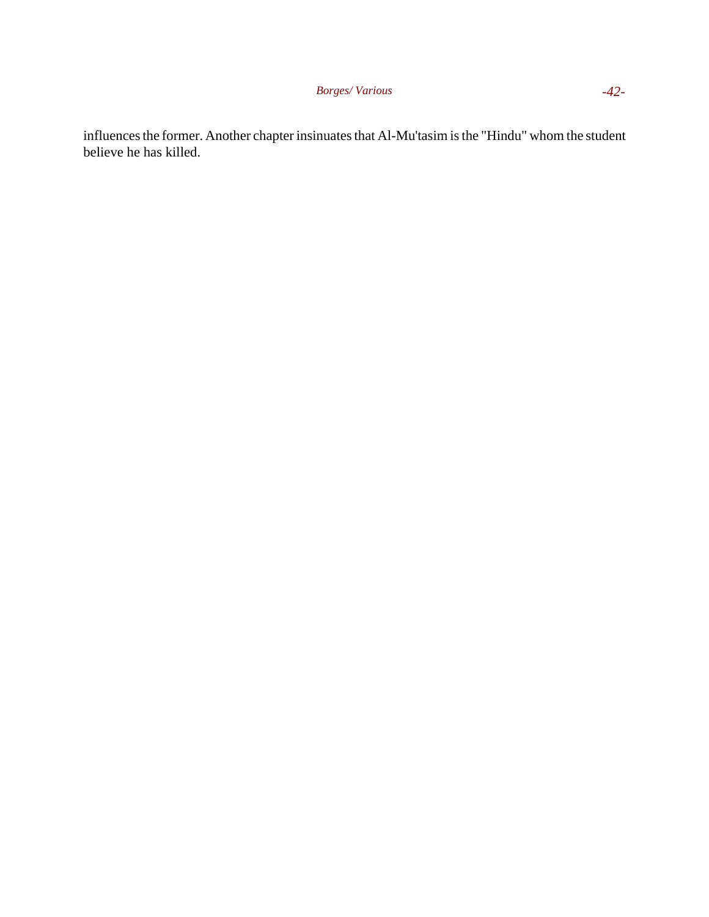influences the former. Another chapter insinuates that Al-Mu'tasim is the "Hindu" whom the student believe he has killed.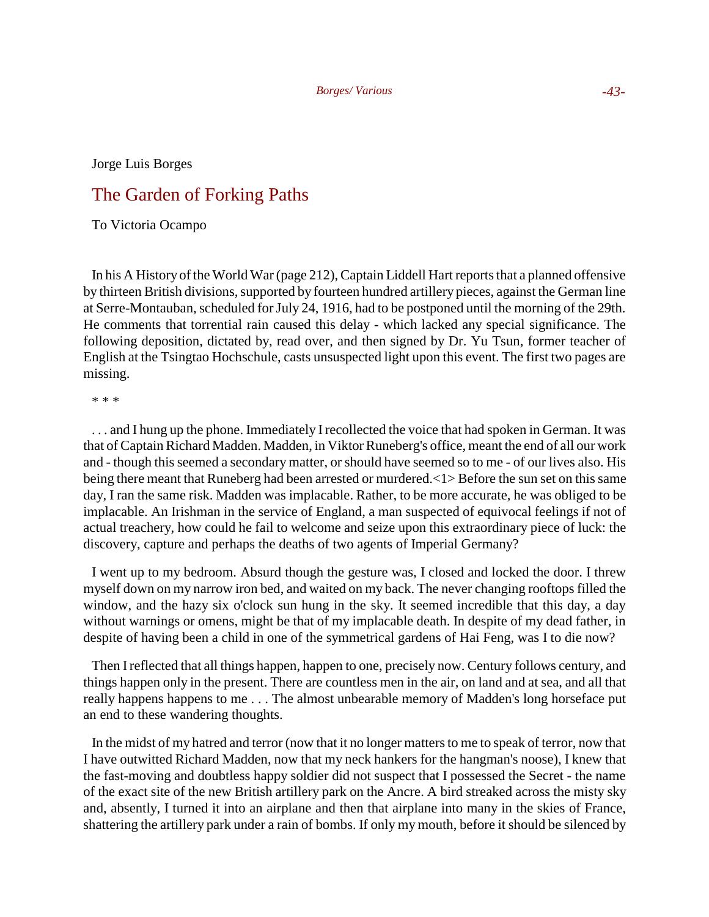Jorge Luis Borges

# The Garden of Forking Paths

To Victoria Ocampo

In his A History of the World War (page 212), Captain Liddell Hart reports that a planned offensive by thirteen British divisions, supported by fourteen hundred artillery pieces, against the German line at Serre-Montauban, scheduled for July 24, 1916, had to be postponed until the morning of the 29th. He comments that torrential rain caused this delay - which lacked any special significance. The following deposition, dictated by, read over, and then signed by Dr. Yu Tsun, former teacher of English at the Tsingtao Hochschule, casts unsuspected light upon this event. The first two pages are missing.

\* \* \*

. . . and I hung up the phone. Immediately I recollected the voice that had spoken in German. It was that of Captain Richard Madden. Madden, in Viktor Runeberg's office, meant the end of all our work and - though thisseemed a secondary matter, orshould have seemed so to me - of our lives also. His being there meant that Runeberg had been arrested or murdered.<1>Before the sun set on this same day, I ran the same risk. Madden was implacable. Rather, to be more accurate, he was obliged to be implacable. An Irishman in the service of England, a man suspected of equivocal feelings if not of actual treachery, how could he fail to welcome and seize upon this extraordinary piece of luck: the discovery, capture and perhaps the deaths of two agents of Imperial Germany?

I went up to my bedroom. Absurd though the gesture was, I closed and locked the door. I threw myself down on my narrow iron bed, and waited on my back. The never changing rooftops filled the window, and the hazy six o'clock sun hung in the sky. It seemed incredible that this day, a day without warnings or omens, might be that of my implacable death. In despite of my dead father, in despite of having been a child in one of the symmetrical gardens of Hai Feng, was I to die now?

Then Ireflected that all things happen, happen to one, precisely now. Century follows century, and things happen only in the present. There are countless men in the air, on land and at sea, and all that really happens happens to me . . . The almost unbearable memory of Madden's long horseface put an end to these wandering thoughts.

In the midst of my hatred and terror (now that it no longer matters to me to speak of terror, now that I have outwitted Richard Madden, now that my neck hankers for the hangman's noose), I knew that the fast-moving and doubtless happy soldier did not suspect that I possessed the Secret - the name of the exact site of the new British artillery park on the Ancre. A bird streaked across the misty sky and, absently, I turned it into an airplane and then that airplane into many in the skies of France, shattering the artillery park under a rain of bombs. If only my mouth, before it should be silenced by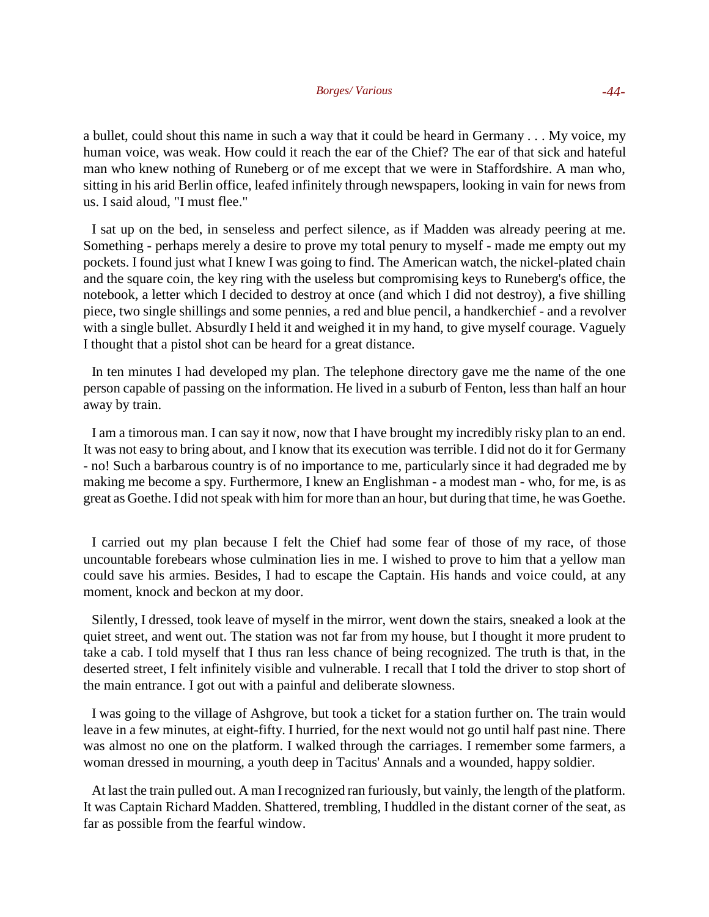a bullet, could shout this name in such a way that it could be heard in Germany . . . My voice, my human voice, was weak. How could it reach the ear of the Chief? The ear of that sick and hateful man who knew nothing of Runeberg or of me except that we were in Staffordshire. A man who, sitting in his arid Berlin office, leafed infinitely through newspapers, looking in vain for news from us. I said aloud, "I must flee."

I sat up on the bed, in senseless and perfect silence, as if Madden was already peering at me. Something - perhaps merely a desire to prove my total penury to myself - made me empty out my pockets. I found just what I knew I was going to find. The American watch, the nickel-plated chain and the square coin, the key ring with the useless but compromising keys to Runeberg's office, the notebook, a letter which I decided to destroy at once (and which I did not destroy), a five shilling piece, two single shillings and some pennies, a red and blue pencil, a handkerchief - and a revolver with a single bullet. Absurdly I held it and weighed it in my hand, to give myself courage. Vaguely I thought that a pistol shot can be heard for a great distance.

In ten minutes I had developed my plan. The telephone directory gave me the name of the one person capable of passing on the information. He lived in a suburb of Fenton, less than half an hour away by train.

I am a timorous man. I can say it now, now that I have brought my incredibly risky plan to an end. It was not easy to bring about, and I know that its execution was terrible. I did not do it for Germany - no! Such a barbarous country is of no importance to me, particularly since it had degraded me by making me become a spy. Furthermore, I knew an Englishman - a modest man - who, for me, is as great as Goethe. I did notspeak with him for more than an hour, but during that time, he was Goethe.

I carried out my plan because I felt the Chief had some fear of those of my race, of those uncountable forebears whose culmination lies in me. I wished to prove to him that a yellow man could save his armies. Besides, I had to escape the Captain. His hands and voice could, at any moment, knock and beckon at my door.

Silently, I dressed, took leave of myself in the mirror, went down the stairs, sneaked a look at the quiet street, and went out. The station was not far from my house, but I thought it more prudent to take a cab. I told myself that I thus ran less chance of being recognized. The truth is that, in the deserted street, I felt infinitely visible and vulnerable. I recall that I told the driver to stop short of the main entrance. I got out with a painful and deliberate slowness.

I was going to the village of Ashgrove, but took a ticket for a station further on. The train would leave in a few minutes, at eight-fifty. I hurried, for the next would not go until half past nine. There was almost no one on the platform. I walked through the carriages. I remember some farmers, a woman dressed in mourning, a youth deep in Tacitus' Annals and a wounded, happy soldier.

At last the train pulled out. A man Irecognized ran furiously, but vainly, the length of the platform. It was Captain Richard Madden. Shattered, trembling, I huddled in the distant corner of the seat, as far as possible from the fearful window.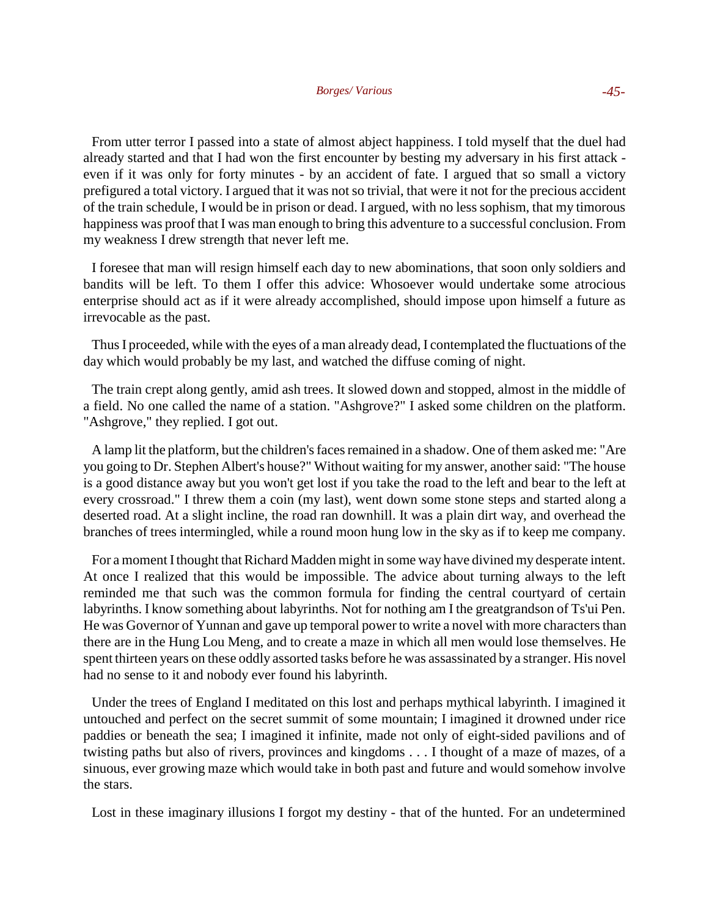From utter terror I passed into a state of almost abject happiness. I told myself that the duel had already started and that I had won the first encounter by besting my adversary in his first attack even if it was only for forty minutes - by an accident of fate. I argued that so small a victory prefigured a total victory. I argued that it was not so trivial, that were it not for the precious accident of the train schedule, I would be in prison or dead. I argued, with no less sophism, that my timorous happiness was proof that I was man enough to bring this adventure to a successful conclusion. From my weakness I drew strength that never left me.

I foresee that man will resign himself each day to new abominations, that soon only soldiers and bandits will be left. To them I offer this advice: Whosoever would undertake some atrocious enterprise should act as if it were already accomplished, should impose upon himself a future as irrevocable as the past.

ThusI proceeded, while with the eyes of a man already dead, I contemplated the fluctuations of the day which would probably be my last, and watched the diffuse coming of night.

The train crept along gently, amid ash trees. It slowed down and stopped, almost in the middle of a field. No one called the name of a station. "Ashgrove?" I asked some children on the platform. "Ashgrove," they replied. I got out.

A lamp lit the platform, but the children's faces remained in a shadow. One of them asked me: "Are you going to Dr. Stephen Albert's house?" Without waiting for my answer, anothersaid: "The house is a good distance away but you won't get lost if you take the road to the left and bear to the left at every crossroad." I threw them a coin (my last), went down some stone steps and started along a deserted road. At a slight incline, the road ran downhill. It was a plain dirt way, and overhead the branches of trees intermingled, while a round moon hung low in the sky as if to keep me company.

For a moment I thought that Richard Madden might in some way have divined my desperate intent. At once I realized that this would be impossible. The advice about turning always to the left reminded me that such was the common formula for finding the central courtyard of certain labyrinths. I know something about labyrinths. Not for nothing am I the greatgrandson of Ts'ui Pen. He was Governor of Yunnan and gave up temporal power to write a novel with more characters than there are in the Hung Lou Meng, and to create a maze in which all men would lose themselves. He spent thirteen years on these oddly assorted tasks before he was assassinated by a stranger. His novel had no sense to it and nobody ever found his labyrinth.

Under the trees of England I meditated on this lost and perhaps mythical labyrinth. I imagined it untouched and perfect on the secret summit of some mountain; I imagined it drowned under rice paddies or beneath the sea; I imagined it infinite, made not only of eight-sided pavilions and of twisting paths but also of rivers, provinces and kingdoms . . . I thought of a maze of mazes, of a sinuous, ever growing maze which would take in both past and future and would somehow involve the stars.

Lost in these imaginary illusions I forgot my destiny - that of the hunted. For an undetermined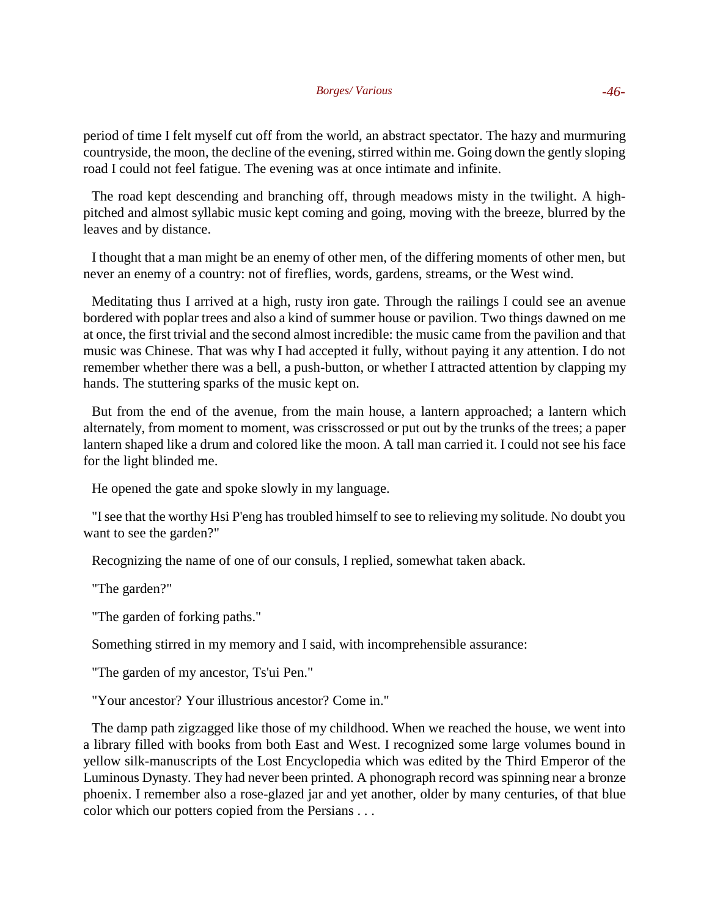period of time I felt myself cut off from the world, an abstract spectator. The hazy and murmuring countryside, the moon, the decline of the evening, stirred within me. Going down the gently sloping road I could not feel fatigue. The evening was at once intimate and infinite.

The road kept descending and branching off, through meadows misty in the twilight. A highpitched and almost syllabic music kept coming and going, moving with the breeze, blurred by the leaves and by distance.

I thought that a man might be an enemy of other men, of the differing moments of other men, but never an enemy of a country: not of fireflies, words, gardens, streams, or the West wind.

Meditating thus I arrived at a high, rusty iron gate. Through the railings I could see an avenue bordered with poplar trees and also a kind of summer house or pavilion. Two things dawned on me at once, the first trivial and the second almost incredible: the music came from the pavilion and that music was Chinese. That was why I had accepted it fully, without paying it any attention. I do not remember whether there was a bell, a push-button, or whether I attracted attention by clapping my hands. The stuttering sparks of the music kept on.

But from the end of the avenue, from the main house, a lantern approached; a lantern which alternately, from moment to moment, was crisscrossed or put out by the trunks of the trees; a paper lantern shaped like a drum and colored like the moon. A tall man carried it. I could not see his face for the light blinded me.

He opened the gate and spoke slowly in my language.

"Isee that the worthy Hsi P'eng has troubled himself to see to relieving my solitude. No doubt you want to see the garden?"

Recognizing the name of one of our consuls, I replied, somewhat taken aback.

"The garden?"

"The garden of forking paths."

Something stirred in my memory and I said, with incomprehensible assurance:

"The garden of my ancestor, Ts'ui Pen."

"Your ancestor? Your illustrious ancestor? Come in."

The damp path zigzagged like those of my childhood. When we reached the house, we went into a library filled with books from both East and West. I recognized some large volumes bound in yellow silk-manuscripts of the Lost Encyclopedia which was edited by the Third Emperor of the Luminous Dynasty. They had never been printed. A phonograph record was spinning near a bronze phoenix. I remember also a rose-glazed jar and yet another, older by many centuries, of that blue color which our potters copied from the Persians . . .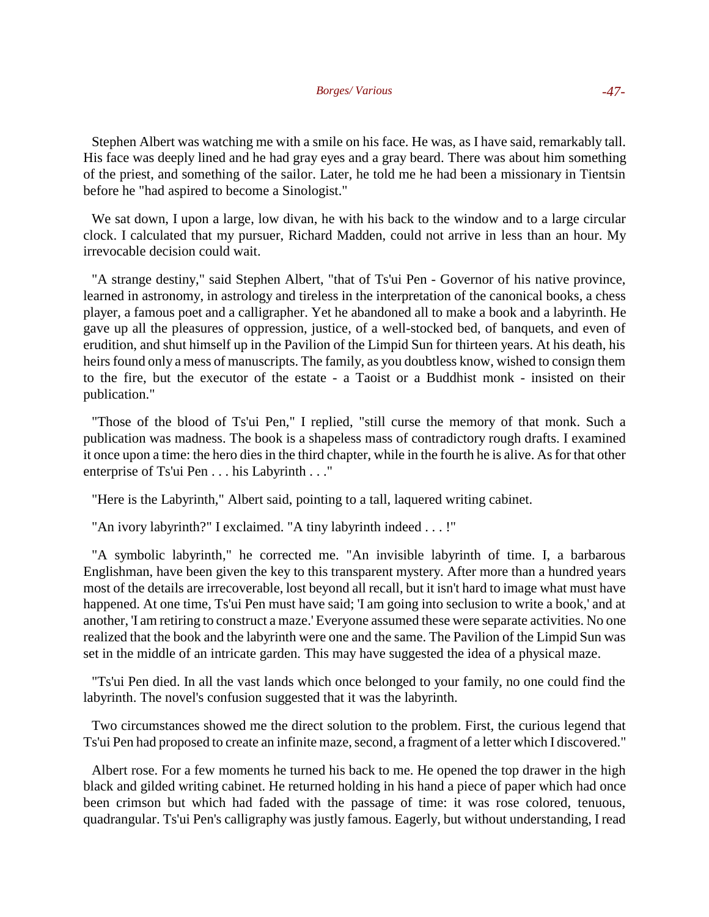Stephen Albert was watching me with a smile on his face. He was, as I have said, remarkably tall. His face was deeply lined and he had gray eyes and a gray beard. There was about him something of the priest, and something of the sailor. Later, he told me he had been a missionary in Tientsin before he "had aspired to become a Sinologist."

We sat down, I upon a large, low divan, he with his back to the window and to a large circular clock. I calculated that my pursuer, Richard Madden, could not arrive in less than an hour. My irrevocable decision could wait.

"A strange destiny," said Stephen Albert, "that of Ts'ui Pen - Governor of his native province, learned in astronomy, in astrology and tireless in the interpretation of the canonical books, a chess player, a famous poet and a calligrapher. Yet he abandoned all to make a book and a labyrinth. He gave up all the pleasures of oppression, justice, of a well-stocked bed, of banquets, and even of erudition, and shut himself up in the Pavilion of the Limpid Sun for thirteen years. At his death, his heirs found only a mess of manuscripts. The family, as you doubtless know, wished to consign them to the fire, but the executor of the estate - a Taoist or a Buddhist monk - insisted on their publication."

"Those of the blood of Ts'ui Pen," I replied, "still curse the memory of that monk. Such a publication was madness. The book is a shapeless mass of contradictory rough drafts. I examined it once upon a time: the hero dies in the third chapter, while in the fourth he is alive. As for that other enterprise of Ts'ui Pen . . . his Labyrinth . . ."

"Here is the Labyrinth," Albert said, pointing to a tall, laquered writing cabinet.

"An ivory labyrinth?" I exclaimed. "A tiny labyrinth indeed . . . !"

"A symbolic labyrinth," he corrected me. "An invisible labyrinth of time. I, a barbarous Englishman, have been given the key to this transparent mystery. After more than a hundred years most of the details are irrecoverable, lost beyond all recall, but it isn't hard to image what must have happened. At one time, Ts'ui Pen must have said; 'I am going into seclusion to write a book,' and at another, 'I am retiring to construct a maze.' Everyone assumed these were separate activities. No one realized that the book and the labyrinth were one and the same. The Pavilion of the Limpid Sun was set in the middle of an intricate garden. This may have suggested the idea of a physical maze.

"Ts'ui Pen died. In all the vast lands which once belonged to your family, no one could find the labyrinth. The novel's confusion suggested that it was the labyrinth.

Two circumstances showed me the direct solution to the problem. First, the curious legend that Ts'ui Pen had proposed to create an infinite maze, second, a fragment of a letter which I discovered."

Albert rose. For a few moments he turned his back to me. He opened the top drawer in the high black and gilded writing cabinet. He returned holding in his hand a piece of paper which had once been crimson but which had faded with the passage of time: it was rose colored, tenuous, quadrangular. Ts'ui Pen's calligraphy was justly famous. Eagerly, but without understanding, I read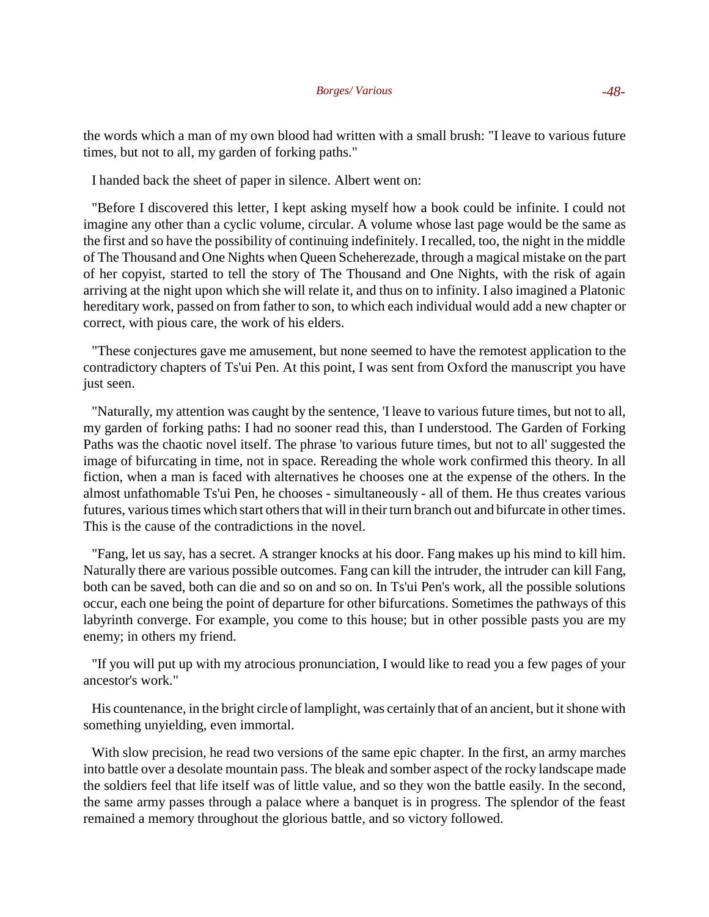the words which a man of my own blood had written with a small brush: "I leave to various future times, but not to all, my garden of forking paths."

I handed back the sheet of paper in silence. Albert went on:

"Before I discovered this letter, I kept asking myself how a book could be infinite. I could not imagine any other than a cyclic volume, circular. A volume whose last page would be the same as the first and so have the possibility of continuing indefinitely. I recalled, too, the night in the middle of The Thousand and One Nights when Queen Scheherezade, through a magical mistake on the part of her copyist, started to tell the story of The Thousand and One Nights, with the risk of again arriving at the night upon which she will relate it, and thus on to infinity. I also imagined a Platonic hereditary work, passed on from father to son, to which each individual would add a new chapter or correct, with pious care, the work of his elders.

"These conjectures gave me amusement, but none seemed to have the remotest application to the contradictory chapters of Ts'ui Pen. At this point, I was sent from Oxford the manuscript you have just seen.

"Naturally, my attention was caught by the sentence, 'I leave to various future times, but not to all, my garden of forking paths: I had no sooner read this, than I understood. The Garden of Forking Paths was the chaotic novel itself. The phrase 'to various future times, but not to all' suggested the image of bifurcating in time, not in space. Rereading the whole work confirmed this theory. In all fiction, when a man is faced with alternatives he chooses one at the expense of the others. In the almost unfathomable Ts'ui Pen, he chooses - simultaneously - all of them. He thus creates various futures, various times which start others that will in their turn branch out and bifurcate in other times. This is the cause of the contradictions in the novel.

"Fang, let us say, has a secret. A stranger knocks at his door. Fang makes up his mind to kill him. Naturally there are various possible outcomes. Fang can kill the intruder, the intruder can kill Fang, both can be saved, both can die and so on and so on. In Ts'ui Pen's work, all the possible solutions occur, each one being the point of departure for other bifurcations. Sometimes the pathways of this labyrinth converge. For example, you come to this house; but in other possible pasts you are my enemy; in others my friend.

"If you will put up with my atrocious pronunciation, I would like to read you a few pages of your ancestor's work."

His countenance, in the bright circle of lamplight, was certainly that of an ancient, but itshone with something unyielding, even immortal.

With slow precision, he read two versions of the same epic chapter. In the first, an army marches into battle over a desolate mountain pass. The bleak and somber aspect of the rocky landscape made the soldiers feel that life itself was of little value, and so they won the battle easily. In the second, the same army passes through a palace where a banquet is in progress. The splendor of the feast remained a memory throughout the glorious battle, and so victory followed.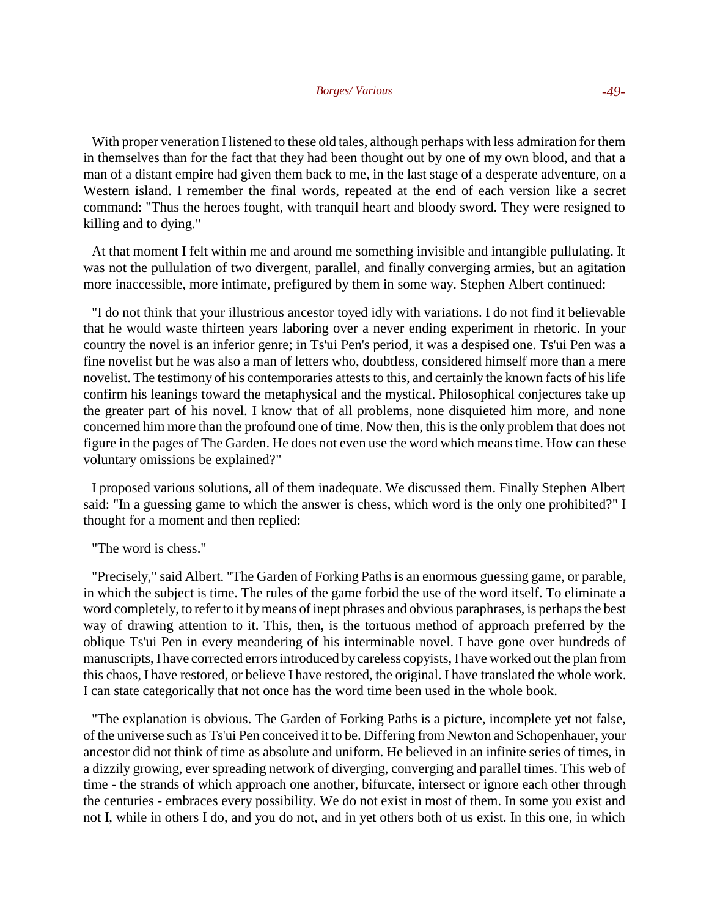### *Borges/ Various -49-*

With proper veneration I listened to these old tales, although perhaps with less admiration for them in themselves than for the fact that they had been thought out by one of my own blood, and that a man of a distant empire had given them back to me, in the last stage of a desperate adventure, on a Western island. I remember the final words, repeated at the end of each version like a secret command: "Thus the heroes fought, with tranquil heart and bloody sword. They were resigned to killing and to dying."

At that moment I felt within me and around me something invisible and intangible pullulating. It was not the pullulation of two divergent, parallel, and finally converging armies, but an agitation more inaccessible, more intimate, prefigured by them in some way. Stephen Albert continued:

"I do not think that your illustrious ancestor toyed idly with variations. I do not find it believable that he would waste thirteen years laboring over a never ending experiment in rhetoric. In your country the novel is an inferior genre; in Ts'ui Pen's period, it was a despised one. Ts'ui Pen was a fine novelist but he was also a man of letters who, doubtless, considered himself more than a mere novelist. The testimony of his contemporaries attests to this, and certainly the known facts of his life confirm his leanings toward the metaphysical and the mystical. Philosophical conjectures take up the greater part of his novel. I know that of all problems, none disquieted him more, and none concerned him more than the profound one of time. Now then, this is the only problem that does not figure in the pages of The Garden. He does not even use the word which meanstime. How can these voluntary omissions be explained?"

I proposed various solutions, all of them inadequate. We discussed them. Finally Stephen Albert said: "In a guessing game to which the answer is chess, which word is the only one prohibited?" I thought for a moment and then replied:

### "The word is chess."

"Precisely," said Albert. "The Garden of Forking Paths is an enormous guessing game, or parable, in which the subject is time. The rules of the game forbid the use of the word itself. To eliminate a word completely, to refer to it by means of inept phrases and obvious paraphrases, is perhaps the best way of drawing attention to it. This, then, is the tortuous method of approach preferred by the oblique Ts'ui Pen in every meandering of his interminable novel. I have gone over hundreds of manuscripts, I have corrected errorsintroduced by careless copyists, I have worked out the plan from this chaos, I have restored, or believe I have restored, the original. I have translated the whole work. I can state categorically that not once has the word time been used in the whole book.

"The explanation is obvious. The Garden of Forking Paths is a picture, incomplete yet not false, of the universe such as Ts'ui Pen conceived it to be. Differing from Newton and Schopenhauer, your ancestor did not think of time as absolute and uniform. He believed in an infinite series of times, in a dizzily growing, ever spreading network of diverging, converging and parallel times. This web of time - the strands of which approach one another, bifurcate, intersect or ignore each other through the centuries - embraces every possibility. We do not exist in most of them. In some you exist and not I, while in others I do, and you do not, and in yet others both of us exist. In this one, in which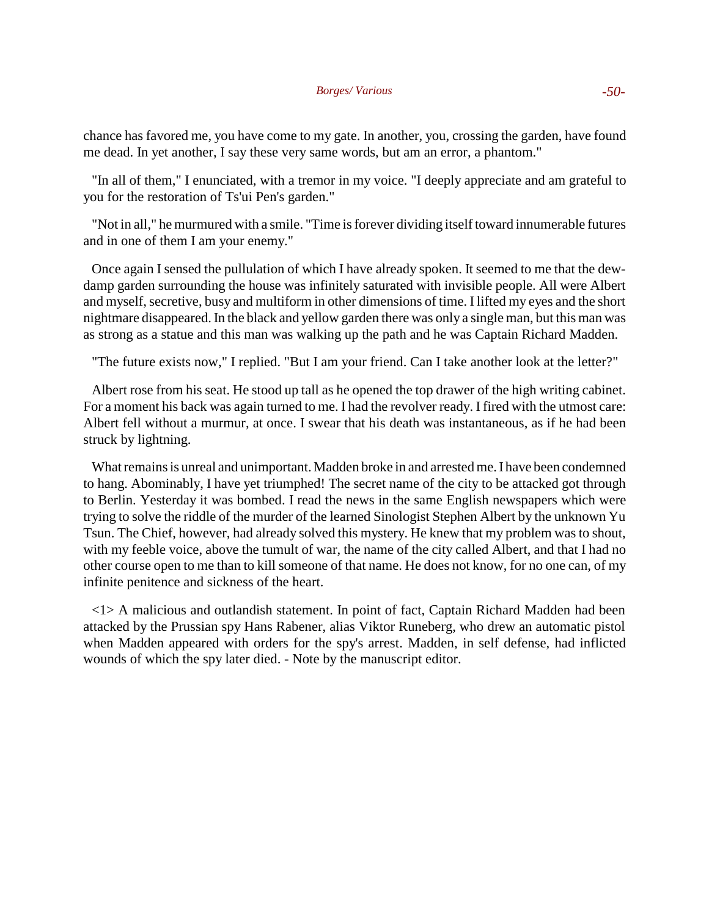chance has favored me, you have come to my gate. In another, you, crossing the garden, have found me dead. In yet another, I say these very same words, but am an error, a phantom."

"In all of them," I enunciated, with a tremor in my voice. "I deeply appreciate and am grateful to you for the restoration of Ts'ui Pen's garden."

"Not in all," he murmured with a smile. "Time is forever dividing itself toward innumerable futures and in one of them I am your enemy."

Once again I sensed the pullulation of which I have already spoken. It seemed to me that the dewdamp garden surrounding the house was infinitely saturated with invisible people. All were Albert and myself, secretive, busy and multiform in other dimensions of time. I lifted my eyes and the short nightmare disappeared.In the black and yellow garden there was only a single man, but this man was as strong as a statue and this man was walking up the path and he was Captain Richard Madden.

"The future exists now," I replied. "But I am your friend. Can I take another look at the letter?"

Albert rose from his seat. He stood up tall as he opened the top drawer of the high writing cabinet. For a moment his back was again turned to me. I had the revolver ready. I fired with the utmost care: Albert fell without a murmur, at once. I swear that his death was instantaneous, as if he had been struck by lightning.

What remains is unreal and unimportant. Madden broke in and arrested me. I have been condemned to hang. Abominably, I have yet triumphed! The secret name of the city to be attacked got through to Berlin. Yesterday it was bombed. I read the news in the same English newspapers which were trying to solve the riddle of the murder of the learned Sinologist Stephen Albert by the unknown Yu Tsun. The Chief, however, had already solved this mystery. He knew that my problem wasto shout, with my feeble voice, above the tumult of war, the name of the city called Albert, and that I had no other course open to me than to kill someone of that name. He does not know, for no one can, of my infinite penitence and sickness of the heart.

<1> A malicious and outlandish statement. In point of fact, Captain Richard Madden had been attacked by the Prussian spy Hans Rabener, alias Viktor Runeberg, who drew an automatic pistol when Madden appeared with orders for the spy's arrest. Madden, in self defense, had inflicted wounds of which the spy later died. - Note by the manuscript editor.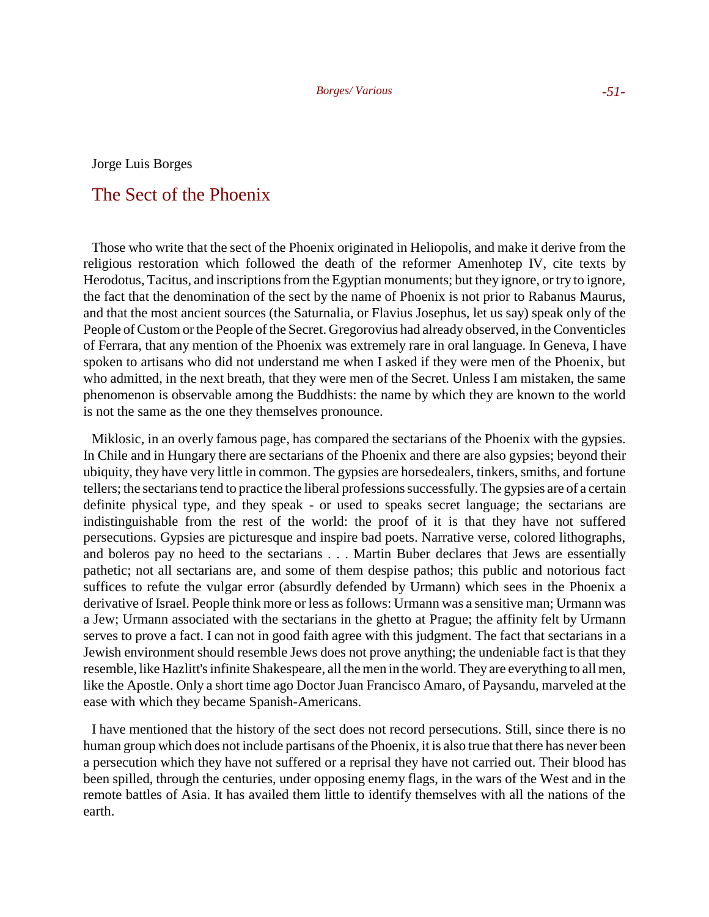Jorge Luis Borges

## The Sect of the Phoenix

Those who write that the sect of the Phoenix originated in Heliopolis, and make it derive from the religious restoration which followed the death of the reformer Amenhotep IV, cite texts by Herodotus, Tacitus, and inscriptions from the Egyptian monuments; but they ignore, or try to ignore, the fact that the denomination of the sect by the name of Phoenix is not prior to Rabanus Maurus, and that the most ancient sources (the Saturnalia, or Flavius Josephus, let us say) speak only of the People of Custom or the People of the Secret. Gregorovius had already observed, in the Conventicles of Ferrara, that any mention of the Phoenix was extremely rare in oral language. In Geneva, I have spoken to artisans who did not understand me when I asked if they were men of the Phoenix, but who admitted, in the next breath, that they were men of the Secret. Unless I am mistaken, the same phenomenon is observable among the Buddhists: the name by which they are known to the world is not the same as the one they themselves pronounce.

Miklosic, in an overly famous page, has compared the sectarians of the Phoenix with the gypsies. In Chile and in Hungary there are sectarians of the Phoenix and there are also gypsies; beyond their ubiquity, they have very little in common. The gypsies are horsedealers, tinkers, smiths, and fortune tellers; the sectarians tend to practice the liberal professions successfully. The gypsies are of a certain definite physical type, and they speak - or used to speaks secret language; the sectarians are indistinguishable from the rest of the world: the proof of it is that they have not suffered persecutions. Gypsies are picturesque and inspire bad poets. Narrative verse, colored lithographs, and boleros pay no heed to the sectarians . . . Martin Buber declares that Jews are essentially pathetic; not all sectarians are, and some of them despise pathos; this public and notorious fact suffices to refute the vulgar error (absurdly defended by Urmann) which sees in the Phoenix a derivative of Israel. People think more or less asfollows: Urmann was a sensitive man; Urmann was a Jew; Urmann associated with the sectarians in the ghetto at Prague; the affinity felt by Urmann serves to prove a fact. I can not in good faith agree with this judgment. The fact that sectarians in a Jewish environment should resemble Jews does not prove anything; the undeniable fact is that they resemble, like Hazlitt's infinite Shakespeare, all the men in the world. They are everything to all men, like the Apostle. Only a short time ago Doctor Juan Francisco Amaro, of Paysandu, marveled at the ease with which they became Spanish-Americans.

I have mentioned that the history of the sect does not record persecutions. Still, since there is no human group which does not include partisans of the Phoenix, it is also true that there has never been a persecution which they have not suffered or a reprisal they have not carried out. Their blood has been spilled, through the centuries, under opposing enemy flags, in the wars of the West and in the remote battles of Asia. It has availed them little to identify themselves with all the nations of the earth.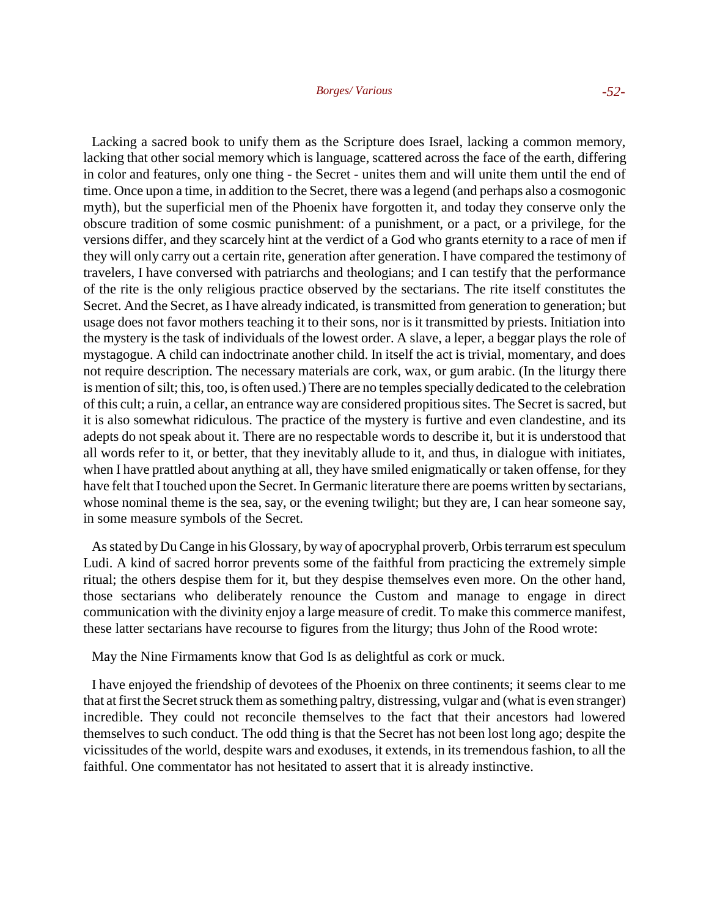### *Borges/ Various -52-*

Lacking a sacred book to unify them as the Scripture does Israel, lacking a common memory, lacking that other social memory which is language, scattered across the face of the earth, differing in color and features, only one thing - the Secret - unites them and will unite them until the end of time. Once upon a time, in addition to the Secret, there was a legend (and perhaps also a cosmogonic myth), but the superficial men of the Phoenix have forgotten it, and today they conserve only the obscure tradition of some cosmic punishment: of a punishment, or a pact, or a privilege, for the versions differ, and they scarcely hint at the verdict of a God who grants eternity to a race of men if they will only carry out a certain rite, generation after generation. I have compared the testimony of travelers, I have conversed with patriarchs and theologians; and I can testify that the performance of the rite is the only religious practice observed by the sectarians. The rite itself constitutes the Secret. And the Secret, as I have already indicated, is transmitted from generation to generation; but usage does not favor mothers teaching it to their sons, nor is it transmitted by priests. Initiation into the mystery is the task of individuals of the lowest order. A slave, a leper, a beggar plays the role of mystagogue. A child can indoctrinate another child. In itself the act is trivial, momentary, and does not require description. The necessary materials are cork, wax, or gum arabic. (In the liturgy there is mention of silt; this, too, is often used.) There are no temples specially dedicated to the celebration of this cult; a ruin, a cellar, an entrance way are considered propitious sites. The Secret is sacred, but it is also somewhat ridiculous. The practice of the mystery is furtive and even clandestine, and its adepts do not speak about it. There are no respectable words to describe it, but it is understood that all words refer to it, or better, that they inevitably allude to it, and thus, in dialogue with initiates, when I have prattled about anything at all, they have smiled enigmatically or taken offense, for they have felt that I touched upon the Secret. In Germanic literature there are poems written by sectarians, whose nominal theme is the sea, say, or the evening twilight; but they are, I can hear someone say, in some measure symbols of the Secret.

As stated by Du Cange in his Glossary, by way of apocryphal proverb, Orbis terrarum est speculum Ludi. A kind of sacred horror prevents some of the faithful from practicing the extremely simple ritual; the others despise them for it, but they despise themselves even more. On the other hand, those sectarians who deliberately renounce the Custom and manage to engage in direct communication with the divinity enjoy a large measure of credit. To make this commerce manifest, these latter sectarians have recourse to figures from the liturgy; thus John of the Rood wrote:

May the Nine Firmaments know that God Is as delightful as cork or muck.

I have enjoyed the friendship of devotees of the Phoenix on three continents; it seems clear to me that at first the Secret struck them as something paltry, distressing, vulgar and (what is even stranger) incredible. They could not reconcile themselves to the fact that their ancestors had lowered themselves to such conduct. The odd thing is that the Secret has not been lost long ago; despite the vicissitudes of the world, despite wars and exoduses, it extends, in its tremendous fashion, to all the faithful. One commentator has not hesitated to assert that it is already instinctive.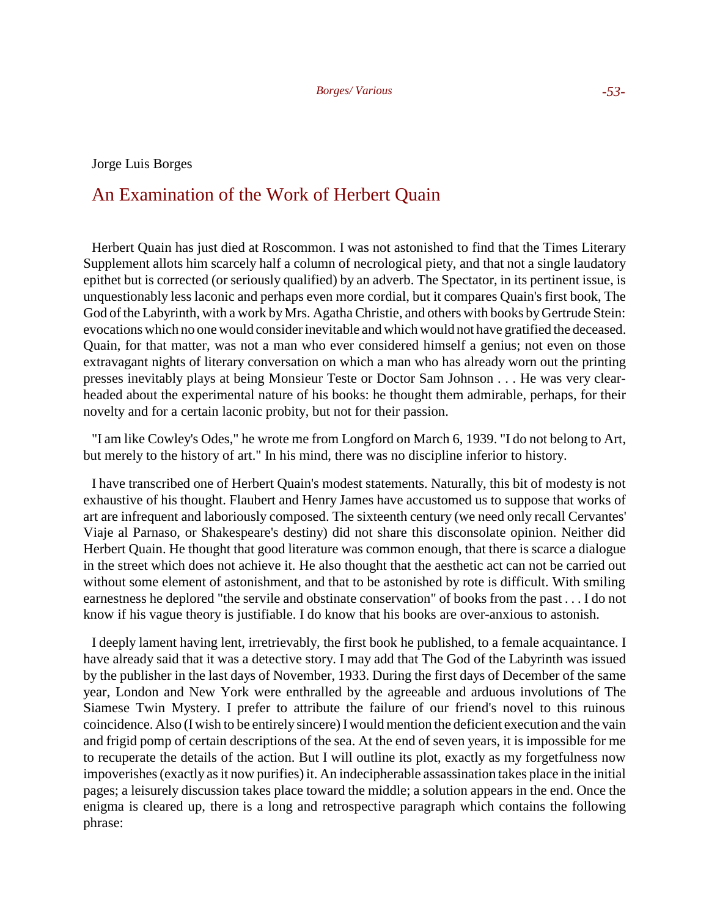### Jorge Luis Borges

## An Examination of the Work of Herbert Quain

Herbert Quain has just died at Roscommon. I was not astonished to find that the Times Literary Supplement allots him scarcely half a column of necrological piety, and that not a single laudatory epithet but is corrected (or seriously qualified) by an adverb. The Spectator, in its pertinent issue, is unquestionably less laconic and perhaps even more cordial, but it compares Quain's first book, The God of the Labyrinth, with a work by Mrs. Agatha Christie, and others with books by Gertrude Stein: evocations which no one would considerinevitable and which would not have gratified the deceased. Quain, for that matter, was not a man who ever considered himself a genius; not even on those extravagant nights of literary conversation on which a man who has already worn out the printing presses inevitably plays at being Monsieur Teste or Doctor Sam Johnson . . . He was very clearheaded about the experimental nature of his books: he thought them admirable, perhaps, for their novelty and for a certain laconic probity, but not for their passion.

"I am like Cowley's Odes," he wrote me from Longford on March 6, 1939. "I do not belong to Art, but merely to the history of art." In his mind, there was no discipline inferior to history.

I have transcribed one of Herbert Quain's modest statements. Naturally, this bit of modesty is not exhaustive of his thought. Flaubert and Henry James have accustomed us to suppose that works of art are infrequent and laboriously composed. The sixteenth century (we need only recall Cervantes' Viaje al Parnaso, or Shakespeare's destiny) did not share this disconsolate opinion. Neither did Herbert Quain. He thought that good literature was common enough, that there is scarce a dialogue in the street which does not achieve it. He also thought that the aesthetic act can not be carried out without some element of astonishment, and that to be astonished by rote is difficult. With smiling earnestness he deplored "the servile and obstinate conservation" of books from the past . . . I do not know if his vague theory is justifiable. I do know that his books are over-anxious to astonish.

I deeply lament having lent, irretrievably, the first book he published, to a female acquaintance. I have already said that it was a detective story. I may add that The God of the Labyrinth was issued by the publisher in the last days of November, 1933. During the first days of December of the same year, London and New York were enthralled by the agreeable and arduous involutions of The Siamese Twin Mystery. I prefer to attribute the failure of our friend's novel to this ruinous coincidence. Also (Iwish to be entirely sincere) Iwould mention the deficient execution and the vain and frigid pomp of certain descriptions of the sea. At the end of seven years, it is impossible for me to recuperate the details of the action. But I will outline its plot, exactly as my forgetfulness now impoverishes(exactly asit now purifies) it. An indecipherable assassination takes place in the initial pages; a leisurely discussion takes place toward the middle; a solution appears in the end. Once the enigma is cleared up, there is a long and retrospective paragraph which contains the following phrase: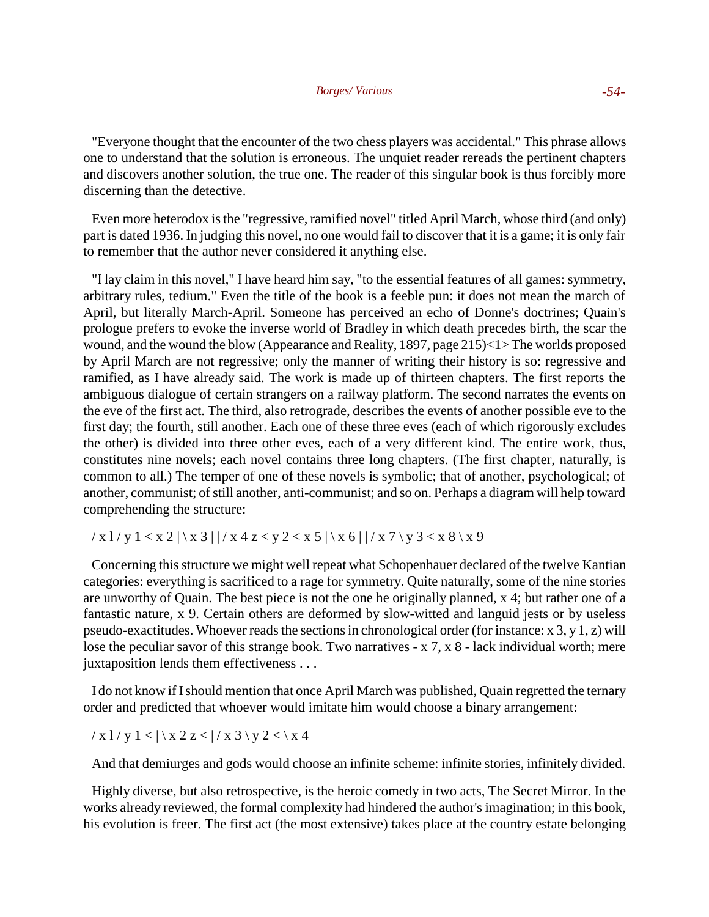"Everyone thought that the encounter of the two chess players was accidental." This phrase allows one to understand that the solution is erroneous. The unquiet reader rereads the pertinent chapters and discovers another solution, the true one. The reader of this singular book is thus forcibly more discerning than the detective.

Even more heterodox isthe "regressive, ramified novel" titled April March, whose third (and only) part is dated 1936. In judging this novel, no one would fail to discover that it is a game; it is only fair to remember that the author never considered it anything else.

"I lay claim in this novel," I have heard him say, "to the essential features of all games: symmetry, arbitrary rules, tedium." Even the title of the book is a feeble pun: it does not mean the march of April, but literally March-April. Someone has perceived an echo of Donne's doctrines; Quain's prologue prefers to evoke the inverse world of Bradley in which death precedes birth, the scar the wound, and the wound the blow (Appearance and Reality, 1897, page 215)<1> The worlds proposed by April March are not regressive; only the manner of writing their history is so: regressive and ramified, as I have already said. The work is made up of thirteen chapters. The first reports the ambiguous dialogue of certain strangers on a railway platform. The second narrates the events on the eve of the first act. The third, also retrograde, describes the events of another possible eve to the first day; the fourth, still another. Each one of these three eves (each of which rigorously excludes the other) is divided into three other eves, each of a very different kind. The entire work, thus, constitutes nine novels; each novel contains three long chapters. (The first chapter, naturally, is common to all.) The temper of one of these novels is symbolic; that of another, psychological; of another, communist; of still another, anti-communist; and so on. Perhaps a diagram will help toward comprehending the structure:

/ x 1 / y 1 < x 2 | \ x 3 | | / x 4 z < y 2 < x 5 | \ x 6 | | / x 7 \ y 3 < x 8 \ x 9

Concerning thisstructure we might well repeat what Schopenhauer declared of the twelve Kantian categories: everything is sacrificed to a rage for symmetry. Quite naturally, some of the nine stories are unworthy of Quain. The best piece is not the one he originally planned, x 4; but rather one of a fantastic nature, x 9. Certain others are deformed by slow-witted and languid jests or by useless pseudo-exactitudes. Whoever reads the sections in chronological order (for instance:  $x 3$ ,  $y 1$ ,  $z$ ) will lose the peculiar savor of this strange book. Two narratives - x 7, x 8 - lack individual worth; mere juxtaposition lends them effectiveness . . .

I do not know if Ishould mention that once April March was published, Quain regretted the ternary order and predicted that whoever would imitate him would choose a binary arrangement:

 $|x|/|y| < |\x2| \leq |/|x| \leq 3 |y| \leq |x|$ 

And that demiurges and gods would choose an infinite scheme: infinite stories, infinitely divided.

Highly diverse, but also retrospective, is the heroic comedy in two acts, The Secret Mirror. In the works already reviewed, the formal complexity had hindered the author's imagination; in this book, his evolution is freer. The first act (the most extensive) takes place at the country estate belonging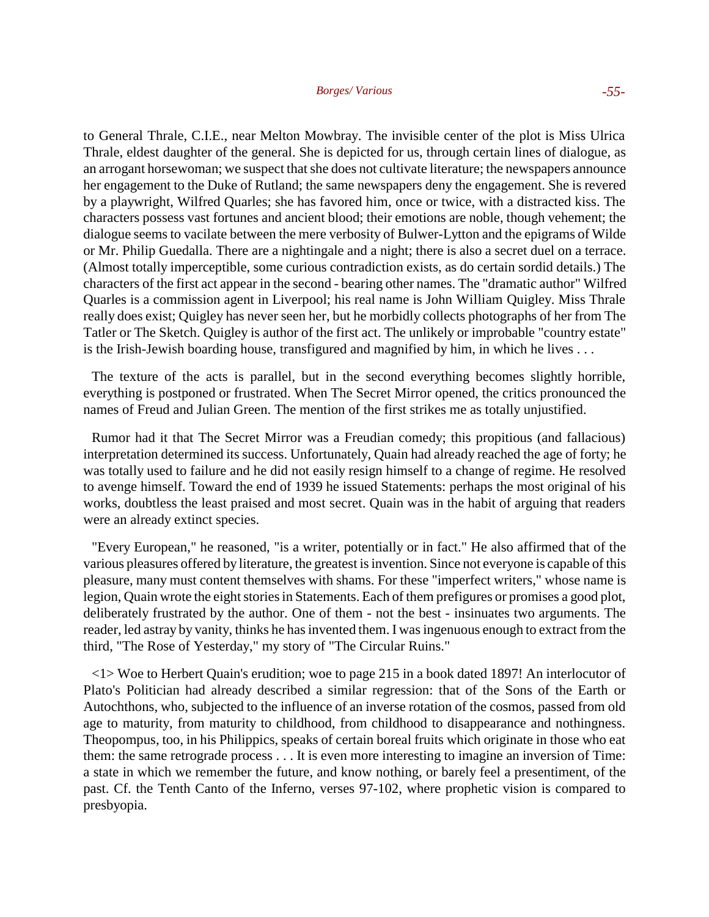### *Borges/ Various -55-*

to General Thrale, C.I.E., near Melton Mowbray. The invisible center of the plot is Miss Ulrica Thrale, eldest daughter of the general. She is depicted for us, through certain lines of dialogue, as an arrogant horsewoman; we suspect that she does not cultivate literature; the newspapers announce her engagement to the Duke of Rutland; the same newspapers deny the engagement. She is revered by a playwright, Wilfred Quarles; she has favored him, once or twice, with a distracted kiss. The characters possess vast fortunes and ancient blood; their emotions are noble, though vehement; the dialogue seemsto vacilate between the mere verbosity of Bulwer-Lytton and the epigrams of Wilde or Mr. Philip Guedalla. There are a nightingale and a night; there is also a secret duel on a terrace. (Almost totally imperceptible, some curious contradiction exists, as do certain sordid details.) The characters of the first act appear in the second - bearing other names. The "dramatic author" Wilfred Quarles is a commission agent in Liverpool; his real name is John William Quigley. Miss Thrale really does exist; Quigley has never seen her, but he morbidly collects photographs of her from The Tatler or The Sketch. Quigley is author of the first act. The unlikely or improbable "country estate" is the Irish-Jewish boarding house, transfigured and magnified by him, in which he lives . . .

The texture of the acts is parallel, but in the second everything becomes slightly horrible, everything is postponed or frustrated. When The Secret Mirror opened, the critics pronounced the names of Freud and Julian Green. The mention of the first strikes me as totally unjustified.

Rumor had it that The Secret Mirror was a Freudian comedy; this propitious (and fallacious) interpretation determined its success. Unfortunately, Quain had already reached the age of forty; he was totally used to failure and he did not easily resign himself to a change of regime. He resolved to avenge himself. Toward the end of 1939 he issued Statements: perhaps the most original of his works, doubtless the least praised and most secret. Quain was in the habit of arguing that readers were an already extinct species.

"Every European," he reasoned, "is a writer, potentially or in fact." He also affirmed that of the various pleasures offered by literature, the greatest is invention. Since not everyone is capable of this pleasure, many must content themselves with shams. For these "imperfect writers," whose name is legion, Quain wrote the eight stories in Statements. Each of them prefigures or promises a good plot, deliberately frustrated by the author. One of them - not the best - insinuates two arguments. The reader, led astray by vanity, thinks he has invented them. I was ingenuous enough to extract from the third, "The Rose of Yesterday," my story of "The Circular Ruins."

<1> Woe to Herbert Quain's erudition; woe to page 215 in a book dated 1897! An interlocutor of Plato's Politician had already described a similar regression: that of the Sons of the Earth or Autochthons, who, subjected to the influence of an inverse rotation of the cosmos, passed from old age to maturity, from maturity to childhood, from childhood to disappearance and nothingness. Theopompus, too, in his Philippics, speaks of certain boreal fruits which originate in those who eat them: the same retrograde process . . . It is even more interesting to imagine an inversion of Time: a state in which we remember the future, and know nothing, or barely feel a presentiment, of the past. Cf. the Tenth Canto of the Inferno, verses 97-102, where prophetic vision is compared to presbyopia.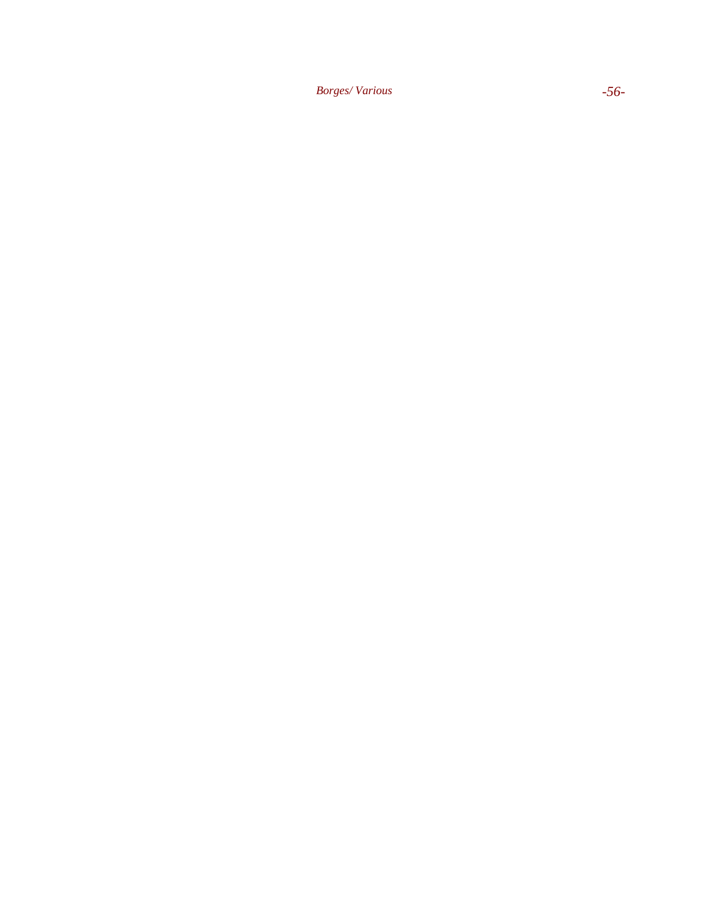*Borges/ Various -56-*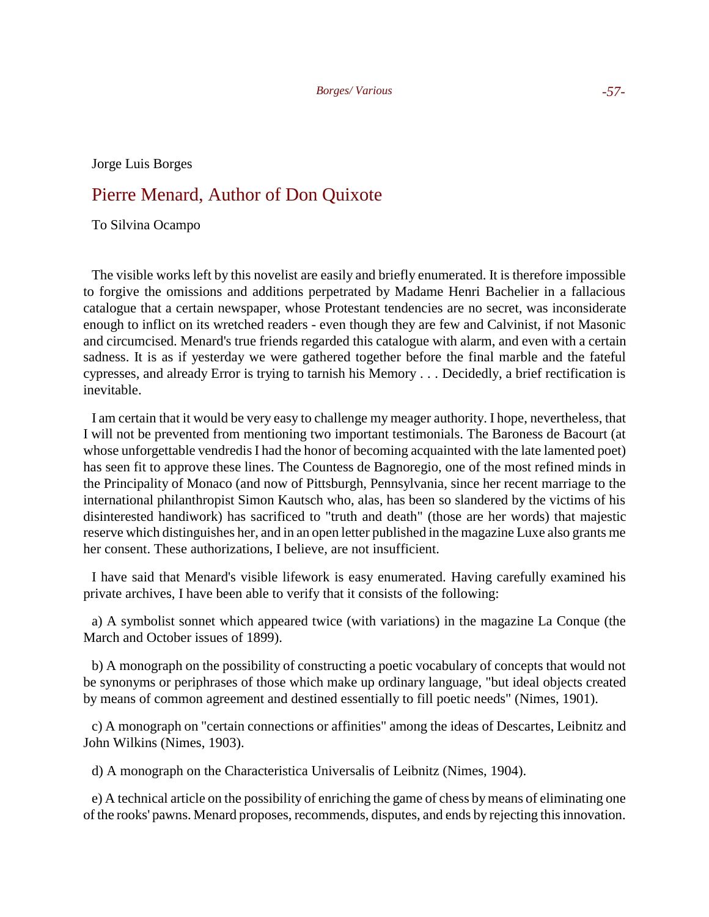Jorge Luis Borges

# Pierre Menard, Author of Don Quixote

To Silvina Ocampo

The visible works left by this novelist are easily and briefly enumerated. It is therefore impossible to forgive the omissions and additions perpetrated by Madame Henri Bachelier in a fallacious catalogue that a certain newspaper, whose Protestant tendencies are no secret, was inconsiderate enough to inflict on its wretched readers - even though they are few and Calvinist, if not Masonic and circumcised. Menard's true friends regarded this catalogue with alarm, and even with a certain sadness. It is as if yesterday we were gathered together before the final marble and the fateful cypresses, and already Error is trying to tarnish his Memory . . . Decidedly, a brief rectification is inevitable.

I am certain that it would be very easy to challenge my meager authority. I hope, nevertheless, that I will not be prevented from mentioning two important testimonials. The Baroness de Bacourt (at whose unforgettable vendredis I had the honor of becoming acquainted with the late lamented poet) has seen fit to approve these lines. The Countess de Bagnoregio, one of the most refined minds in the Principality of Monaco (and now of Pittsburgh, Pennsylvania, since her recent marriage to the international philanthropist Simon Kautsch who, alas, has been so slandered by the victims of his disinterested handiwork) has sacrificed to "truth and death" (those are her words) that majestic reserve which distinguishes her, and in an open letter published in the magazine Luxe also grants me her consent. These authorizations, I believe, are not insufficient.

I have said that Menard's visible lifework is easy enumerated. Having carefully examined his private archives, I have been able to verify that it consists of the following:

a) A symbolist sonnet which appeared twice (with variations) in the magazine La Conque (the March and October issues of 1899).

b) A monograph on the possibility of constructing a poetic vocabulary of concepts that would not be synonyms or periphrases of those which make up ordinary language, "but ideal objects created by means of common agreement and destined essentially to fill poetic needs" (Nimes, 1901).

c) A monograph on "certain connections or affinities" among the ideas of Descartes, Leibnitz and John Wilkins (Nimes, 1903).

d) A monograph on the Characteristica Universalis of Leibnitz (Nimes, 1904).

e) A technical article on the possibility of enriching the game of chess bymeans of eliminating one of the rooks' pawns. Menard proposes, recommends, disputes, and ends by rejecting thisinnovation.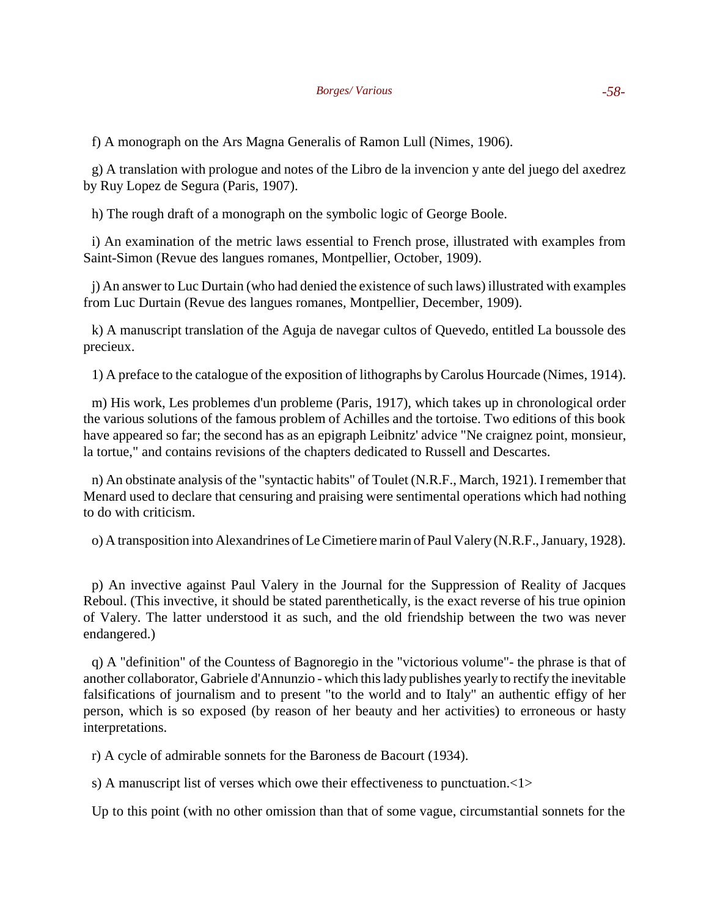### *Borges/ Various -58-*

f) A monograph on the Ars Magna Generalis of Ramon Lull (Nimes, 1906).

g) A translation with prologue and notes of the Libro de la invencion y ante del juego del axedrez by Ruy Lopez de Segura (Paris, 1907).

h) The rough draft of a monograph on the symbolic logic of George Boole.

i) An examination of the metric laws essential to French prose, illustrated with examples from Saint-Simon (Revue des langues romanes, Montpellier, October, 1909).

j) An answer to Luc Durtain (who had denied the existence of such laws) illustrated with examples from Luc Durtain (Revue des langues romanes, Montpellier, December, 1909).

k) A manuscript translation of the Aguja de navegar cultos of Quevedo, entitled La boussole des precieux.

1) A preface to the catalogue of the exposition of lithographs byCarolus Hourcade (Nimes, 1914).

m) His work, Les problemes d'un probleme (Paris, 1917), which takes up in chronological order the various solutions of the famous problem of Achilles and the tortoise. Two editions of this book have appeared so far; the second has as an epigraph Leibnitz' advice "Ne craignez point, monsieur, la tortue," and contains revisions of the chapters dedicated to Russell and Descartes.

n) An obstinate analysis of the "syntactic habits" of Toulet (N.R.F., March, 1921). Iremember that Menard used to declare that censuring and praising were sentimental operations which had nothing to do with criticism.

o) A transposition into Alexandrines of LeCimetieremarin of Paul Valery (N.R.F.,January, 1928).

p) An invective against Paul Valery in the Journal for the Suppression of Reality of Jacques Reboul. (This invective, it should be stated parenthetically, is the exact reverse of his true opinion of Valery. The latter understood it as such, and the old friendship between the two was never endangered.)

q) A "definition" of the Countess of Bagnoregio in the "victorious volume"- the phrase is that of another collaborator, Gabriele d'Annunzio - which thislady publishes yearly to rectify the inevitable falsifications of journalism and to present "to the world and to Italy" an authentic effigy of her person, which is so exposed (by reason of her beauty and her activities) to erroneous or hasty interpretations.

r) A cycle of admirable sonnets for the Baroness de Bacourt (1934).

s) A manuscript list of verses which owe their effectiveness to punctuation.<1>

Up to this point (with no other omission than that of some vague, circumstantial sonnets for the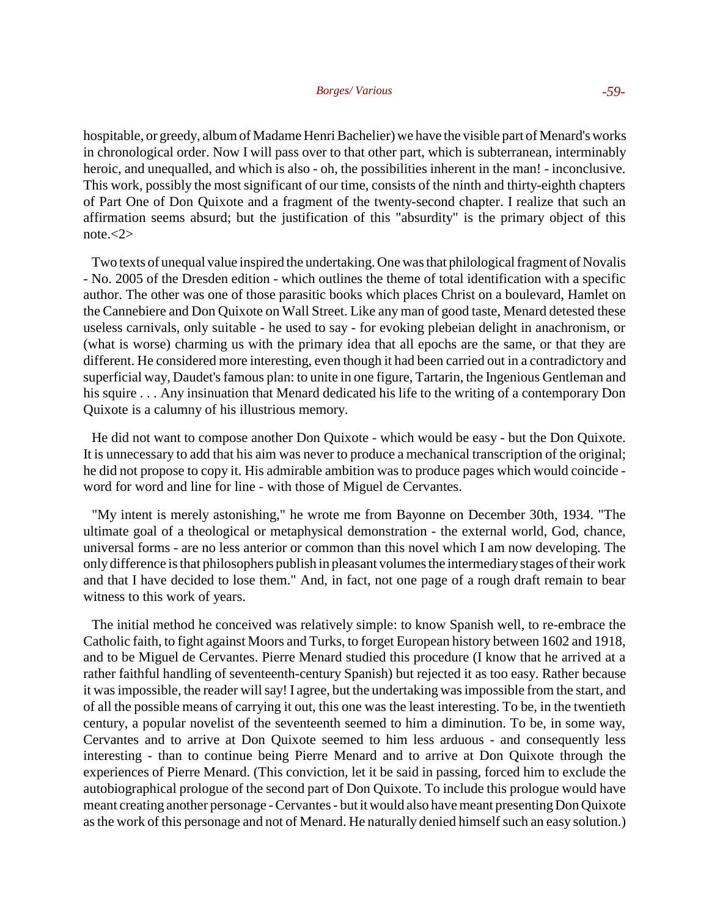### *Borges/ Various -59-*

hospitable, or greedy, album of Madame Henri Bachelier) we have the visible part of Menard's works in chronological order. Now I will pass over to that other part, which is subterranean, interminably heroic, and unequalled, and which is also - oh, the possibilities inherent in the man! - inconclusive. This work, possibly the most significant of our time, consists of the ninth and thirty-eighth chapters of Part One of Don Quixote and a fragment of the twenty-second chapter. I realize that such an affirmation seems absurd; but the justification of this "absurdity" is the primary object of this note.<2>

Two texts of unequal value inspired the undertaking. One was that philological fragment of Novalis - No. 2005 of the Dresden edition - which outlines the theme of total identification with a specific author. The other was one of those parasitic books which places Christ on a boulevard, Hamlet on the Cannebiere and Don Quixote on Wall Street. Like any man of good taste, Menard detested these useless carnivals, only suitable - he used to say - for evoking plebeian delight in anachronism, or (what is worse) charming us with the primary idea that all epochs are the same, or that they are different. He considered more interesting, even though it had been carried out in a contradictory and superficial way, Daudet's famous plan: to unite in one figure, Tartarin, the Ingenious Gentleman and his squire . . . Any insinuation that Menard dedicated his life to the writing of a contemporary Don Quixote is a calumny of his illustrious memory.

He did not want to compose another Don Quixote - which would be easy - but the Don Quixote. It is unnecessary to add that his aim was never to produce a mechanical transcription of the original; he did not propose to copy it. His admirable ambition was to produce pages which would coincide word for word and line for line - with those of Miguel de Cervantes.

"My intent is merely astonishing," he wrote me from Bayonne on December 30th, 1934. "The ultimate goal of a theological or metaphysical demonstration - the external world, God, chance, universal forms - are no less anterior or common than this novel which I am now developing. The only difference is that philosophers publish in pleasant volumes the intermediary stages of their work and that I have decided to lose them." And, in fact, not one page of a rough draft remain to bear witness to this work of years.

The initial method he conceived was relatively simple: to know Spanish well, to re-embrace the Catholic faith, to fight against Moors and Turks, to forget European history between 1602 and 1918, and to be Miguel de Cervantes. Pierre Menard studied this procedure (I know that he arrived at a rather faithful handling of seventeenth-century Spanish) but rejected it as too easy. Rather because it was impossible, the reader will say! I agree, but the undertaking was impossible from the start, and of all the possible means of carrying it out, this one was the least interesting. To be, in the twentieth century, a popular novelist of the seventeenth seemed to him a diminution. To be, in some way, Cervantes and to arrive at Don Quixote seemed to him less arduous - and consequently less interesting - than to continue being Pierre Menard and to arrive at Don Quixote through the experiences of Pierre Menard. (This conviction, let it be said in passing, forced him to exclude the autobiographical prologue of the second part of Don Quixote. To include this prologue would have meant creating another personage - Cervantes - but it would also have meant presenting Don Quixote as the work of this personage and not of Menard. He naturally denied himself such an easy solution.)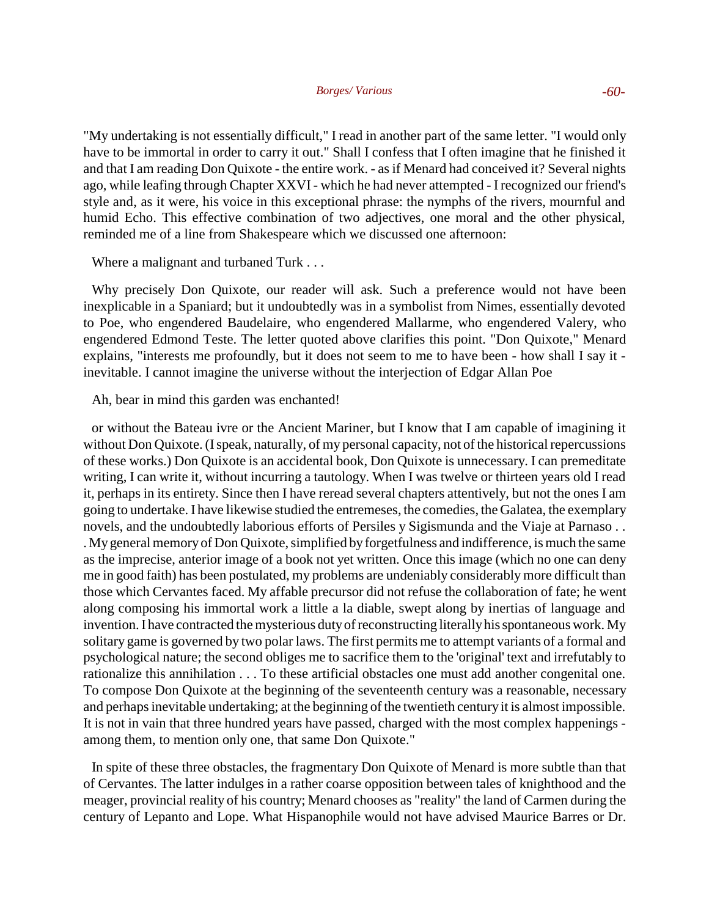"My undertaking is not essentially difficult," I read in another part of the same letter. "I would only have to be immortal in order to carry it out." Shall I confess that I often imagine that he finished it and that I am reading Don Quixote - the entire work. - as if Menard had conceived it? Several nights ago, while leafing through Chapter XXVI - which he had never attempted - Irecognized our friend's style and, as it were, his voice in this exceptional phrase: the nymphs of the rivers, mournful and humid Echo. This effective combination of two adjectives, one moral and the other physical, reminded me of a line from Shakespeare which we discussed one afternoon:

Where a malignant and turbaned Turk ...

Why precisely Don Quixote, our reader will ask. Such a preference would not have been inexplicable in a Spaniard; but it undoubtedly was in a symbolist from Nimes, essentially devoted to Poe, who engendered Baudelaire, who engendered Mallarme, who engendered Valery, who engendered Edmond Teste. The letter quoted above clarifies this point. "Don Quixote," Menard explains, "interests me profoundly, but it does not seem to me to have been - how shall I say it inevitable. I cannot imagine the universe without the interjection of Edgar Allan Poe

Ah, bear in mind this garden was enchanted!

or without the Bateau ivre or the Ancient Mariner, but I know that I am capable of imagining it without Don Quixote. (I speak, naturally, of my personal capacity, not of the historical repercussions of these works.) Don Quixote is an accidental book, Don Quixote is unnecessary. I can premeditate writing, I can write it, without incurring a tautology. When I was twelve or thirteen years old I read it, perhaps in its entirety. Since then I have reread several chapters attentively, but not the ones I am going to undertake. I have likewise studied the entremeses, the comedies, the Galatea, the exemplary novels, and the undoubtedly laborious efforts of Persiles y Sigismunda and the Viaje at Parnaso . . . My general memory of Don Quixote, simplified by forgetfulness and indifference, is much the same as the imprecise, anterior image of a book not yet written. Once this image (which no one can deny me in good faith) has been postulated, my problems are undeniably considerably more difficult than those which Cervantes faced. My affable precursor did not refuse the collaboration of fate; he went along composing his immortal work a little a la diable, swept along by inertias of language and invention. I have contracted the mysterious duty of reconstructing literally his spontaneous work. My solitary game is governed by two polar laws. The first permits me to attempt variants of a formal and psychological nature; the second obliges me to sacrifice them to the 'original' text and irrefutably to rationalize this annihilation . . . To these artificial obstacles one must add another congenital one. To compose Don Quixote at the beginning of the seventeenth century was a reasonable, necessary and perhaps inevitable undertaking; at the beginning of the twentieth century it is almost impossible. It is not in vain that three hundred years have passed, charged with the most complex happenings among them, to mention only one, that same Don Quixote."

In spite of these three obstacles, the fragmentary Don Quixote of Menard is more subtle than that of Cervantes. The latter indulges in a rather coarse opposition between tales of knighthood and the meager, provincial reality of his country; Menard chooses as "reality" the land of Carmen during the century of Lepanto and Lope. What Hispanophile would not have advised Maurice Barres or Dr.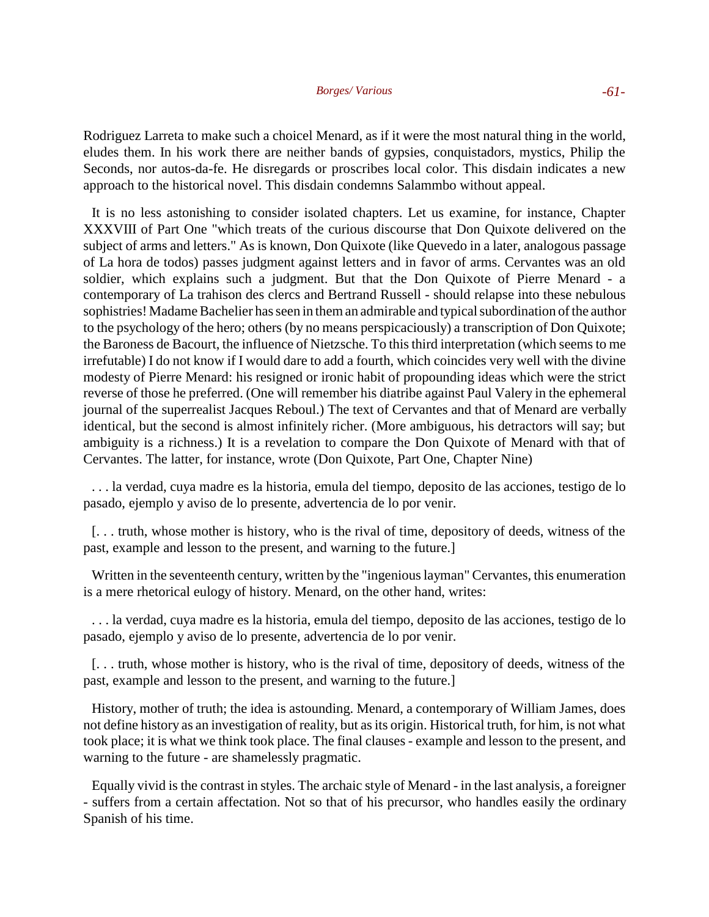### *Borges/ Various -61-*

Rodriguez Larreta to make such a choicel Menard, as if it were the most natural thing in the world, eludes them. In his work there are neither bands of gypsies, conquistadors, mystics, Philip the Seconds, nor autos-da-fe. He disregards or proscribes local color. This disdain indicates a new approach to the historical novel. This disdain condemns Salammbo without appeal.

It is no less astonishing to consider isolated chapters. Let us examine, for instance, Chapter XXXVIII of Part One "which treats of the curious discourse that Don Quixote delivered on the subject of arms and letters." As is known, Don Quixote (like Quevedo in a later, analogous passage of La hora de todos) passes judgment against letters and in favor of arms. Cervantes was an old soldier, which explains such a judgment. But that the Don Quixote of Pierre Menard - a contemporary of La trahison des clercs and Bertrand Russell - should relapse into these nebulous sophistries! Madame Bachelier has seen in them an admirable and typical subordination of the author to the psychology of the hero; others (by no means perspicaciously) a transcription of Don Quixote; the Baroness de Bacourt, the influence of Nietzsche. To this third interpretation (which seems to me irrefutable) I do not know if I would dare to add a fourth, which coincides very well with the divine modesty of Pierre Menard: his resigned or ironic habit of propounding ideas which were the strict reverse of those he preferred. (One will remember his diatribe against Paul Valery in the ephemeral journal of the superrealist Jacques Reboul.) The text of Cervantes and that of Menard are verbally identical, but the second is almost infinitely richer. (More ambiguous, his detractors will say; but ambiguity is a richness.) It is a revelation to compare the Don Quixote of Menard with that of Cervantes. The latter, for instance, wrote (Don Quixote, Part One, Chapter Nine)

. . . la verdad, cuya madre es la historia, emula del tiempo, deposito de las acciones, testigo de lo pasado, ejemplo y aviso de lo presente, advertencia de lo por venir.

[. . . truth, whose mother is history, who is the rival of time, depository of deeds, witness of the past, example and lesson to the present, and warning to the future.]

Written in the seventeenth century, written by the "ingeniouslayman" Cervantes, this enumeration is a mere rhetorical eulogy of history. Menard, on the other hand, writes:

. . . la verdad, cuya madre es la historia, emula del tiempo, deposito de las acciones, testigo de lo pasado, ejemplo y aviso de lo presente, advertencia de lo por venir.

[. . . truth, whose mother is history, who is the rival of time, depository of deeds, witness of the past, example and lesson to the present, and warning to the future.]

History, mother of truth; the idea is astounding. Menard, a contemporary of William James, does not define history as an investigation of reality, but as its origin. Historical truth, for him, is not what took place; it is what we think took place. The final clauses - example and lesson to the present, and warning to the future - are shamelessly pragmatic.

Equally vivid is the contrast in styles. The archaic style of Menard - in the last analysis, a foreigner - suffers from a certain affectation. Not so that of his precursor, who handles easily the ordinary Spanish of his time.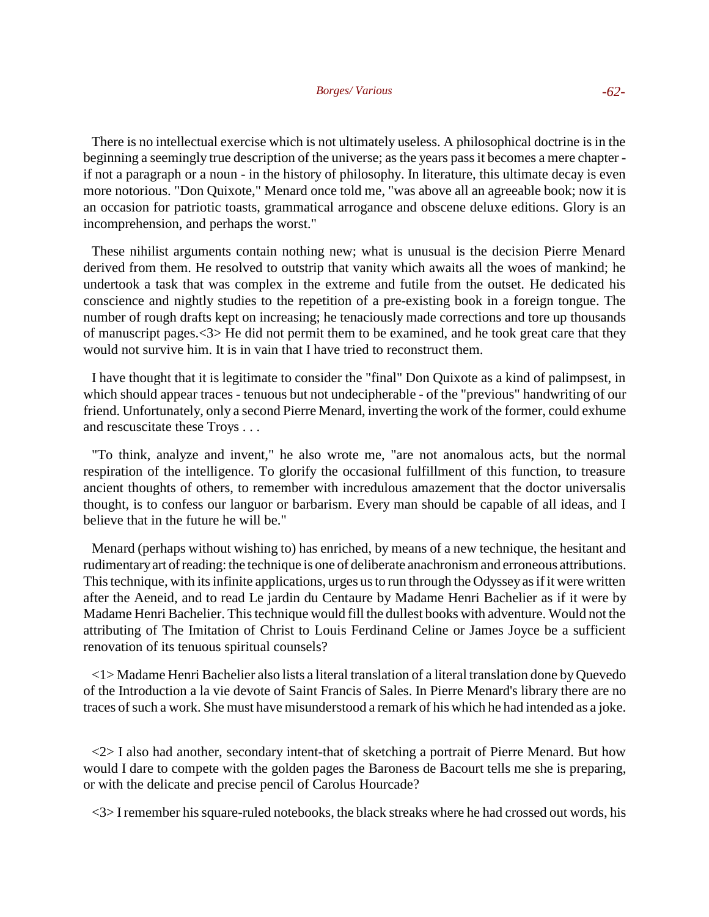There is no intellectual exercise which is not ultimately useless. A philosophical doctrine is in the beginning a seemingly true description of the universe; asthe years passit becomes a mere chapter if not a paragraph or a noun - in the history of philosophy. In literature, this ultimate decay is even more notorious. "Don Quixote," Menard once told me, "was above all an agreeable book; now it is an occasion for patriotic toasts, grammatical arrogance and obscene deluxe editions. Glory is an incomprehension, and perhaps the worst."

These nihilist arguments contain nothing new; what is unusual is the decision Pierre Menard derived from them. He resolved to outstrip that vanity which awaits all the woes of mankind; he undertook a task that was complex in the extreme and futile from the outset. He dedicated his conscience and nightly studies to the repetition of a pre-existing book in a foreign tongue. The number of rough drafts kept on increasing; he tenaciously made corrections and tore up thousands of manuscript pages.<3> He did not permit them to be examined, and he took great care that they would not survive him. It is in vain that I have tried to reconstruct them.

I have thought that it is legitimate to consider the "final" Don Quixote as a kind of palimpsest, in which should appear traces - tenuous but not undecipherable - of the "previous" handwriting of our friend. Unfortunately, only a second Pierre Menard, inverting the work of the former, could exhume and rescuscitate these Troys . . .

"To think, analyze and invent," he also wrote me, "are not anomalous acts, but the normal respiration of the intelligence. To glorify the occasional fulfillment of this function, to treasure ancient thoughts of others, to remember with incredulous amazement that the doctor universalis thought, is to confess our languor or barbarism. Every man should be capable of all ideas, and I believe that in the future he will be."

Menard (perhaps without wishing to) has enriched, by means of a new technique, the hesitant and rudimentaryart ofreading: the technique is one of deliberate anachronismand erroneous attributions. This technique, with its infinite applications, urges us to run through the Odyssey as if it were written after the Aeneid, and to read Le jardin du Centaure by Madame Henri Bachelier as if it were by Madame Henri Bachelier. This technique would fill the dullest books with adventure. Would not the attributing of The Imitation of Christ to Louis Ferdinand Celine or James Joyce be a sufficient renovation of its tenuous spiritual counsels?

<1> Madame Henri Bachelier also lists a literal translation of a literal translation done by Quevedo of the Introduction a la vie devote of Saint Francis of Sales. In Pierre Menard's library there are no traces of such a work. She must have misunderstood a remark of his which he had intended as a joke.

<2> I also had another, secondary intent-that of sketching a portrait of Pierre Menard. But how would I dare to compete with the golden pages the Baroness de Bacourt tells me she is preparing, or with the delicate and precise pencil of Carolus Hourcade?

<3> I remember hissquare-ruled notebooks, the black streaks where he had crossed out words, his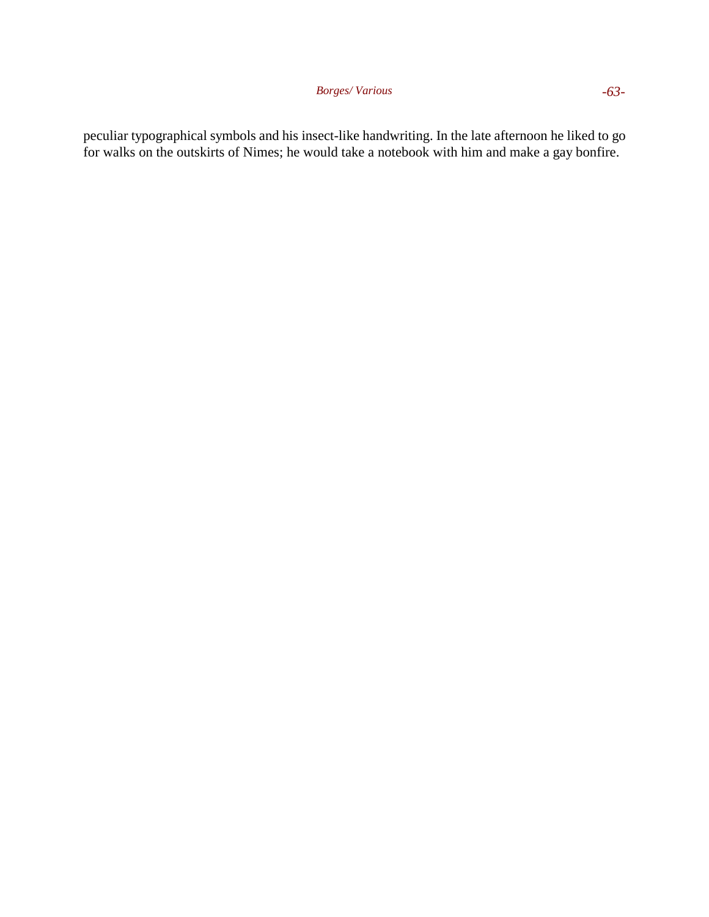peculiar typographical symbols and his insect-like handwriting. In the late afternoon he liked to go for walks on the outskirts of Nimes; he would take a notebook with him and make a gay bonfire.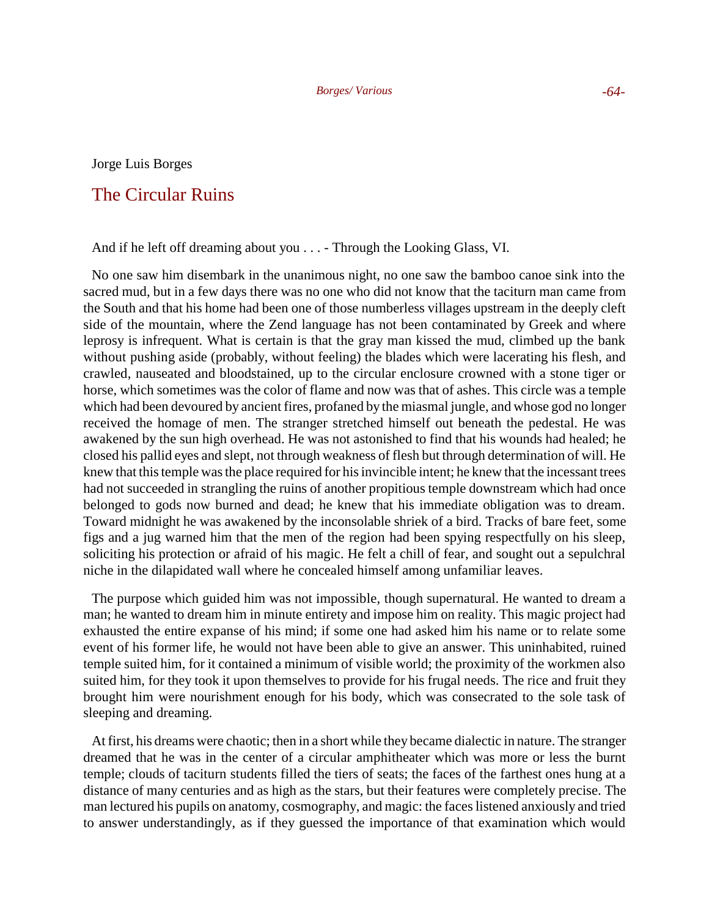Jorge Luis Borges

## The Circular Ruins

And if he left off dreaming about you . . . - Through the Looking Glass, VI.

No one saw him disembark in the unanimous night, no one saw the bamboo canoe sink into the sacred mud, but in a few days there was no one who did not know that the taciturn man came from the South and that his home had been one of those numberless villages upstream in the deeply cleft side of the mountain, where the Zend language has not been contaminated by Greek and where leprosy is infrequent. What is certain is that the gray man kissed the mud, climbed up the bank without pushing aside (probably, without feeling) the blades which were lacerating his flesh, and crawled, nauseated and bloodstained, up to the circular enclosure crowned with a stone tiger or horse, which sometimes was the color of flame and now was that of ashes. This circle was a temple which had been devoured by ancient fires, profaned by the miasmal jungle, and whose god no longer received the homage of men. The stranger stretched himself out beneath the pedestal. He was awakened by the sun high overhead. He was not astonished to find that his wounds had healed; he closed his pallid eyes and slept, not through weakness of flesh but through determination of will. He knew that this temple was the place required for his invincible intent; he knew that the incessant trees had not succeeded in strangling the ruins of another propitious temple downstream which had once belonged to gods now burned and dead; he knew that his immediate obligation was to dream. Toward midnight he was awakened by the inconsolable shriek of a bird. Tracks of bare feet, some figs and a jug warned him that the men of the region had been spying respectfully on his sleep, soliciting his protection or afraid of his magic. He felt a chill of fear, and sought out a sepulchral niche in the dilapidated wall where he concealed himself among unfamiliar leaves.

The purpose which guided him was not impossible, though supernatural. He wanted to dream a man; he wanted to dream him in minute entirety and impose him on reality. This magic project had exhausted the entire expanse of his mind; if some one had asked him his name or to relate some event of his former life, he would not have been able to give an answer. This uninhabited, ruined temple suited him, for it contained a minimum of visible world; the proximity of the workmen also suited him, for they took it upon themselves to provide for his frugal needs. The rice and fruit they brought him were nourishment enough for his body, which was consecrated to the sole task of sleeping and dreaming.

At first, his dreams were chaotic; then in a short while they became dialectic in nature. The stranger dreamed that he was in the center of a circular amphitheater which was more or less the burnt temple; clouds of taciturn students filled the tiers of seats; the faces of the farthest ones hung at a distance of many centuries and as high as the stars, but their features were completely precise. The man lectured his pupils on anatomy, cosmography, and magic: the faces listened anxiously and tried to answer understandingly, as if they guessed the importance of that examination which would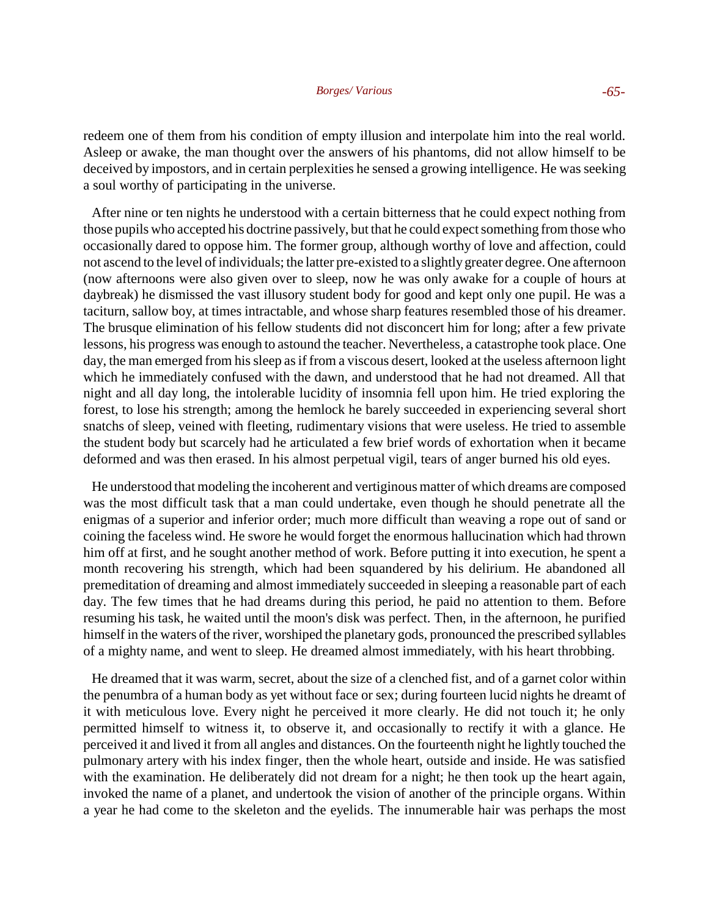redeem one of them from his condition of empty illusion and interpolate him into the real world. Asleep or awake, the man thought over the answers of his phantoms, did not allow himself to be deceived by impostors, and in certain perplexities he sensed a growing intelligence. He was seeking a soul worthy of participating in the universe.

After nine or ten nights he understood with a certain bitterness that he could expect nothing from those pupils who accepted his doctrine passively, but that he could expect something from those who occasionally dared to oppose him. The former group, although worthy of love and affection, could not ascend to the level of individuals; the latter pre-existed to a slightly greater degree. One afternoon (now afternoons were also given over to sleep, now he was only awake for a couple of hours at daybreak) he dismissed the vast illusory student body for good and kept only one pupil. He was a taciturn, sallow boy, at times intractable, and whose sharp features resembled those of his dreamer. The brusque elimination of his fellow students did not disconcert him for long; after a few private lessons, his progress was enough to astound the teacher. Nevertheless, a catastrophe took place. One day, the man emerged from his sleep as if from a viscous desert, looked at the useless afternoon light which he immediately confused with the dawn, and understood that he had not dreamed. All that night and all day long, the intolerable lucidity of insomnia fell upon him. He tried exploring the forest, to lose his strength; among the hemlock he barely succeeded in experiencing several short snatchs of sleep, veined with fleeting, rudimentary visions that were useless. He tried to assemble the student body but scarcely had he articulated a few brief words of exhortation when it became deformed and was then erased. In his almost perpetual vigil, tears of anger burned his old eyes.

He understood that modeling the incoherent and vertiginous matter of which dreams are composed was the most difficult task that a man could undertake, even though he should penetrate all the enigmas of a superior and inferior order; much more difficult than weaving a rope out of sand or coining the faceless wind. He swore he would forget the enormous hallucination which had thrown him off at first, and he sought another method of work. Before putting it into execution, he spent a month recovering his strength, which had been squandered by his delirium. He abandoned all premeditation of dreaming and almost immediately succeeded in sleeping a reasonable part of each day. The few times that he had dreams during this period, he paid no attention to them. Before resuming his task, he waited until the moon's disk was perfect. Then, in the afternoon, he purified himself in the waters of the river, worshiped the planetary gods, pronounced the prescribed syllables of a mighty name, and went to sleep. He dreamed almost immediately, with his heart throbbing.

He dreamed that it was warm, secret, about the size of a clenched fist, and of a garnet color within the penumbra of a human body as yet without face or sex; during fourteen lucid nights he dreamt of it with meticulous love. Every night he perceived it more clearly. He did not touch it; he only permitted himself to witness it, to observe it, and occasionally to rectify it with a glance. He perceived it and lived it from all angles and distances. On the fourteenth night he lightly touched the pulmonary artery with his index finger, then the whole heart, outside and inside. He was satisfied with the examination. He deliberately did not dream for a night; he then took up the heart again, invoked the name of a planet, and undertook the vision of another of the principle organs. Within a year he had come to the skeleton and the eyelids. The innumerable hair was perhaps the most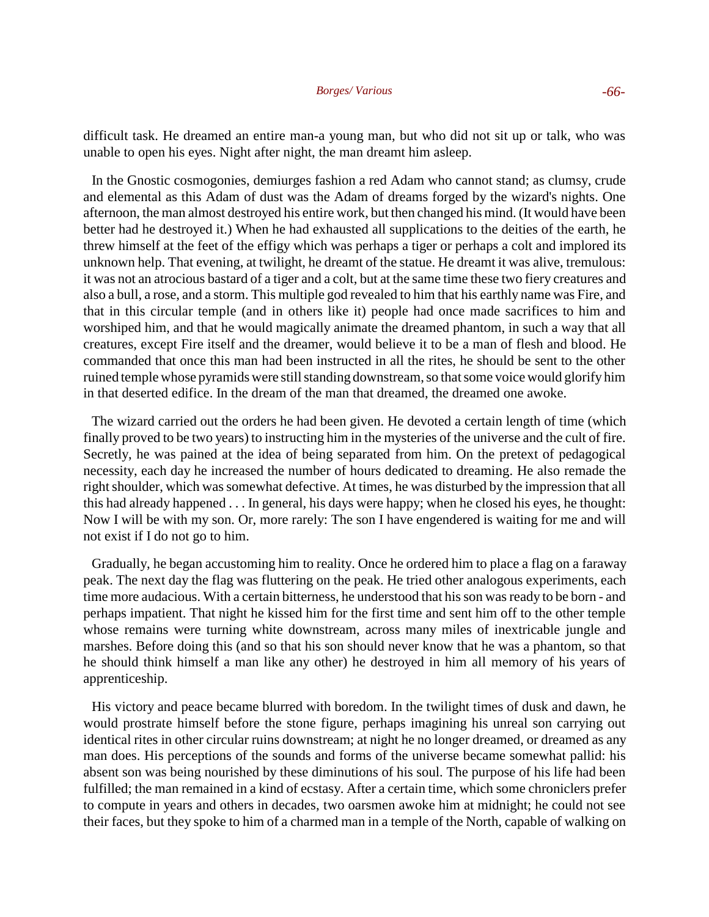difficult task. He dreamed an entire man-a young man, but who did not sit up or talk, who was unable to open his eyes. Night after night, the man dreamt him asleep.

In the Gnostic cosmogonies, demiurges fashion a red Adam who cannot stand; as clumsy, crude and elemental as this Adam of dust was the Adam of dreams forged by the wizard's nights. One afternoon, the man almost destroyed his entire work, but then changed his mind. (It would have been better had he destroyed it.) When he had exhausted all supplications to the deities of the earth, he threw himself at the feet of the effigy which was perhaps a tiger or perhaps a colt and implored its unknown help. That evening, at twilight, he dreamt of the statue. He dreamt it was alive, tremulous: it was not an atrocious bastard of a tiger and a colt, but at the same time these two fiery creatures and also a bull, a rose, and a storm. This multiple god revealed to him that his earthly name was Fire, and that in this circular temple (and in others like it) people had once made sacrifices to him and worshiped him, and that he would magically animate the dreamed phantom, in such a way that all creatures, except Fire itself and the dreamer, would believe it to be a man of flesh and blood. He commanded that once this man had been instructed in all the rites, he should be sent to the other ruined temple whose pyramids were still standing downstream, so that some voice would glorify him in that deserted edifice. In the dream of the man that dreamed, the dreamed one awoke.

The wizard carried out the orders he had been given. He devoted a certain length of time (which finally proved to be two years) to instructing him in the mysteries of the universe and the cult of fire. Secretly, he was pained at the idea of being separated from him. On the pretext of pedagogical necessity, each day he increased the number of hours dedicated to dreaming. He also remade the right shoulder, which was somewhat defective. At times, he was disturbed by the impression that all this had already happened . . . In general, his days were happy; when he closed his eyes, he thought: Now I will be with my son. Or, more rarely: The son I have engendered is waiting for me and will not exist if I do not go to him.

Gradually, he began accustoming him to reality. Once he ordered him to place a flag on a faraway peak. The next day the flag was fluttering on the peak. He tried other analogous experiments, each time more audacious. With a certain bitterness, he understood that his son was ready to be born - and perhaps impatient. That night he kissed him for the first time and sent him off to the other temple whose remains were turning white downstream, across many miles of inextricable jungle and marshes. Before doing this (and so that his son should never know that he was a phantom, so that he should think himself a man like any other) he destroyed in him all memory of his years of apprenticeship.

His victory and peace became blurred with boredom. In the twilight times of dusk and dawn, he would prostrate himself before the stone figure, perhaps imagining his unreal son carrying out identical rites in other circular ruins downstream; at night he no longer dreamed, or dreamed as any man does. His perceptions of the sounds and forms of the universe became somewhat pallid: his absent son was being nourished by these diminutions of his soul. The purpose of his life had been fulfilled; the man remained in a kind of ecstasy. After a certain time, which some chroniclers prefer to compute in years and others in decades, two oarsmen awoke him at midnight; he could not see their faces, but they spoke to him of a charmed man in a temple of the North, capable of walking on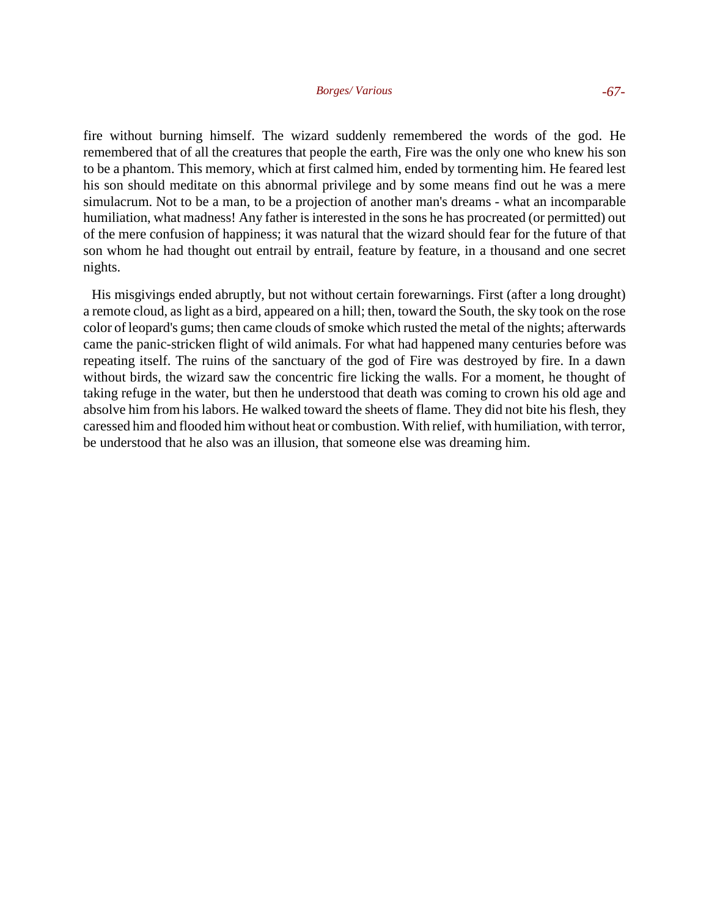### *Borges/ Various -67-*

fire without burning himself. The wizard suddenly remembered the words of the god. He remembered that of all the creatures that people the earth, Fire was the only one who knew his son to be a phantom. This memory, which at first calmed him, ended by tormenting him. He feared lest his son should meditate on this abnormal privilege and by some means find out he was a mere simulacrum. Not to be a man, to be a projection of another man's dreams - what an incomparable humiliation, what madness! Any father is interested in the sons he has procreated (or permitted) out of the mere confusion of happiness; it was natural that the wizard should fear for the future of that son whom he had thought out entrail by entrail, feature by feature, in a thousand and one secret nights.

His misgivings ended abruptly, but not without certain forewarnings. First (after a long drought) a remote cloud, aslight as a bird, appeared on a hill; then, toward the South, the sky took on the rose color of leopard's gums; then came clouds of smoke which rusted the metal of the nights; afterwards came the panic-stricken flight of wild animals. For what had happened many centuries before was repeating itself. The ruins of the sanctuary of the god of Fire was destroyed by fire. In a dawn without birds, the wizard saw the concentric fire licking the walls. For a moment, he thought of taking refuge in the water, but then he understood that death was coming to crown his old age and absolve him from his labors. He walked toward the sheets of flame. They did not bite his flesh, they caressed him and flooded him without heat or combustion. With relief, with humiliation, with terror, be understood that he also was an illusion, that someone else was dreaming him.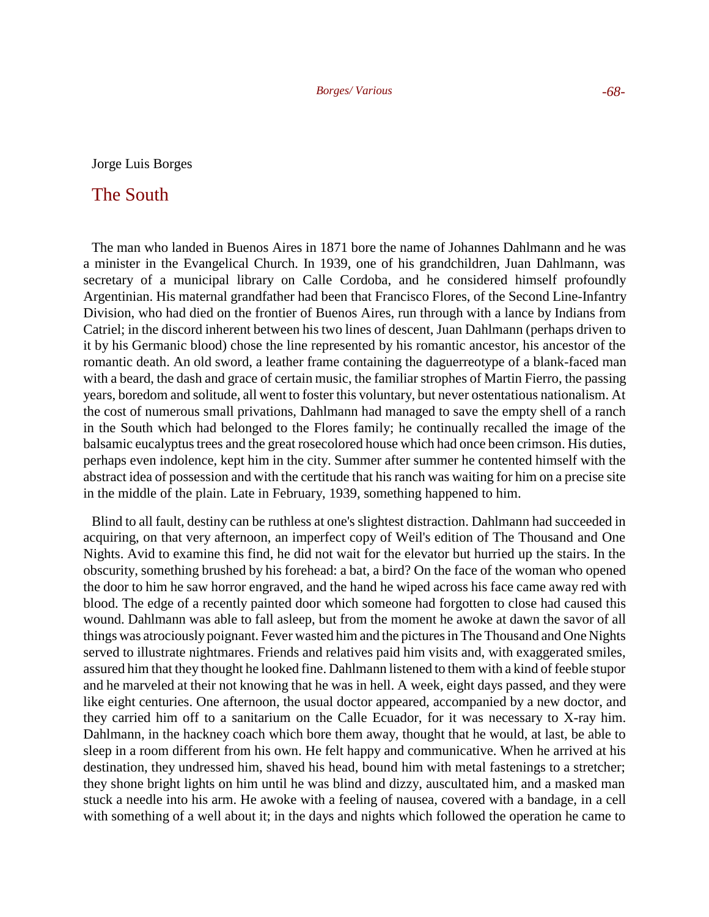### Jorge Luis Borges

## The South

The man who landed in Buenos Aires in 1871 bore the name of Johannes Dahlmann and he was a minister in the Evangelical Church. In 1939, one of his grandchildren, Juan Dahlmann, was secretary of a municipal library on Calle Cordoba, and he considered himself profoundly Argentinian. His maternal grandfather had been that Francisco Flores, of the Second Line-Infantry Division, who had died on the frontier of Buenos Aires, run through with a lance by Indians from Catriel; in the discord inherent between his two lines of descent, Juan Dahlmann (perhaps driven to it by his Germanic blood) chose the line represented by his romantic ancestor, his ancestor of the romantic death. An old sword, a leather frame containing the daguerreotype of a blank-faced man with a beard, the dash and grace of certain music, the familiar strophes of Martin Fierro, the passing years, boredom and solitude, all went to foster this voluntary, but never ostentatious nationalism. At the cost of numerous small privations, Dahlmann had managed to save the empty shell of a ranch in the South which had belonged to the Flores family; he continually recalled the image of the balsamic eucalyptus trees and the great rosecolored house which had once been crimson. His duties, perhaps even indolence, kept him in the city. Summer after summer he contented himself with the abstract idea of possession and with the certitude that hisranch was waiting for him on a precise site in the middle of the plain. Late in February, 1939, something happened to him.

Blind to all fault, destiny can be ruthless at one's slightest distraction. Dahlmann had succeeded in acquiring, on that very afternoon, an imperfect copy of Weil's edition of The Thousand and One Nights. Avid to examine this find, he did not wait for the elevator but hurried up the stairs. In the obscurity, something brushed by his forehead: a bat, a bird? On the face of the woman who opened the door to him he saw horror engraved, and the hand he wiped across his face came away red with blood. The edge of a recently painted door which someone had forgotten to close had caused this wound. Dahlmann was able to fall asleep, but from the moment he awoke at dawn the savor of all things was atrociously poignant. Fever wasted him and the pictures in The Thousand and One Nights served to illustrate nightmares. Friends and relatives paid him visits and, with exaggerated smiles, assured him that they thought he looked fine. Dahlmann listened to them with a kind of feeble stupor and he marveled at their not knowing that he was in hell. A week, eight days passed, and they were like eight centuries. One afternoon, the usual doctor appeared, accompanied by a new doctor, and they carried him off to a sanitarium on the Calle Ecuador, for it was necessary to X-ray him. Dahlmann, in the hackney coach which bore them away, thought that he would, at last, be able to sleep in a room different from his own. He felt happy and communicative. When he arrived at his destination, they undressed him, shaved his head, bound him with metal fastenings to a stretcher; they shone bright lights on him until he was blind and dizzy, auscultated him, and a masked man stuck a needle into his arm. He awoke with a feeling of nausea, covered with a bandage, in a cell with something of a well about it; in the days and nights which followed the operation he came to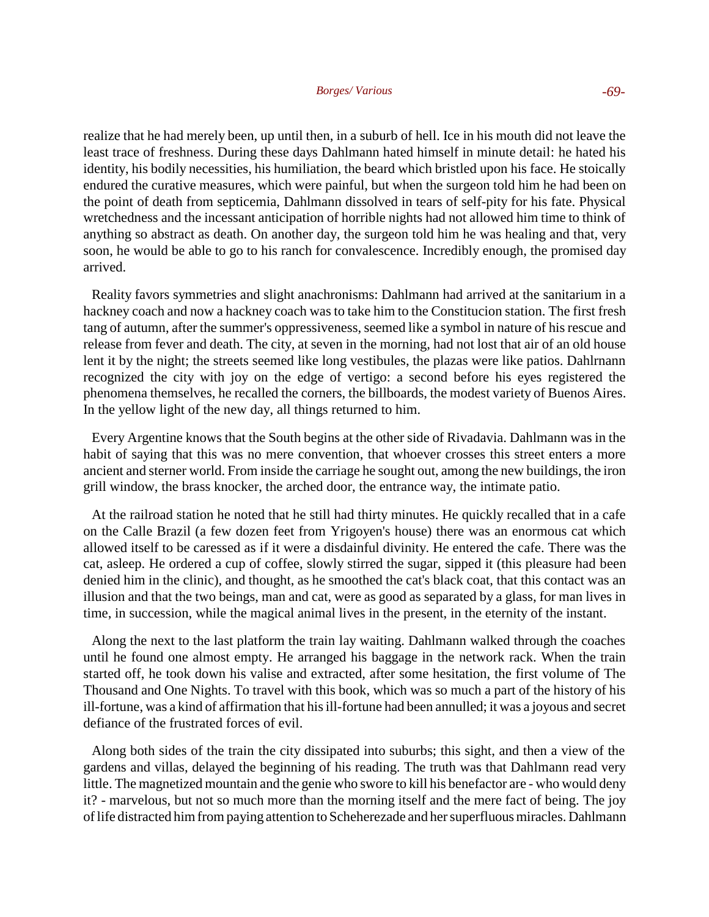#### *Borges/ Various -69-*

realize that he had merely been, up until then, in a suburb of hell. Ice in his mouth did not leave the least trace of freshness. During these days Dahlmann hated himself in minute detail: he hated his identity, his bodily necessities, his humiliation, the beard which bristled upon his face. He stoically endured the curative measures, which were painful, but when the surgeon told him he had been on the point of death from septicemia, Dahlmann dissolved in tears of self-pity for his fate. Physical wretchedness and the incessant anticipation of horrible nights had not allowed him time to think of anything so abstract as death. On another day, the surgeon told him he was healing and that, very soon, he would be able to go to his ranch for convalescence. Incredibly enough, the promised day arrived.

Reality favors symmetries and slight anachronisms: Dahlmann had arrived at the sanitarium in a hackney coach and now a hackney coach was to take him to the Constitucion station. The first fresh tang of autumn, after the summer's oppressiveness, seemed like a symbol in nature of his rescue and release from fever and death. The city, at seven in the morning, had not lost that air of an old house lent it by the night; the streets seemed like long vestibules, the plazas were like patios. Dahlrnann recognized the city with joy on the edge of vertigo: a second before his eyes registered the phenomena themselves, he recalled the corners, the billboards, the modest variety of Buenos Aires. In the yellow light of the new day, all things returned to him.

Every Argentine knows that the South begins at the other side of Rivadavia. Dahlmann was in the habit of saying that this was no mere convention, that whoever crosses this street enters a more ancient and sterner world. From inside the carriage he sought out, among the new buildings, the iron grill window, the brass knocker, the arched door, the entrance way, the intimate patio.

At the railroad station he noted that he still had thirty minutes. He quickly recalled that in a cafe on the Calle Brazil (a few dozen feet from Yrigoyen's house) there was an enormous cat which allowed itself to be caressed as if it were a disdainful divinity. He entered the cafe. There was the cat, asleep. He ordered a cup of coffee, slowly stirred the sugar, sipped it (this pleasure had been denied him in the clinic), and thought, as he smoothed the cat's black coat, that this contact was an illusion and that the two beings, man and cat, were as good as separated by a glass, for man lives in time, in succession, while the magical animal lives in the present, in the eternity of the instant.

Along the next to the last platform the train lay waiting. Dahlmann walked through the coaches until he found one almost empty. He arranged his baggage in the network rack. When the train started off, he took down his valise and extracted, after some hesitation, the first volume of The Thousand and One Nights. To travel with this book, which was so much a part of the history of his ill-fortune, was a kind of affirmation that his ill-fortune had been annulled; it was a joyous and secret defiance of the frustrated forces of evil.

Along both sides of the train the city dissipated into suburbs; this sight, and then a view of the gardens and villas, delayed the beginning of his reading. The truth was that Dahlmann read very little. The magnetized mountain and the genie who swore to kill his benefactor are - who would deny it? - marvelous, but not so much more than the morning itself and the mere fact of being. The joy oflife distracted himfrompaying attention to Scheherezade and hersuperfluousmiracles. Dahlmann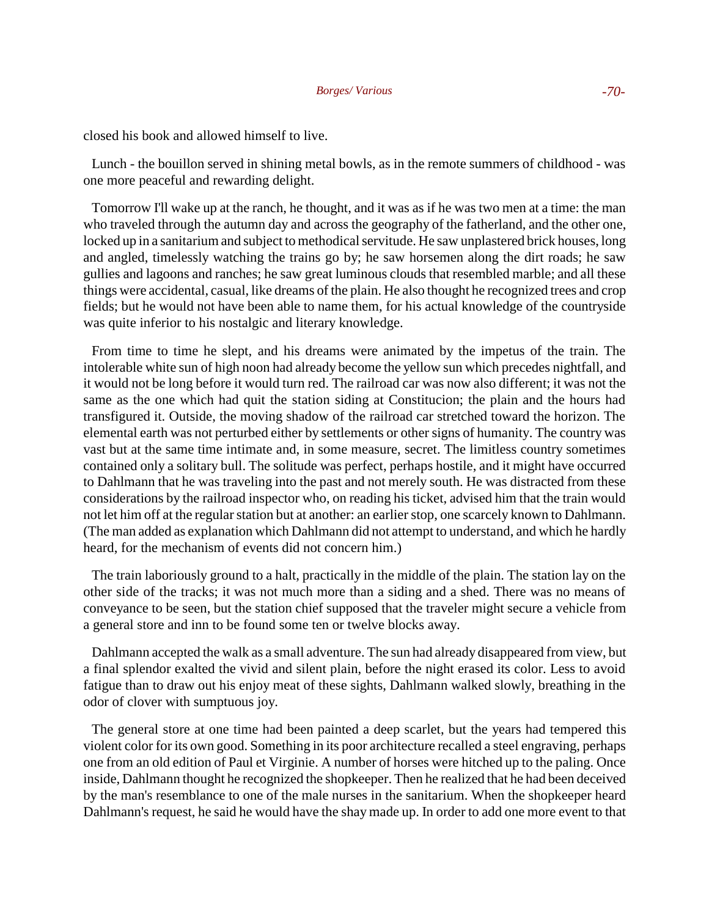closed his book and allowed himself to live.

Lunch - the bouillon served in shining metal bowls, as in the remote summers of childhood - was one more peaceful and rewarding delight.

Tomorrow I'll wake up at the ranch, he thought, and it was as if he was two men at a time: the man who traveled through the autumn day and across the geography of the fatherland, and the other one, locked up in a sanitarium and subject to methodical servitude. He saw unplastered brick houses, long and angled, timelessly watching the trains go by; he saw horsemen along the dirt roads; he saw gullies and lagoons and ranches; he saw great luminous clouds that resembled marble; and all these things were accidental, casual, like dreams of the plain. He also thought he recognized trees and crop fields; but he would not have been able to name them, for his actual knowledge of the countryside was quite inferior to his nostalgic and literary knowledge.

From time to time he slept, and his dreams were animated by the impetus of the train. The intolerable white sun of high noon had already become the yellow sun which precedes nightfall, and it would not be long before it would turn red. The railroad car was now also different; it was not the same as the one which had quit the station siding at Constitucion; the plain and the hours had transfigured it. Outside, the moving shadow of the railroad car stretched toward the horizon. The elemental earth was not perturbed either by settlements or other signs of humanity. The country was vast but at the same time intimate and, in some measure, secret. The limitless country sometimes contained only a solitary bull. The solitude was perfect, perhaps hostile, and it might have occurred to Dahlmann that he was traveling into the past and not merely south. He was distracted from these considerations by the railroad inspector who, on reading his ticket, advised him that the train would not let him off at the regular station but at another: an earlier stop, one scarcely known to Dahlmann. (The man added as explanation which Dahlmann did not attempt to understand, and which he hardly heard, for the mechanism of events did not concern him.)

The train laboriously ground to a halt, practically in the middle of the plain. The station lay on the other side of the tracks; it was not much more than a siding and a shed. There was no means of conveyance to be seen, but the station chief supposed that the traveler might secure a vehicle from a general store and inn to be found some ten or twelve blocks away.

Dahlmann accepted the walk as a small adventure. The sun had already disappeared from view, but a final splendor exalted the vivid and silent plain, before the night erased its color. Less to avoid fatigue than to draw out his enjoy meat of these sights, Dahlmann walked slowly, breathing in the odor of clover with sumptuous joy.

The general store at one time had been painted a deep scarlet, but the years had tempered this violent color for its own good. Something in its poor architecture recalled a steel engraving, perhaps one from an old edition of Paul et Virginie. A number of horses were hitched up to the paling. Once inside, Dahlmann thought he recognized the shopkeeper. Then he realized that he had been deceived by the man's resemblance to one of the male nurses in the sanitarium. When the shopkeeper heard Dahlmann's request, he said he would have the shay made up. In order to add one more event to that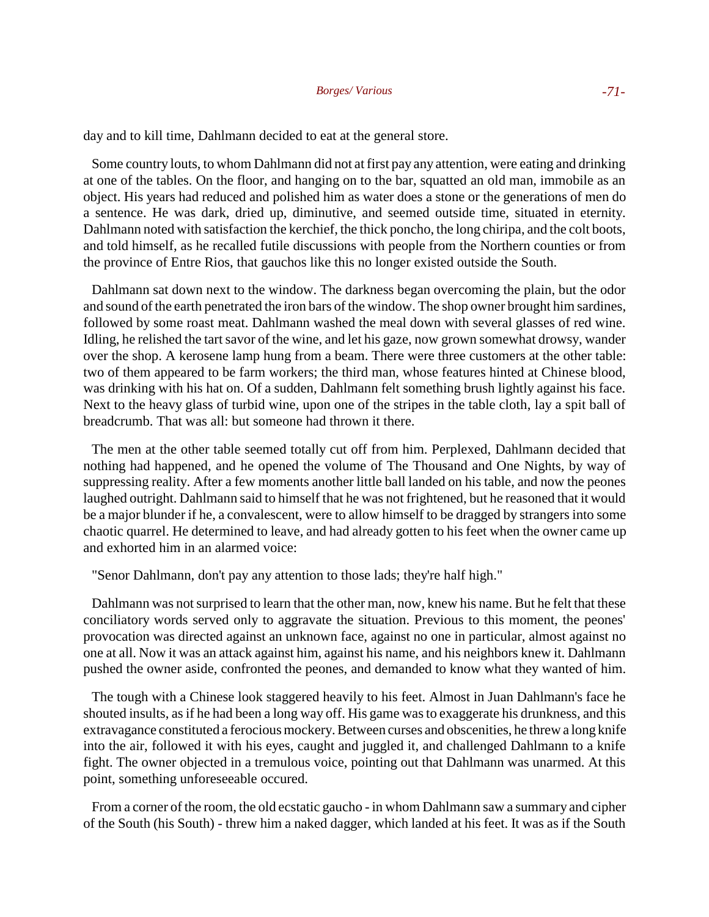### *Borges/ Various -71-*

day and to kill time, Dahlmann decided to eat at the general store.

Some country louts, to whom Dahlmann did not at first pay any attention, were eating and drinking at one of the tables. On the floor, and hanging on to the bar, squatted an old man, immobile as an object. His years had reduced and polished him as water does a stone or the generations of men do a sentence. He was dark, dried up, diminutive, and seemed outside time, situated in eternity. Dahlmann noted with satisfaction the kerchief, the thick poncho, the long chiripa, and the colt boots, and told himself, as he recalled futile discussions with people from the Northern counties or from the province of Entre Rios, that gauchos like this no longer existed outside the South.

Dahlmann sat down next to the window. The darkness began overcoming the plain, but the odor and sound of the earth penetrated the iron bars of the window. The shop owner brought him sardines, followed by some roast meat. Dahlmann washed the meal down with several glasses of red wine. Idling, he relished the tart savor of the wine, and let his gaze, now grown somewhat drowsy, wander over the shop. A kerosene lamp hung from a beam. There were three customers at the other table: two of them appeared to be farm workers; the third man, whose features hinted at Chinese blood, was drinking with his hat on. Of a sudden, Dahlmann felt something brush lightly against his face. Next to the heavy glass of turbid wine, upon one of the stripes in the table cloth, lay a spit ball of breadcrumb. That was all: but someone had thrown it there.

The men at the other table seemed totally cut off from him. Perplexed, Dahlmann decided that nothing had happened, and he opened the volume of The Thousand and One Nights, by way of suppressing reality. After a few moments another little ball landed on his table, and now the peones laughed outright. Dahlmann said to himself that he was not frightened, but he reasoned that it would be a major blunder if he, a convalescent, were to allow himself to be dragged by strangers into some chaotic quarrel. He determined to leave, and had already gotten to his feet when the owner came up and exhorted him in an alarmed voice:

"Senor Dahlmann, don't pay any attention to those lads; they're half high."

Dahlmann was not surprised to learn that the other man, now, knew his name. But he felt that these conciliatory words served only to aggravate the situation. Previous to this moment, the peones' provocation was directed against an unknown face, against no one in particular, almost against no one at all. Now it was an attack against him, against his name, and his neighbors knew it. Dahlmann pushed the owner aside, confronted the peones, and demanded to know what they wanted of him.

The tough with a Chinese look staggered heavily to his feet. Almost in Juan Dahlmann's face he shouted insults, as if he had been a long way off. His game was to exaggerate his drunkness, and this extravagance constituted a ferocious mockery. Between curses and obscenities, he threw a long knife into the air, followed it with his eyes, caught and juggled it, and challenged Dahlmann to a knife fight. The owner objected in a tremulous voice, pointing out that Dahlmann was unarmed. At this point, something unforeseeable occured.

From a corner of the room, the old ecstatic gaucho - in whom Dahlmann saw a summary and cipher of the South (his South) - threw him a naked dagger, which landed at his feet. It was as if the South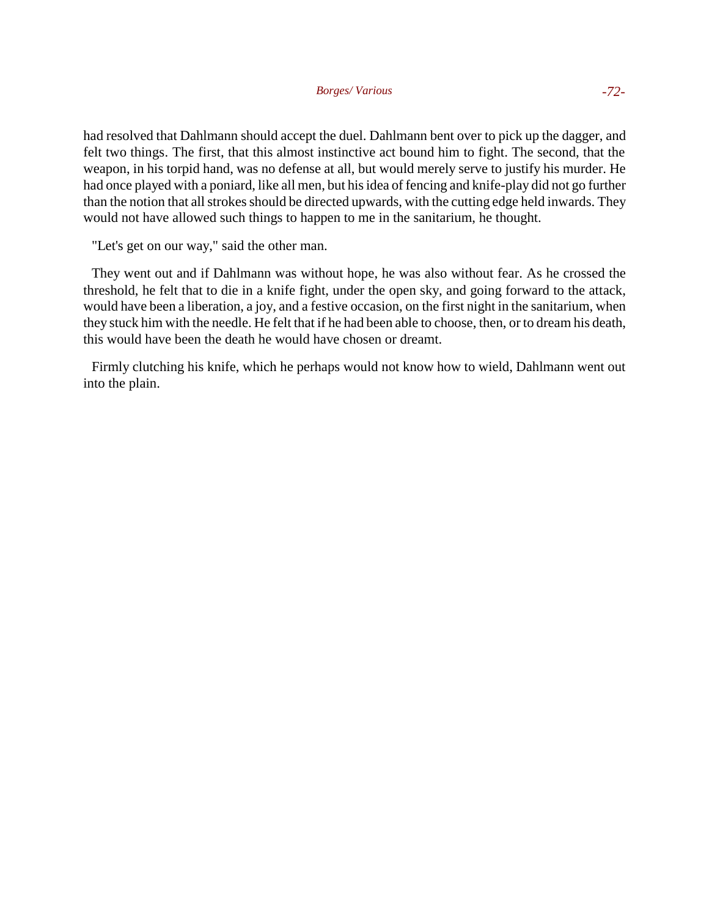had resolved that Dahlmann should accept the duel. Dahlmann bent over to pick up the dagger, and felt two things. The first, that this almost instinctive act bound him to fight. The second, that the weapon, in his torpid hand, was no defense at all, but would merely serve to justify his murder. He had once played with a poniard, like all men, but hisidea of fencing and knife-play did not go further than the notion that all strokes should be directed upwards, with the cutting edge held inwards. They would not have allowed such things to happen to me in the sanitarium, he thought.

"Let's get on our way," said the other man.

They went out and if Dahlmann was without hope, he was also without fear. As he crossed the threshold, he felt that to die in a knife fight, under the open sky, and going forward to the attack, would have been a liberation, a joy, and a festive occasion, on the first night in the sanitarium, when they stuck him with the needle. He felt that if he had been able to choose, then, or to dream his death, this would have been the death he would have chosen or dreamt.

Firmly clutching his knife, which he perhaps would not know how to wield, Dahlmann went out into the plain.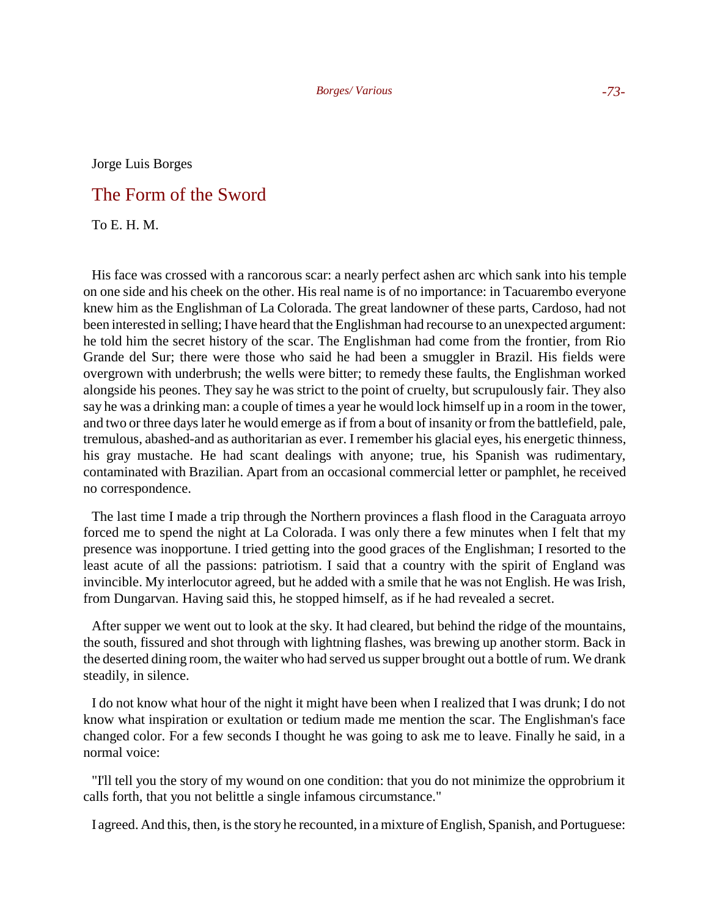Jorge Luis Borges

# The Form of the Sword

To E. H. M.

His face was crossed with a rancorous scar: a nearly perfect ashen arc which sank into his temple on one side and his cheek on the other. His real name is of no importance: in Tacuarembo everyone knew him as the Englishman of La Colorada. The great landowner of these parts, Cardoso, had not been interested in selling; I have heard that the Englishman had recourse to an unexpected argument: he told him the secret history of the scar. The Englishman had come from the frontier, from Rio Grande del Sur; there were those who said he had been a smuggler in Brazil. His fields were overgrown with underbrush; the wells were bitter; to remedy these faults, the Englishman worked alongside his peones. They say he was strict to the point of cruelty, but scrupulously fair. They also say he was a drinking man: a couple of times a year he would lock himself up in a room in the tower, and two or three days later he would emerge as if from a bout of insanity or from the battlefield, pale, tremulous, abashed-and as authoritarian as ever. I remember his glacial eyes, his energetic thinness, his gray mustache. He had scant dealings with anyone; true, his Spanish was rudimentary, contaminated with Brazilian. Apart from an occasional commercial letter or pamphlet, he received no correspondence.

The last time I made a trip through the Northern provinces a flash flood in the Caraguata arroyo forced me to spend the night at La Colorada. I was only there a few minutes when I felt that my presence was inopportune. I tried getting into the good graces of the Englishman; I resorted to the least acute of all the passions: patriotism. I said that a country with the spirit of England was invincible. My interlocutor agreed, but he added with a smile that he was not English. He was Irish, from Dungarvan. Having said this, he stopped himself, as if he had revealed a secret.

After supper we went out to look at the sky. It had cleared, but behind the ridge of the mountains, the south, fissured and shot through with lightning flashes, was brewing up another storm. Back in the deserted dining room, the waiter who had served ussupper brought out a bottle of rum. We drank steadily, in silence.

I do not know what hour of the night it might have been when I realized that I was drunk; I do not know what inspiration or exultation or tedium made me mention the scar. The Englishman's face changed color. For a few seconds I thought he was going to ask me to leave. Finally he said, in a normal voice:

"I'll tell you the story of my wound on one condition: that you do not minimize the opprobrium it calls forth, that you not belittle a single infamous circumstance."

I agreed. And this, then, isthe story he recounted, in a mixture of English, Spanish, and Portuguese: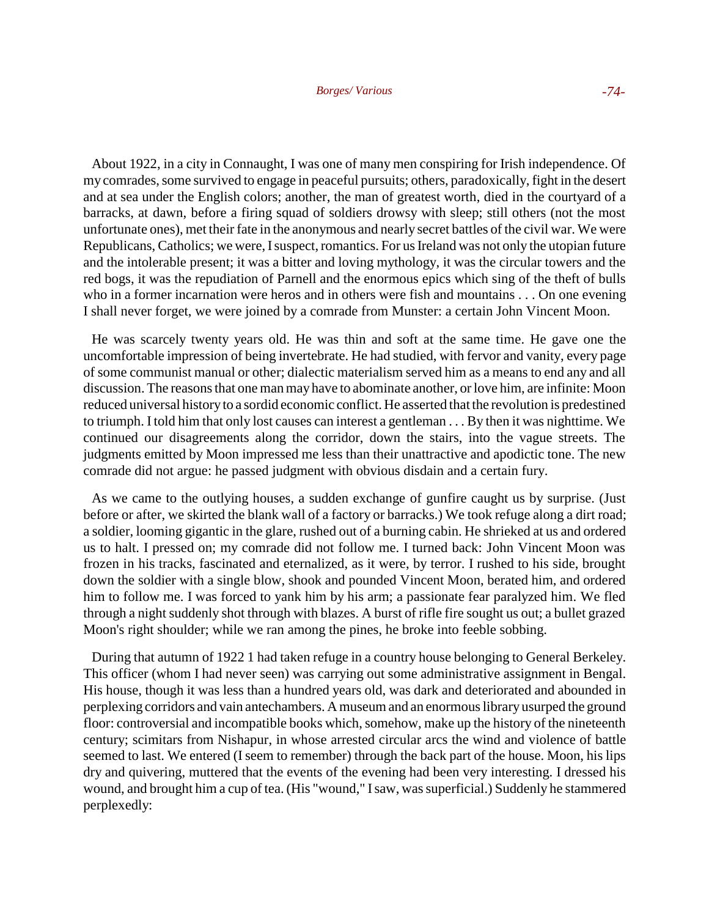About 1922, in a city in Connaught, I was one of many men conspiring for Irish independence. Of my comrades, some survived to engage in peaceful pursuits; others, paradoxically, fight in the desert and at sea under the English colors; another, the man of greatest worth, died in the courtyard of a barracks, at dawn, before a firing squad of soldiers drowsy with sleep; still others (not the most unfortunate ones), met their fate in the anonymous and nearly secret battles of the civil war. We were Republicans, Catholics; we were, I suspect, romantics. For us Ireland was not only the utopian future and the intolerable present; it was a bitter and loving mythology, it was the circular towers and the red bogs, it was the repudiation of Parnell and the enormous epics which sing of the theft of bulls who in a former incarnation were heros and in others were fish and mountains . . . On one evening I shall never forget, we were joined by a comrade from Munster: a certain John Vincent Moon.

He was scarcely twenty years old. He was thin and soft at the same time. He gave one the uncomfortable impression of being invertebrate. He had studied, with fervor and vanity, every page of some communist manual or other; dialectic materialism served him as a means to end any and all discussion. The reasons that one man may have to abominate another, or love him, are infinite: Moon reduced universal historyto a sordid economic conflict. He asserted that the revolution is predestined to triumph. I told him that only lost causes can interest a gentleman . . . By then it was nighttime. We continued our disagreements along the corridor, down the stairs, into the vague streets. The judgments emitted by Moon impressed me less than their unattractive and apodictic tone. The new comrade did not argue: he passed judgment with obvious disdain and a certain fury.

As we came to the outlying houses, a sudden exchange of gunfire caught us by surprise. (Just before or after, we skirted the blank wall of a factory or barracks.) We took refuge along a dirt road; a soldier, looming gigantic in the glare, rushed out of a burning cabin. He shrieked at us and ordered us to halt. I pressed on; my comrade did not follow me. I turned back: John Vincent Moon was frozen in his tracks, fascinated and eternalized, as it were, by terror. I rushed to his side, brought down the soldier with a single blow, shook and pounded Vincent Moon, berated him, and ordered him to follow me. I was forced to yank him by his arm; a passionate fear paralyzed him. We fled through a night suddenly shot through with blazes. A burst of rifle fire sought us out; a bullet grazed Moon's right shoulder; while we ran among the pines, he broke into feeble sobbing.

During that autumn of 1922 1 had taken refuge in a country house belonging to General Berkeley. This officer (whom I had never seen) was carrying out some administrative assignment in Bengal. His house, though it was less than a hundred years old, was dark and deteriorated and abounded in perplexing corridors and vain antechambers. Amuseumand an enormouslibrary usurped the ground floor: controversial and incompatible books which, somehow, make up the history of the nineteenth century; scimitars from Nishapur, in whose arrested circular arcs the wind and violence of battle seemed to last. We entered (I seem to remember) through the back part of the house. Moon, his lips dry and quivering, muttered that the events of the evening had been very interesting. I dressed his wound, and brought him a cup of tea. (His "wound," Isaw, wassuperficial.) Suddenly he stammered perplexedly: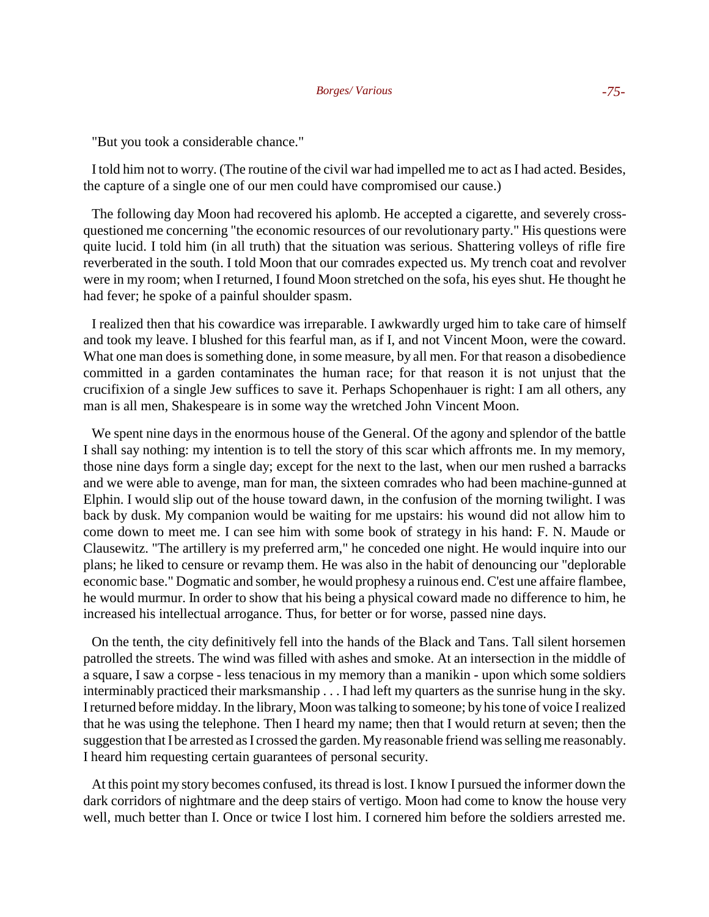"But you took a considerable chance."

I told him not to worry. (The routine of the civil war had impelled me to act as I had acted. Besides, the capture of a single one of our men could have compromised our cause.)

The following day Moon had recovered his aplomb. He accepted a cigarette, and severely crossquestioned me concerning "the economic resources of our revolutionary party." His questions were quite lucid. I told him (in all truth) that the situation was serious. Shattering volleys of rifle fire reverberated in the south. I told Moon that our comrades expected us. My trench coat and revolver were in my room; when I returned, I found Moon stretched on the sofa, his eyes shut. He thought he had fever; he spoke of a painful shoulder spasm.

I realized then that his cowardice was irreparable. I awkwardly urged him to take care of himself and took my leave. I blushed for this fearful man, as if I, and not Vincent Moon, were the coward. What one man does is something done, in some measure, by all men. For that reason a disobedience committed in a garden contaminates the human race; for that reason it is not unjust that the crucifixion of a single Jew suffices to save it. Perhaps Schopenhauer is right: I am all others, any man is all men, Shakespeare is in some way the wretched John Vincent Moon.

We spent nine days in the enormous house of the General. Of the agony and splendor of the battle I shall say nothing: my intention is to tell the story of this scar which affronts me. In my memory, those nine days form a single day; except for the next to the last, when our men rushed a barracks and we were able to avenge, man for man, the sixteen comrades who had been machine-gunned at Elphin. I would slip out of the house toward dawn, in the confusion of the morning twilight. I was back by dusk. My companion would be waiting for me upstairs: his wound did not allow him to come down to meet me. I can see him with some book of strategy in his hand: F. N. Maude or Clausewitz. "The artillery is my preferred arm," he conceded one night. He would inquire into our plans; he liked to censure or revamp them. He was also in the habit of denouncing our "deplorable economic base." Dogmatic and somber, he would prophesy a ruinous end. C'est une affaire flambee, he would murmur. In order to show that his being a physical coward made no difference to him, he increased his intellectual arrogance. Thus, for better or for worse, passed nine days.

On the tenth, the city definitively fell into the hands of the Black and Tans. Tall silent horsemen patrolled the streets. The wind was filled with ashes and smoke. At an intersection in the middle of a square, I saw a corpse - less tenacious in my memory than a manikin - upon which some soldiers interminably practiced their marksmanship . . . I had left my quarters as the sunrise hung in the sky. Ireturned before midday. In the library, Moon wastalking to someone; by histone of voice Irealized that he was using the telephone. Then I heard my name; then that I would return at seven; then the suggestion that I be arrested as I crossed the garden. My reasonable friend was selling me reasonably. I heard him requesting certain guarantees of personal security.

At this point my story becomes confused, its thread is lost. I know I pursued the informer down the dark corridors of nightmare and the deep stairs of vertigo. Moon had come to know the house very well, much better than I. Once or twice I lost him. I cornered him before the soldiers arrested me.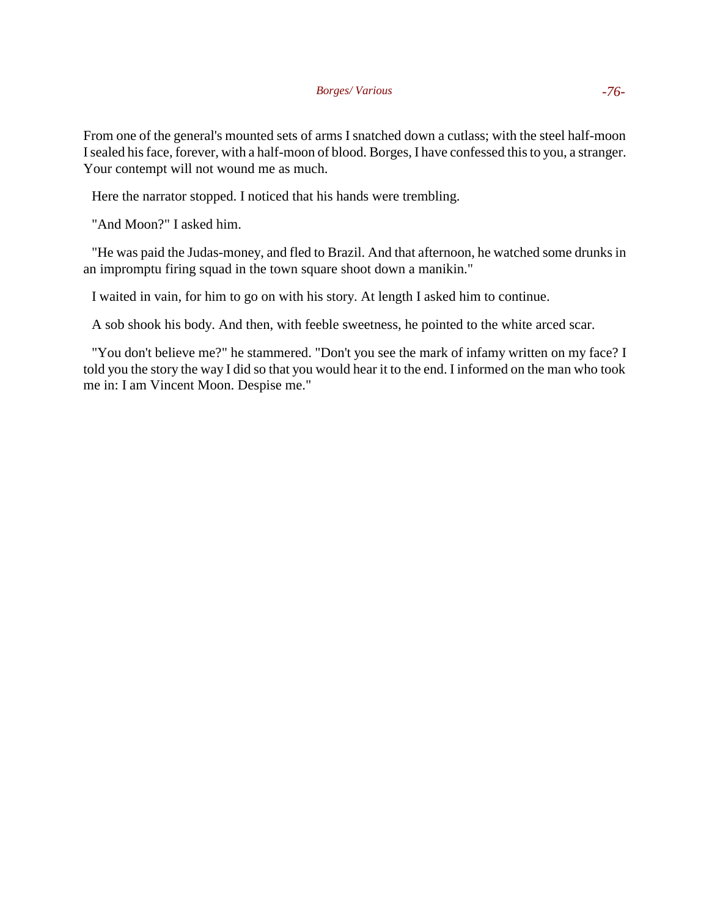From one of the general's mounted sets of arms I snatched down a cutlass; with the steel half-moon Isealed hisface, forever, with a half-moon of blood. Borges, I have confessed thisto you, a stranger. Your contempt will not wound me as much.

Here the narrator stopped. I noticed that his hands were trembling.

"And Moon?" I asked him.

"He was paid the Judas-money, and fled to Brazil. And that afternoon, he watched some drunks in an impromptu firing squad in the town square shoot down a manikin."

I waited in vain, for him to go on with his story. At length I asked him to continue.

A sob shook his body. And then, with feeble sweetness, he pointed to the white arced scar.

"You don't believe me?" he stammered. "Don't you see the mark of infamy written on my face? I told you the story the way I did so that you would hear it to the end. I informed on the man who took me in: I am Vincent Moon. Despise me."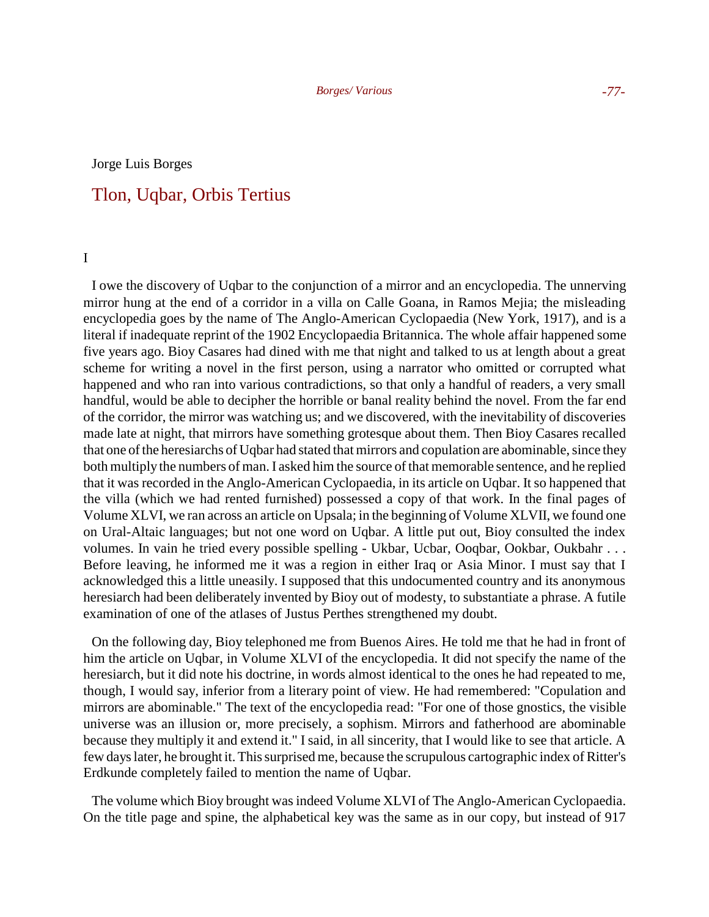Jorge Luis Borges

# Tlon, Uqbar, Orbis Tertius

I

I owe the discovery of Uqbar to the conjunction of a mirror and an encyclopedia. The unnerving mirror hung at the end of a corridor in a villa on Calle Goana, in Ramos Mejia; the misleading encyclopedia goes by the name of The Anglo-American Cyclopaedia (New York, 1917), and is a literal if inadequate reprint of the 1902 Encyclopaedia Britannica. The whole affair happened some five years ago. Bioy Casares had dined with me that night and talked to us at length about a great scheme for writing a novel in the first person, using a narrator who omitted or corrupted what happened and who ran into various contradictions, so that only a handful of readers, a very small handful, would be able to decipher the horrible or banal reality behind the novel. From the far end of the corridor, the mirror was watching us; and we discovered, with the inevitability of discoveries made late at night, that mirrors have something grotesque about them. Then Bioy Casares recalled that one of the heresiarchs of Uqbar had stated that mirrors and copulation are abominable, since they both multiply the numbers of man. I asked him the source of that memorable sentence, and he replied that it was recorded in the Anglo-American Cyclopaedia, in its article on Uqbar. It so happened that the villa (which we had rented furnished) possessed a copy of that work. In the final pages of Volume XLVI, we ran across an article on Upsala; in the beginning of Volume XLVII, we found one on Ural-Altaic languages; but not one word on Uqbar. A little put out, Bioy consulted the index volumes. In vain he tried every possible spelling - Ukbar, Ucbar, Ooqbar, Ookbar, Oukbahr . . . Before leaving, he informed me it was a region in either Iraq or Asia Minor. I must say that I acknowledged this a little uneasily. I supposed that this undocumented country and its anonymous heresiarch had been deliberately invented by Bioy out of modesty, to substantiate a phrase. A futile examination of one of the atlases of Justus Perthes strengthened my doubt.

On the following day, Bioy telephoned me from Buenos Aires. He told me that he had in front of him the article on Uqbar, in Volume XLVI of the encyclopedia. It did not specify the name of the heresiarch, but it did note his doctrine, in words almost identical to the ones he had repeated to me, though, I would say, inferior from a literary point of view. He had remembered: "Copulation and mirrors are abominable." The text of the encyclopedia read: "For one of those gnostics, the visible universe was an illusion or, more precisely, a sophism. Mirrors and fatherhood are abominable because they multiply it and extend it." I said, in all sincerity, that I would like to see that article. A few days later, he brought it. This surprised me, because the scrupulous cartographic index of Ritter's Erdkunde completely failed to mention the name of Uqbar.

The volume which Bioy brought was indeed Volume XLVI of The Anglo-American Cyclopaedia. On the title page and spine, the alphabetical key was the same as in our copy, but instead of 917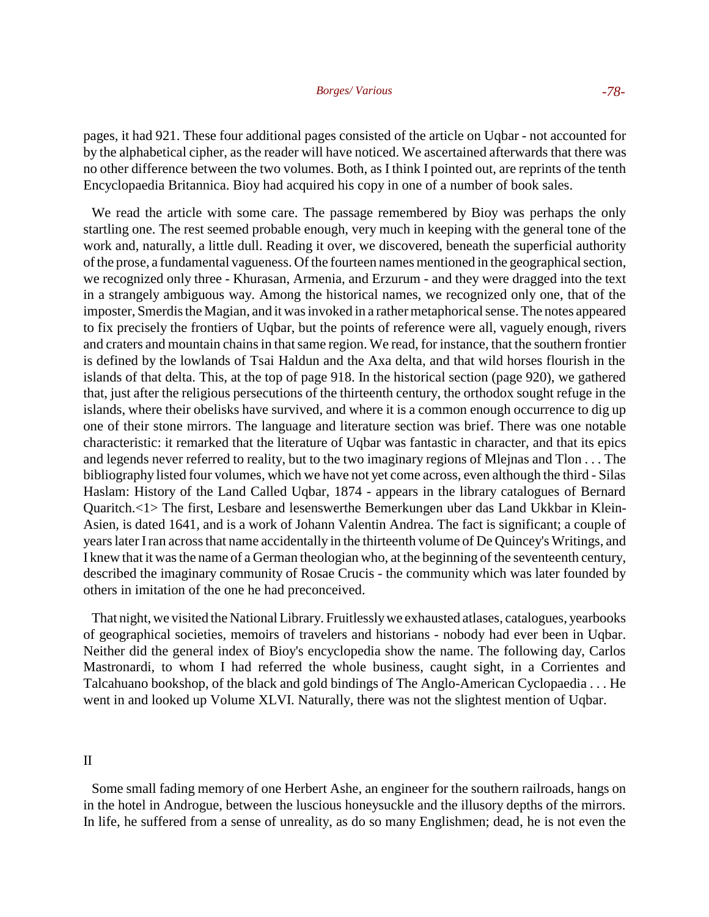pages, it had 921. These four additional pages consisted of the article on Uqbar - not accounted for by the alphabetical cipher, asthe reader will have noticed. We ascertained afterwards that there was no other difference between the two volumes. Both, as I think I pointed out, are reprints of the tenth Encyclopaedia Britannica. Bioy had acquired his copy in one of a number of book sales.

We read the article with some care. The passage remembered by Bioy was perhaps the only startling one. The rest seemed probable enough, very much in keeping with the general tone of the work and, naturally, a little dull. Reading it over, we discovered, beneath the superficial authority of the prose, a fundamental vagueness. Of the fourteen names mentioned in the geographical section, we recognized only three - Khurasan, Armenia, and Erzurum - and they were dragged into the text in a strangely ambiguous way. Among the historical names, we recognized only one, that of the imposter, Smerdisthe Magian, and it was invoked in a rather metaphorical sense. The notes appeared to fix precisely the frontiers of Uqbar, but the points of reference were all, vaguely enough, rivers and craters and mountain chains in that same region. We read, for instance, that the southern frontier is defined by the lowlands of Tsai Haldun and the Axa delta, and that wild horses flourish in the islands of that delta. This, at the top of page 918. In the historical section (page 920), we gathered that, just after the religious persecutions of the thirteenth century, the orthodox sought refuge in the islands, where their obelisks have survived, and where it is a common enough occurrence to dig up one of their stone mirrors. The language and literature section was brief. There was one notable characteristic: it remarked that the literature of Uqbar was fantastic in character, and that its epics and legends never referred to reality, but to the two imaginary regions of Mlejnas and Tlon . . . The bibliography listed four volumes, which we have not yet come across, even although the third - Silas Haslam: History of the Land Called Uqbar, 1874 - appears in the library catalogues of Bernard Quaritch.<1> The first, Lesbare and lesenswerthe Bemerkungen uber das Land Ukkbar in Klein-Asien, is dated 1641, and is a work of Johann Valentin Andrea. The fact is significant; a couple of yearslater Iran acrossthat name accidentally in the thirteenth volume of De Quincey's Writings, and I knew that it was the name of a German theologian who, at the beginning of the seventeenth century, described the imaginary community of Rosae Crucis - the community which was later founded by others in imitation of the one he had preconceived.

That night, we visited the NationalLibrary. Fruitlesslywe exhausted atlases, catalogues, yearbooks of geographical societies, memoirs of travelers and historians - nobody had ever been in Uqbar. Neither did the general index of Bioy's encyclopedia show the name. The following day, Carlos Mastronardi, to whom I had referred the whole business, caught sight, in a Corrientes and Talcahuano bookshop, of the black and gold bindings of The Anglo-American Cyclopaedia . . . He went in and looked up Volume XLVI. Naturally, there was not the slightest mention of Uqbar.

II

Some small fading memory of one Herbert Ashe, an engineer for the southern railroads, hangs on in the hotel in Androgue, between the luscious honeysuckle and the illusory depths of the mirrors. In life, he suffered from a sense of unreality, as do so many Englishmen; dead, he is not even the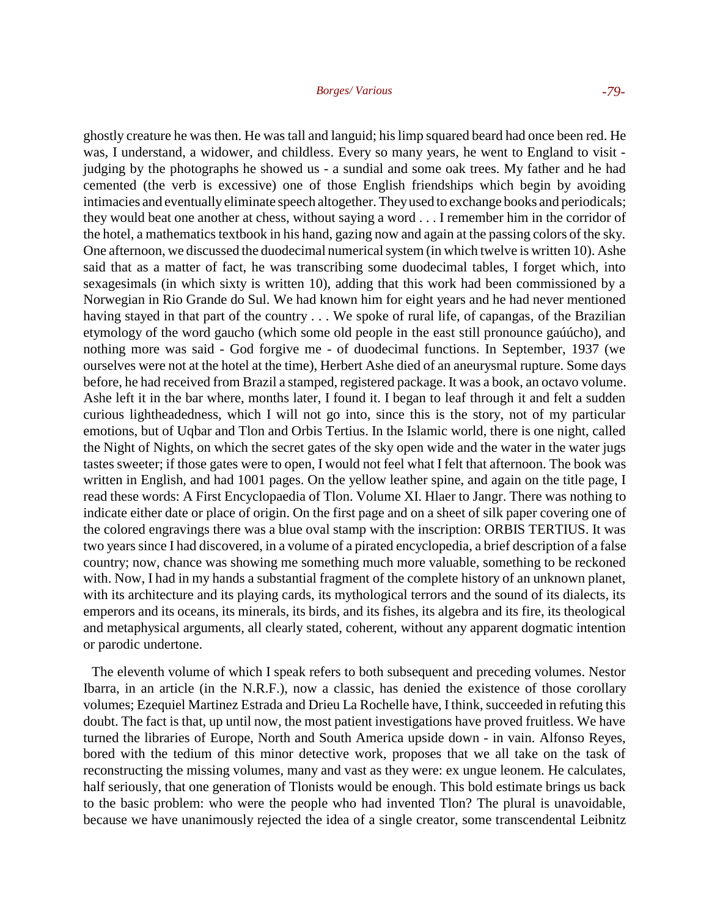### *Borges/ Various -79-*

ghostly creature he was then. He was tall and languid; hislimp squared beard had once been red. He was, I understand, a widower, and childless. Every so many years, he went to England to visit judging by the photographs he showed us - a sundial and some oak trees. My father and he had cemented (the verb is excessive) one of those English friendships which begin by avoiding intimacies and eventuallyeliminate speech altogether.Theyused to exchange books and periodicals; they would beat one another at chess, without saying a word . . . I remember him in the corridor of the hotel, a mathematics textbook in his hand, gazing now and again at the passing colors of the sky. One afternoon, we discussed the duodecimal numerical system (in which twelve is written 10). Ashe said that as a matter of fact, he was transcribing some duodecimal tables, I forget which, into sexagesimals (in which sixty is written 10), adding that this work had been commissioned by a Norwegian in Rio Grande do Sul. We had known him for eight years and he had never mentioned having stayed in that part of the country . . . We spoke of rural life, of capangas, of the Brazilian etymology of the word gaucho (which some old people in the east still pronounce gaúúcho), and nothing more was said - God forgive me - of duodecimal functions. In September, 1937 (we ourselves were not at the hotel at the time), Herbert Ashe died of an aneurysmal rupture. Some days before, he had received from Brazil a stamped, registered package. It was a book, an octavo volume. Ashe left it in the bar where, months later, I found it. I began to leaf through it and felt a sudden curious lightheadedness, which I will not go into, since this is the story, not of my particular emotions, but of Uqbar and Tlon and Orbis Tertius. In the Islamic world, there is one night, called the Night of Nights, on which the secret gates of the sky open wide and the water in the water jugs tastes sweeter; if those gates were to open, I would not feel what I felt that afternoon. The book was written in English, and had 1001 pages. On the yellow leather spine, and again on the title page, I read these words: A First Encyclopaedia of Tlon. Volume XI. Hlaer to Jangr. There was nothing to indicate either date or place of origin. On the first page and on a sheet of silk paper covering one of the colored engravings there was a blue oval stamp with the inscription: ORBIS TERTIUS. It was two years since I had discovered, in a volume of a pirated encyclopedia, a brief description of a false country; now, chance was showing me something much more valuable, something to be reckoned with. Now, I had in my hands a substantial fragment of the complete history of an unknown planet, with its architecture and its playing cards, its mythological terrors and the sound of its dialects, its emperors and its oceans, its minerals, its birds, and its fishes, its algebra and its fire, its theological and metaphysical arguments, all clearly stated, coherent, without any apparent dogmatic intention or parodic undertone.

The eleventh volume of which I speak refers to both subsequent and preceding volumes. Nestor Ibarra, in an article (in the N.R.F.), now a classic, has denied the existence of those corollary volumes; Ezequiel Martinez Estrada and Drieu La Rochelle have, I think, succeeded in refuting this doubt. The fact is that, up until now, the most patient investigations have proved fruitless. We have turned the libraries of Europe, North and South America upside down - in vain. Alfonso Reyes, bored with the tedium of this minor detective work, proposes that we all take on the task of reconstructing the missing volumes, many and vast as they were: ex ungue leonem. He calculates, half seriously, that one generation of Tlonists would be enough. This bold estimate brings us back to the basic problem: who were the people who had invented Tlon? The plural is unavoidable, because we have unanimously rejected the idea of a single creator, some transcendental Leibnitz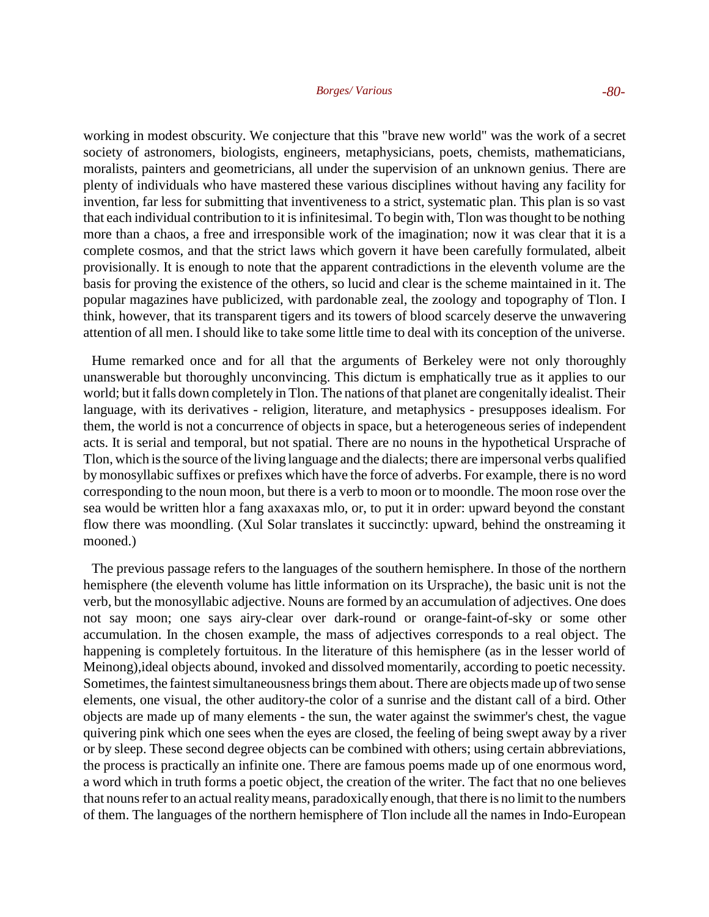### *Borges/ Various -80-*

working in modest obscurity. We conjecture that this "brave new world" was the work of a secret society of astronomers, biologists, engineers, metaphysicians, poets, chemists, mathematicians, moralists, painters and geometricians, all under the supervision of an unknown genius. There are plenty of individuals who have mastered these various disciplines without having any facility for invention, far less for submitting that inventiveness to a strict, systematic plan. This plan is so vast that each individual contribution to it isinfinitesimal. To begin with, Tlon wasthought to be nothing more than a chaos, a free and irresponsible work of the imagination; now it was clear that it is a complete cosmos, and that the strict laws which govern it have been carefully formulated, albeit provisionally. It is enough to note that the apparent contradictions in the eleventh volume are the basis for proving the existence of the others, so lucid and clear is the scheme maintained in it. The popular magazines have publicized, with pardonable zeal, the zoology and topography of Tlon. I think, however, that its transparent tigers and its towers of blood scarcely deserve the unwavering attention of all men. Ishould like to take some little time to deal with its conception of the universe.

Hume remarked once and for all that the arguments of Berkeley were not only thoroughly unanswerable but thoroughly unconvincing. This dictum is emphatically true as it applies to our world; but it falls down completely in Tlon. The nations of that planet are congenitally idealist. Their language, with its derivatives - religion, literature, and metaphysics - presupposes idealism. For them, the world is not a concurrence of objects in space, but a heterogeneous series of independent acts. It is serial and temporal, but not spatial. There are no nouns in the hypothetical Ursprache of Thon, which is the source of the living language and the dialects; there are impersonal verbs qualified by monosyllabic suffixes or prefixes which have the force of adverbs. For example, there is no word corresponding to the noun moon, but there is a verb to moon or to moondle. The moon rose over the sea would be written hlor a fang axaxaxas mlo, or, to put it in order: upward beyond the constant flow there was moondling. (Xul Solar translates it succinctly: upward, behind the onstreaming it mooned.)

The previous passage refers to the languages of the southern hemisphere. In those of the northern hemisphere (the eleventh volume has little information on its Ursprache), the basic unit is not the verb, but the monosyllabic adjective. Nouns are formed by an accumulation of adjectives. One does not say moon; one says airy-clear over dark-round or orange-faint-of-sky or some other accumulation. In the chosen example, the mass of adjectives corresponds to a real object. The happening is completely fortuitous. In the literature of this hemisphere (as in the lesser world of Meinong),ideal objects abound, invoked and dissolved momentarily, according to poetic necessity. Sometimes, the faintest simultaneousness brings them about. There are objects made up of two sense elements, one visual, the other auditory-the color of a sunrise and the distant call of a bird. Other objects are made up of many elements - the sun, the water against the swimmer's chest, the vague quivering pink which one sees when the eyes are closed, the feeling of being swept away by a river or by sleep. These second degree objects can be combined with others; using certain abbreviations, the process is practically an infinite one. There are famous poems made up of one enormous word, a word which in truth forms a poetic object, the creation of the writer. The fact that no one believes that nouns refer to an actual reality means, paradoxically enough, that there is no limit to the numbers of them. The languages of the northern hemisphere of Tlon include all the names in Indo-European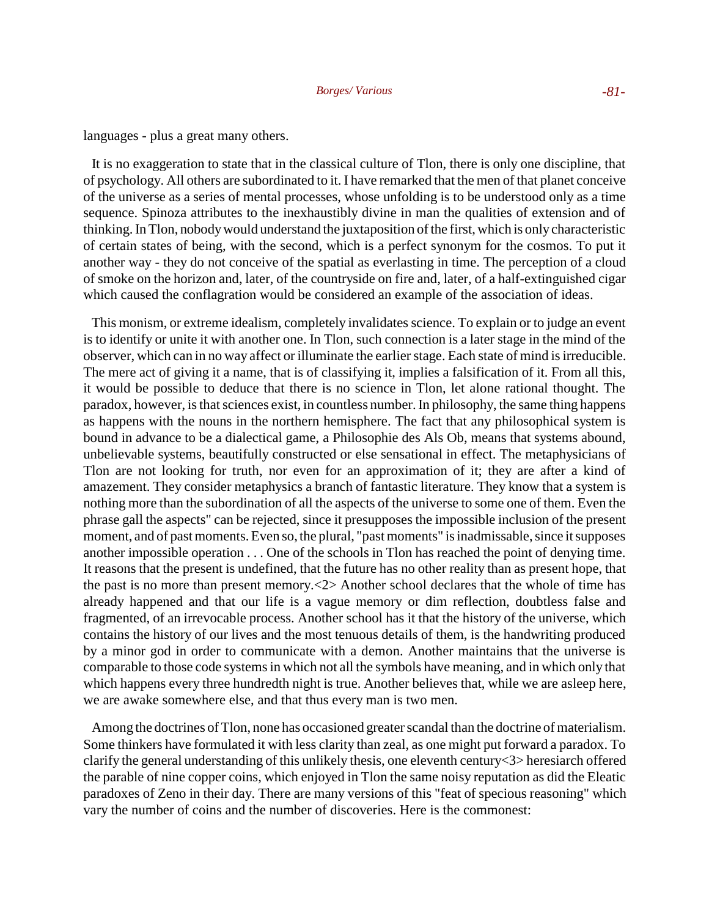languages - plus a great many others.

It is no exaggeration to state that in the classical culture of Tlon, there is only one discipline, that of psychology. All others are subordinated to it. I have remarked that the men of that planet conceive of the universe as a series of mental processes, whose unfolding is to be understood only as a time sequence. Spinoza attributes to the inexhaustibly divine in man the qualities of extension and of thinking. In Tlon, nobody would understand the juxtaposition of the first, which is only characteristic of certain states of being, with the second, which is a perfect synonym for the cosmos. To put it another way - they do not conceive of the spatial as everlasting in time. The perception of a cloud of smoke on the horizon and, later, of the countryside on fire and, later, of a half-extinguished cigar which caused the conflagration would be considered an example of the association of ideas.

This monism, or extreme idealism, completely invalidates science. To explain or to judge an event is to identify or unite it with another one. In Tlon, such connection is a later stage in the mind of the observer, which can in no way affect or illuminate the earlier stage. Each state of mind is irreducible. The mere act of giving it a name, that is of classifying it, implies a falsification of it. From all this, it would be possible to deduce that there is no science in Tlon, let alone rational thought. The paradox, however, is that sciences exist, in countless number. In philosophy, the same thing happens as happens with the nouns in the northern hemisphere. The fact that any philosophical system is bound in advance to be a dialectical game, a Philosophie des Als Ob, means that systems abound, unbelievable systems, beautifully constructed or else sensational in effect. The metaphysicians of Tlon are not looking for truth, nor even for an approximation of it; they are after a kind of amazement. They consider metaphysics a branch of fantastic literature. They know that a system is nothing more than the subordination of all the aspects of the universe to some one of them. Even the phrase gall the aspects" can be rejected, since it presupposes the impossible inclusion of the present moment, and of past moments. Even so, the plural, "past moments" is inadmissable, since it supposes another impossible operation . . . One of the schools in Tlon has reached the point of denying time. It reasons that the present is undefined, that the future has no other reality than as present hope, that the past is no more than present memory.<2> Another school declares that the whole of time has already happened and that our life is a vague memory or dim reflection, doubtless false and fragmented, of an irrevocable process. Another school has it that the history of the universe, which contains the history of our lives and the most tenuous details of them, is the handwriting produced by a minor god in order to communicate with a demon. Another maintains that the universe is comparable to those code systemsin which not all the symbols have meaning, and in which only that which happens every three hundredth night is true. Another believes that, while we are asleep here, we are awake somewhere else, and that thus every man is two men.

Among the doctrines of Tlon, none has occasioned greater scandal than the doctrine of materialism. Some thinkers have formulated it with less clarity than zeal, as one might put forward a paradox. To clarify the general understanding of this unlikely thesis, one eleventh century<3> heresiarch offered the parable of nine copper coins, which enjoyed in Tlon the same noisy reputation as did the Eleatic paradoxes of Zeno in their day. There are many versions of this "feat of specious reasoning" which vary the number of coins and the number of discoveries. Here is the commonest: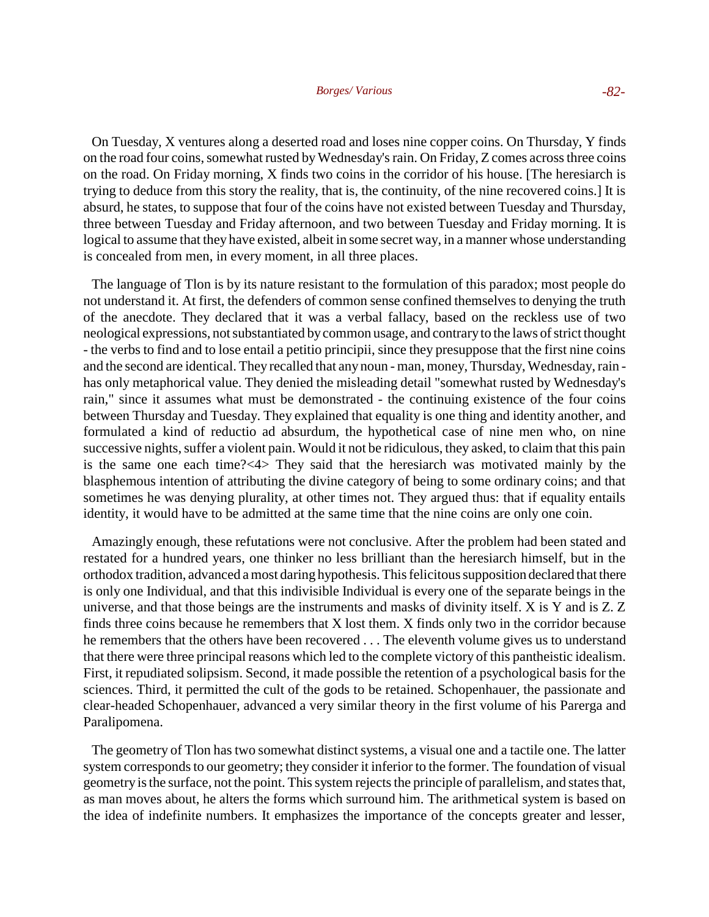### *Borges/ Various -82-*

On Tuesday, X ventures along a deserted road and loses nine copper coins. On Thursday, Y finds on the road four coins, somewhat rusted by Wednesday's rain. On Friday, Z comes across three coins on the road. On Friday morning, X finds two coins in the corridor of his house. [The heresiarch is trying to deduce from this story the reality, that is, the continuity, of the nine recovered coins.] It is absurd, he states, to suppose that four of the coins have not existed between Tuesday and Thursday, three between Tuesday and Friday afternoon, and two between Tuesday and Friday morning. It is logical to assume that they have existed, albeit in some secret way, in a manner whose understanding is concealed from men, in every moment, in all three places.

The language of Tlon is by its nature resistant to the formulation of this paradox; most people do not understand it. At first, the defenders of common sense confined themselves to denying the truth of the anecdote. They declared that it was a verbal fallacy, based on the reckless use of two neological expressions, not substantiated by common usage, and contrary to the laws of strict thought - the verbs to find and to lose entail a petitio principii, since they presuppose that the first nine coins and the second are identical. They recalled that any noun - man, money, Thursday, Wednesday, rain has only metaphorical value. They denied the misleading detail "somewhat rusted by Wednesday's rain," since it assumes what must be demonstrated - the continuing existence of the four coins between Thursday and Tuesday. They explained that equality is one thing and identity another, and formulated a kind of reductio ad absurdum, the hypothetical case of nine men who, on nine successive nights, suffer a violent pain. Would it not be ridiculous, they asked, to claim that this pain is the same one each time?<4> They said that the heresiarch was motivated mainly by the blasphemous intention of attributing the divine category of being to some ordinary coins; and that sometimes he was denying plurality, at other times not. They argued thus: that if equality entails identity, it would have to be admitted at the same time that the nine coins are only one coin.

Amazingly enough, these refutations were not conclusive. After the problem had been stated and restated for a hundred years, one thinker no less brilliant than the heresiarch himself, but in the orthodox tradition, advanced amost daring hypothesis.Thisfelicitoussupposition declared that there is only one Individual, and that this indivisible Individual is every one of the separate beings in the universe, and that those beings are the instruments and masks of divinity itself. X is Y and is Z. Z finds three coins because he remembers that X lost them. X finds only two in the corridor because he remembers that the others have been recovered . . . The eleventh volume gives us to understand that there were three principal reasons which led to the complete victory of this pantheistic idealism. First, it repudiated solipsism. Second, it made possible the retention of a psychological basis for the sciences. Third, it permitted the cult of the gods to be retained. Schopenhauer, the passionate and clear-headed Schopenhauer, advanced a very similar theory in the first volume of his Parerga and Paralipomena.

The geometry of Tlon has two somewhat distinct systems, a visual one and a tactile one. The latter system corresponds to our geometry; they consider it inferior to the former. The foundation of visual geometry is the surface, not the point. This system rejects the principle of parallelism, and states that, as man moves about, he alters the forms which surround him. The arithmetical system is based on the idea of indefinite numbers. It emphasizes the importance of the concepts greater and lesser,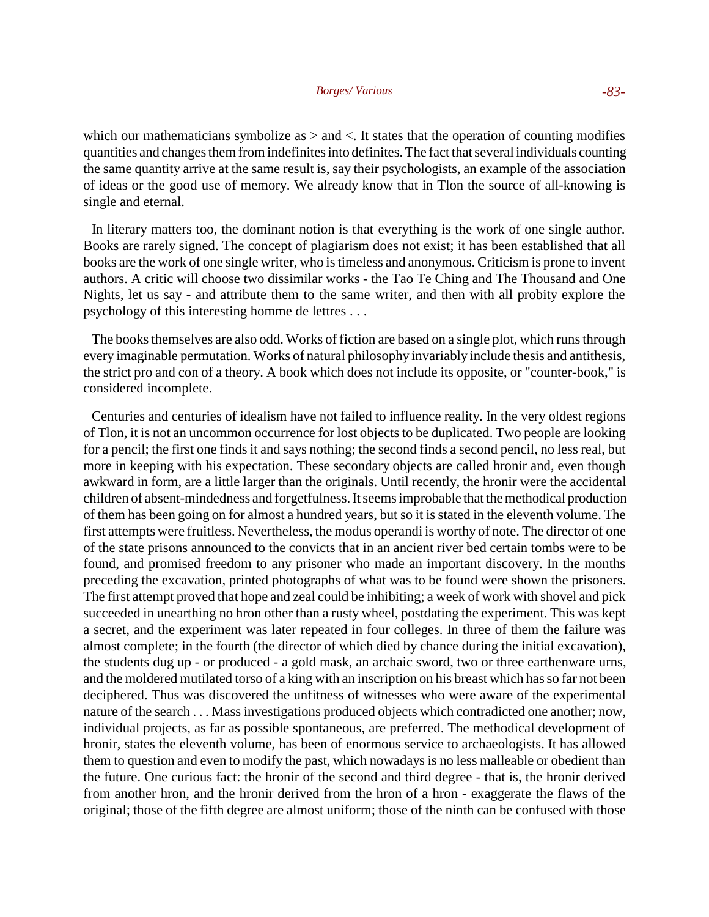which our mathematicians symbolize as  $>$  and  $<$ . It states that the operation of counting modifies quantities and changes them from indefinites into definites. The fact that several individuals counting the same quantity arrive at the same result is, say their psychologists, an example of the association of ideas or the good use of memory. We already know that in Tlon the source of all-knowing is single and eternal.

In literary matters too, the dominant notion is that everything is the work of one single author. Books are rarely signed. The concept of plagiarism does not exist; it has been established that all books are the work of one single writer, who is timeless and anonymous. Criticism is prone to invent authors. A critic will choose two dissimilar works - the Tao Te Ching and The Thousand and One Nights, let us say - and attribute them to the same writer, and then with all probity explore the psychology of this interesting homme de lettres . . .

The books themselves are also odd. Works of fiction are based on a single plot, which runs through every imaginable permutation. Works of natural philosophy invariably include thesis and antithesis, the strict pro and con of a theory. A book which does not include its opposite, or "counter-book," is considered incomplete.

Centuries and centuries of idealism have not failed to influence reality. In the very oldest regions of Tlon, it is not an uncommon occurrence for lost objects to be duplicated. Two people are looking for a pencil; the first one finds it and says nothing; the second finds a second pencil, no less real, but more in keeping with his expectation. These secondary objects are called hronir and, even though awkward in form, are a little larger than the originals. Until recently, the hronir were the accidental children of absent-mindedness and forgetfulness. It seems improbable that the methodical production of them has been going on for almost a hundred years, but so it is stated in the eleventh volume. The first attempts were fruitless. Nevertheless, the modus operandi is worthy of note. The director of one of the state prisons announced to the convicts that in an ancient river bed certain tombs were to be found, and promised freedom to any prisoner who made an important discovery. In the months preceding the excavation, printed photographs of what was to be found were shown the prisoners. The first attempt proved that hope and zeal could be inhibiting; a week of work with shovel and pick succeeded in unearthing no hron other than a rusty wheel, postdating the experiment. This was kept a secret, and the experiment was later repeated in four colleges. In three of them the failure was almost complete; in the fourth (the director of which died by chance during the initial excavation), the students dug up - or produced - a gold mask, an archaic sword, two or three earthenware urns, and the moldered mutilated torso of a king with an inscription on his breast which hasso far not been deciphered. Thus was discovered the unfitness of witnesses who were aware of the experimental nature of the search . . . Mass investigations produced objects which contradicted one another; now, individual projects, as far as possible spontaneous, are preferred. The methodical development of hronir, states the eleventh volume, has been of enormous service to archaeologists. It has allowed them to question and even to modify the past, which nowadays is no less malleable or obedient than the future. One curious fact: the hronir of the second and third degree - that is, the hronir derived from another hron, and the hronir derived from the hron of a hron - exaggerate the flaws of the original; those of the fifth degree are almost uniform; those of the ninth can be confused with those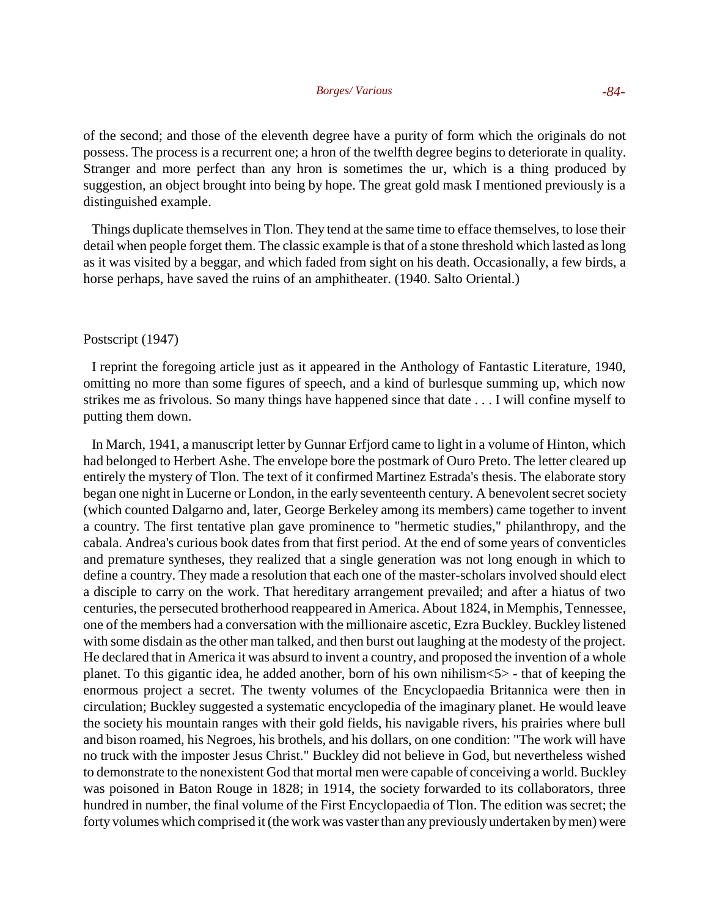### *Borges/ Various -84-*

of the second; and those of the eleventh degree have a purity of form which the originals do not possess. The process is a recurrent one; a hron of the twelfth degree begins to deteriorate in quality. Stranger and more perfect than any hron is sometimes the ur, which is a thing produced by suggestion, an object brought into being by hope. The great gold mask I mentioned previously is a distinguished example.

Things duplicate themselves in Tlon. They tend at the same time to efface themselves, to lose their detail when people forget them. The classic example is that of a stone threshold which lasted as long as it was visited by a beggar, and which faded from sight on his death. Occasionally, a few birds, a horse perhaps, have saved the ruins of an amphitheater. (1940. Salto Oriental.)

### Postscript (1947)

I reprint the foregoing article just as it appeared in the Anthology of Fantastic Literature, 1940, omitting no more than some figures of speech, and a kind of burlesque summing up, which now strikes me as frivolous. So many things have happened since that date . . . I will confine myself to putting them down.

In March, 1941, a manuscript letter by Gunnar Erfjord came to light in a volume of Hinton, which had belonged to Herbert Ashe. The envelope bore the postmark of Ouro Preto. The letter cleared up entirely the mystery of Tlon. The text of it confirmed Martinez Estrada's thesis. The elaborate story began one night in Lucerne or London, in the early seventeenth century. A benevolent secret society (which counted Dalgarno and, later, George Berkeley among its members) came together to invent a country. The first tentative plan gave prominence to "hermetic studies," philanthropy, and the cabala. Andrea's curious book dates from that first period. At the end of some years of conventicles and premature syntheses, they realized that a single generation was not long enough in which to define a country. They made a resolution that each one of the master-scholars involved should elect a disciple to carry on the work. That hereditary arrangement prevailed; and after a hiatus of two centuries, the persecuted brotherhood reappeared in America. About 1824, in Memphis, Tennessee, one of the members had a conversation with the millionaire ascetic, Ezra Buckley. Buckley listened with some disdain as the other man talked, and then burst out laughing at the modesty of the project. He declared that in America it was absurd to invent a country, and proposed the invention of a whole planet. To this gigantic idea, he added another, born of his own nihilism<5> - that of keeping the enormous project a secret. The twenty volumes of the Encyclopaedia Britannica were then in circulation; Buckley suggested a systematic encyclopedia of the imaginary planet. He would leave the society his mountain ranges with their gold fields, his navigable rivers, his prairies where bull and bison roamed, his Negroes, his brothels, and his dollars, on one condition: "The work will have no truck with the imposter Jesus Christ." Buckley did not believe in God, but nevertheless wished to demonstrate to the nonexistent God that mortal men were capable of conceiving a world. Buckley was poisoned in Baton Rouge in 1828; in 1914, the society forwarded to its collaborators, three hundred in number, the final volume of the First Encyclopaedia of Tlon. The edition was secret; the forty volumes which comprised it (the work was vaster than any previously undertaken by men) were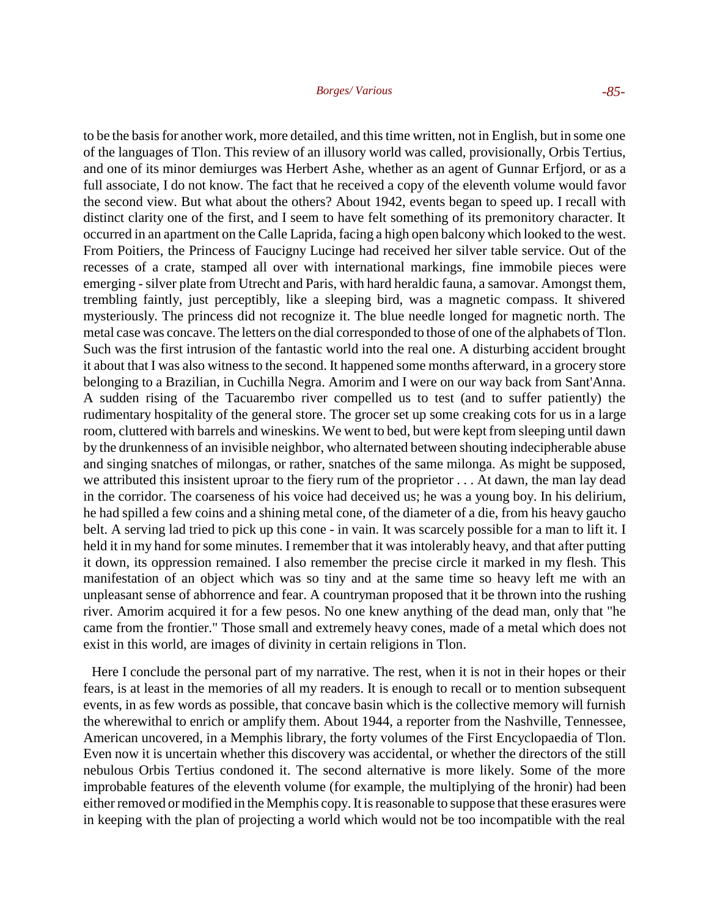### *Borges/ Various -85-*

to be the basisfor another work, more detailed, and thistime written, not in English, but in some one of the languages of Tlon. This review of an illusory world was called, provisionally, Orbis Tertius, and one of its minor demiurges was Herbert Ashe, whether as an agent of Gunnar Erfjord, or as a full associate, I do not know. The fact that he received a copy of the eleventh volume would favor the second view. But what about the others? About 1942, events began to speed up. I recall with distinct clarity one of the first, and I seem to have felt something of its premonitory character. It occurred in an apartment on the Calle Laprida, facing a high open balcony which looked to the west. From Poitiers, the Princess of Faucigny Lucinge had received her silver table service. Out of the recesses of a crate, stamped all over with international markings, fine immobile pieces were emerging - silver plate from Utrecht and Paris, with hard heraldic fauna, a samovar. Amongst them, trembling faintly, just perceptibly, like a sleeping bird, was a magnetic compass. It shivered mysteriously. The princess did not recognize it. The blue needle longed for magnetic north. The metal case was concave. The letters on the dial corresponded to those of one of the alphabets of Tlon. Such was the first intrusion of the fantastic world into the real one. A disturbing accident brought it about that I was also witnessto the second. It happened some months afterward, in a grocery store belonging to a Brazilian, in Cuchilla Negra. Amorim and I were on our way back from Sant'Anna. A sudden rising of the Tacuarembo river compelled us to test (and to suffer patiently) the rudimentary hospitality of the general store. The grocer set up some creaking cots for us in a large room, cluttered with barrels and wineskins. We went to bed, but were kept from sleeping until dawn by the drunkenness of an invisible neighbor, who alternated between shouting indecipherable abuse and singing snatches of milongas, or rather, snatches of the same milonga. As might be supposed, we attributed this insistent uproar to the fiery rum of the proprietor . . . At dawn, the man lay dead in the corridor. The coarseness of his voice had deceived us; he was a young boy. In his delirium, he had spilled a few coins and a shining metal cone, of the diameter of a die, from his heavy gaucho belt. A serving lad tried to pick up this cone - in vain. It was scarcely possible for a man to lift it. I held it in my hand for some minutes. I remember that it was intolerably heavy, and that after putting it down, its oppression remained. I also remember the precise circle it marked in my flesh. This manifestation of an object which was so tiny and at the same time so heavy left me with an unpleasant sense of abhorrence and fear. A countryman proposed that it be thrown into the rushing river. Amorim acquired it for a few pesos. No one knew anything of the dead man, only that "he came from the frontier." Those small and extremely heavy cones, made of a metal which does not exist in this world, are images of divinity in certain religions in Tlon.

Here I conclude the personal part of my narrative. The rest, when it is not in their hopes or their fears, is at least in the memories of all my readers. It is enough to recall or to mention subsequent events, in as few words as possible, that concave basin which is the collective memory will furnish the wherewithal to enrich or amplify them. About 1944, a reporter from the Nashville, Tennessee, American uncovered, in a Memphis library, the forty volumes of the First Encyclopaedia of Tlon. Even now it is uncertain whether this discovery was accidental, or whether the directors of the still nebulous Orbis Tertius condoned it. The second alternative is more likely. Some of the more improbable features of the eleventh volume (for example, the multiplying of the hronir) had been either removed or modified in the Memphis copy. It is reasonable to suppose that these erasures were in keeping with the plan of projecting a world which would not be too incompatible with the real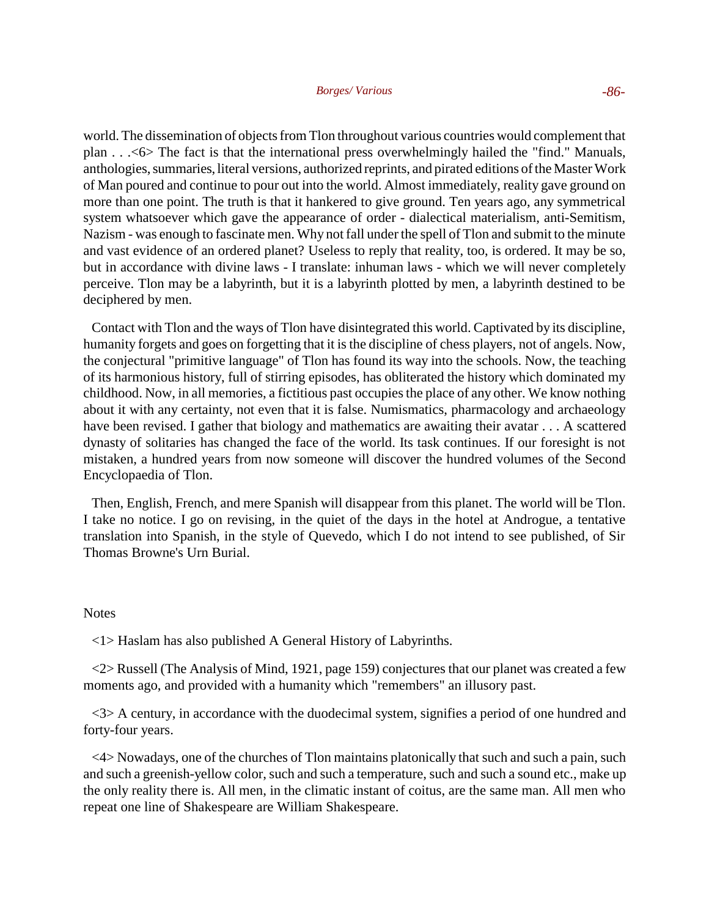#### *Borges/ Various -86-*

world. The dissemination of objects from Tlon throughout various countries would complement that plan . . .<6> The fact is that the international press overwhelmingly hailed the "find." Manuals, anthologies, summaries, literal versions, authorized reprints, and pirated editions of the Master Work of Man poured and continue to pour out into the world. Almost immediately, reality gave ground on more than one point. The truth is that it hankered to give ground. Ten years ago, any symmetrical system whatsoever which gave the appearance of order - dialectical materialism, anti-Semitism, Nazism - was enough to fascinate men. Why not fall under the spell of Tlon and submit to the minute and vast evidence of an ordered planet? Useless to reply that reality, too, is ordered. It may be so, but in accordance with divine laws - I translate: inhuman laws - which we will never completely perceive. Tlon may be a labyrinth, but it is a labyrinth plotted by men, a labyrinth destined to be deciphered by men.

Contact with Tlon and the ways of Tlon have disintegrated this world. Captivated by its discipline, humanity forgets and goes on forgetting that it is the discipline of chess players, not of angels. Now, the conjectural "primitive language" of Tlon has found its way into the schools. Now, the teaching of its harmonious history, full of stirring episodes, has obliterated the history which dominated my childhood. Now, in all memories, a fictitious past occupiesthe place of any other. We know nothing about it with any certainty, not even that it is false. Numismatics, pharmacology and archaeology have been revised. I gather that biology and mathematics are awaiting their avatar . . . A scattered dynasty of solitaries has changed the face of the world. Its task continues. If our foresight is not mistaken, a hundred years from now someone will discover the hundred volumes of the Second Encyclopaedia of Tlon.

Then, English, French, and mere Spanish will disappear from this planet. The world will be Tlon. I take no notice. I go on revising, in the quiet of the days in the hotel at Androgue, a tentative translation into Spanish, in the style of Quevedo, which I do not intend to see published, of Sir Thomas Browne's Urn Burial.

### **Notes**

<1> Haslam has also published A General History of Labyrinths.

<2> Russell (The Analysis of Mind, 1921, page 159) conjectures that our planet was created a few moments ago, and provided with a humanity which "remembers" an illusory past.

<3> A century, in accordance with the duodecimal system, signifies a period of one hundred and forty-four years.

<4> Nowadays, one of the churches of Tlon maintains platonically that such and such a pain, such and such a greenish-yellow color, such and such a temperature, such and such a sound etc., make up the only reality there is. All men, in the climatic instant of coitus, are the same man. All men who repeat one line of Shakespeare are William Shakespeare.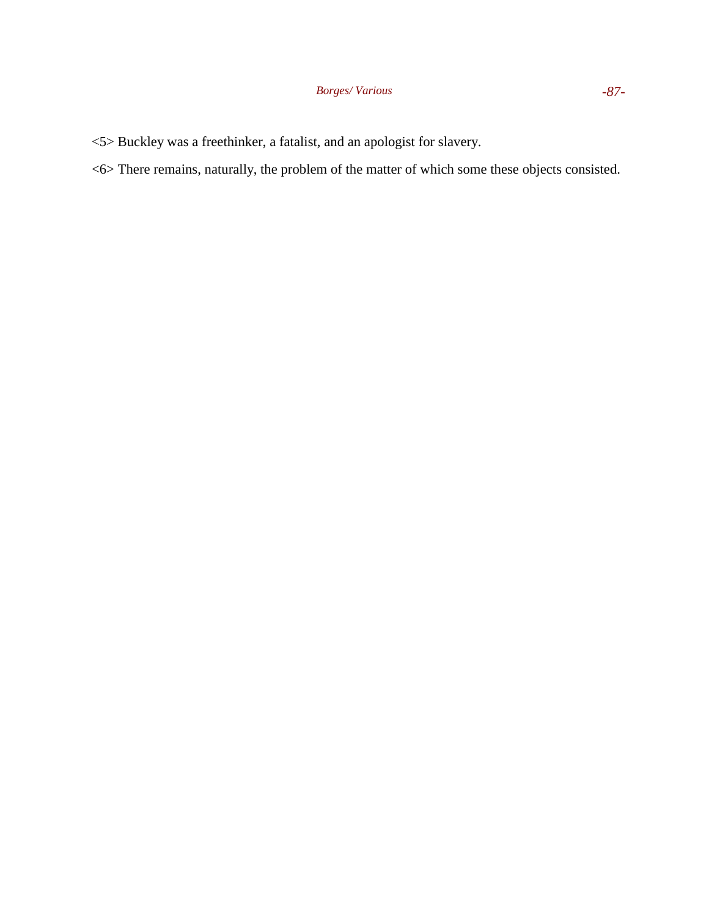- <5> Buckley was a freethinker, a fatalist, and an apologist for slavery.
- <6> There remains, naturally, the problem of the matter of which some these objects consisted.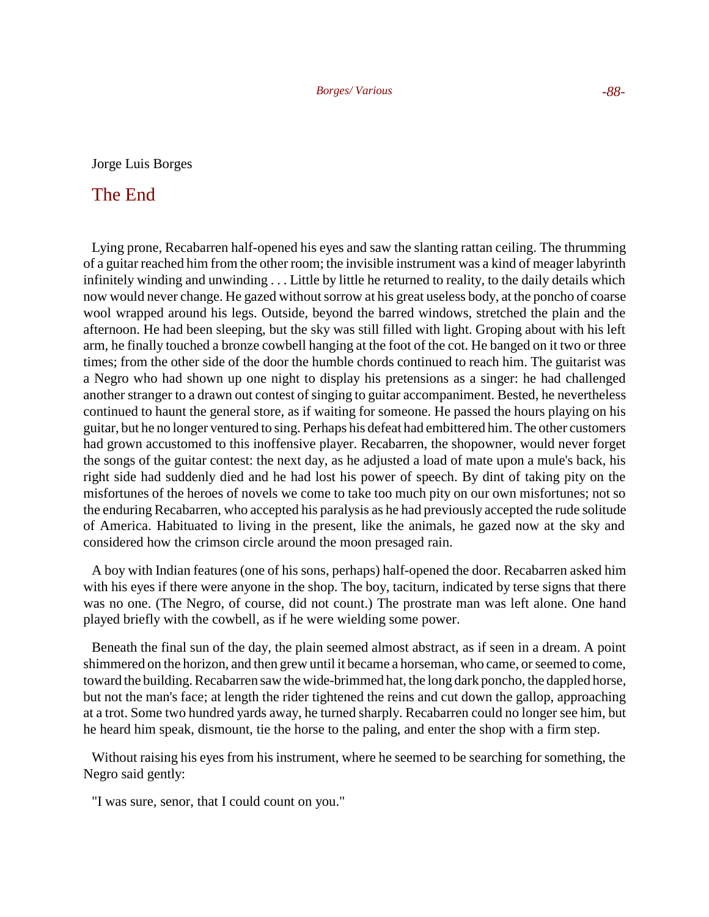Jorge Luis Borges

## The End

Lying prone, Recabarren half-opened his eyes and saw the slanting rattan ceiling. The thrumming of a guitar reached him from the other room; the invisible instrument was a kind of meager labyrinth infinitely winding and unwinding . . . Little by little he returned to reality, to the daily details which now would never change. He gazed without sorrow at his great useless body, at the poncho of coarse wool wrapped around his legs. Outside, beyond the barred windows, stretched the plain and the afternoon. He had been sleeping, but the sky was still filled with light. Groping about with his left arm, he finally touched a bronze cowbell hanging at the foot of the cot. He banged on it two or three times; from the other side of the door the humble chords continued to reach him. The guitarist was a Negro who had shown up one night to display his pretensions as a singer: he had challenged another stranger to a drawn out contest of singing to guitar accompaniment. Bested, he nevertheless continued to haunt the general store, as if waiting for someone. He passed the hours playing on his guitar, but he no longer ventured to sing. Perhaps his defeat had embittered him. The other customers had grown accustomed to this inoffensive player. Recabarren, the shopowner, would never forget the songs of the guitar contest: the next day, as he adjusted a load of mate upon a mule's back, his right side had suddenly died and he had lost his power of speech. By dint of taking pity on the misfortunes of the heroes of novels we come to take too much pity on our own misfortunes; not so the enduring Recabarren, who accepted his paralysis as he had previously accepted the rude solitude of America. Habituated to living in the present, like the animals, he gazed now at the sky and considered how the crimson circle around the moon presaged rain.

A boy with Indian features (one of his sons, perhaps) half-opened the door. Recabarren asked him with his eyes if there were anyone in the shop. The boy, taciturn, indicated by terse signs that there was no one. (The Negro, of course, did not count.) The prostrate man was left alone. One hand played briefly with the cowbell, as if he were wielding some power.

Beneath the final sun of the day, the plain seemed almost abstract, as if seen in a dream. A point shimmered on the horizon, and then grew until it became a horseman, who came, or seemed to come, toward the building. Recabarren saw the wide-brimmed hat, the long dark poncho, the dappled horse, but not the man's face; at length the rider tightened the reins and cut down the gallop, approaching at a trot. Some two hundred yards away, he turned sharply. Recabarren could no longer see him, but he heard him speak, dismount, tie the horse to the paling, and enter the shop with a firm step.

Without raising his eyes from his instrument, where he seemed to be searching for something, the Negro said gently:

"I was sure, senor, that I could count on you."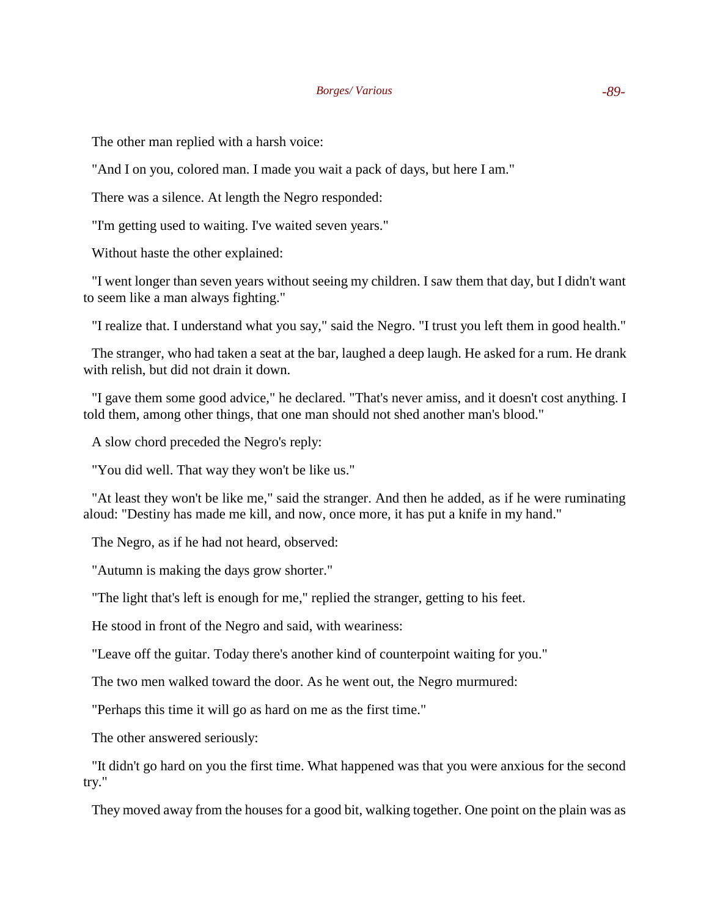### *Borges/ Various -89-*

The other man replied with a harsh voice:

"And I on you, colored man. I made you wait a pack of days, but here I am."

There was a silence. At length the Negro responded:

"I'm getting used to waiting. I've waited seven years."

Without haste the other explained:

"I went longer than seven years without seeing my children. I saw them that day, but I didn't want to seem like a man always fighting."

"I realize that. I understand what you say," said the Negro. "I trust you left them in good health."

The stranger, who had taken a seat at the bar, laughed a deep laugh. He asked for a rum. He drank with relish, but did not drain it down.

"I gave them some good advice," he declared. "That's never amiss, and it doesn't cost anything. I told them, among other things, that one man should not shed another man's blood."

A slow chord preceded the Negro's reply:

"You did well. That way they won't be like us."

"At least they won't be like me," said the stranger. And then he added, as if he were ruminating aloud: "Destiny has made me kill, and now, once more, it has put a knife in my hand."

The Negro, as if he had not heard, observed:

"Autumn is making the days grow shorter."

"The light that's left is enough for me," replied the stranger, getting to his feet.

He stood in front of the Negro and said, with weariness:

"Leave off the guitar. Today there's another kind of counterpoint waiting for you."

The two men walked toward the door. As he went out, the Negro murmured:

"Perhaps this time it will go as hard on me as the first time."

The other answered seriously:

"It didn't go hard on you the first time. What happened was that you were anxious for the second try."

They moved away from the houses for a good bit, walking together. One point on the plain was as